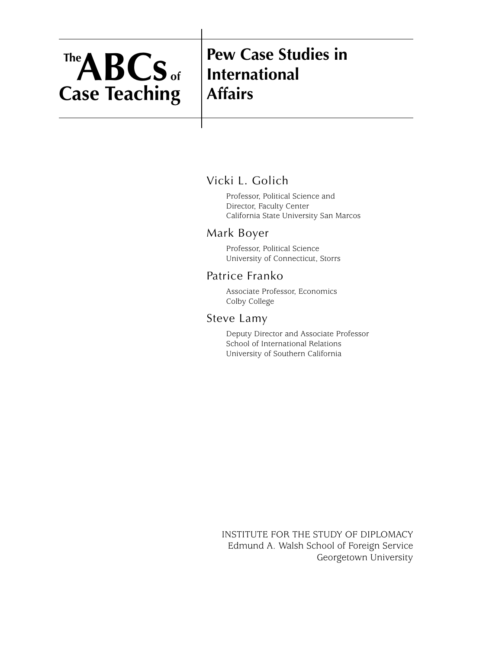# **Pew Case Studies in International Affairs**

# Vicki L. Golich

Professor, Political Science and Director, Faculty Center California State University San Marcos

# Mark Boyer

Professor, Political Science University of Connecticut, Storrs

# Patrice Franko

Associate Professor, Economics Colby College

# Steve Lamy

Deputy Director and Associate Professor School of International Relations University of Southern California

INSTITUTE FOR THE STUDY OF DIPLOMACY Edmund A. Walsh School of Foreign Service Georgetown University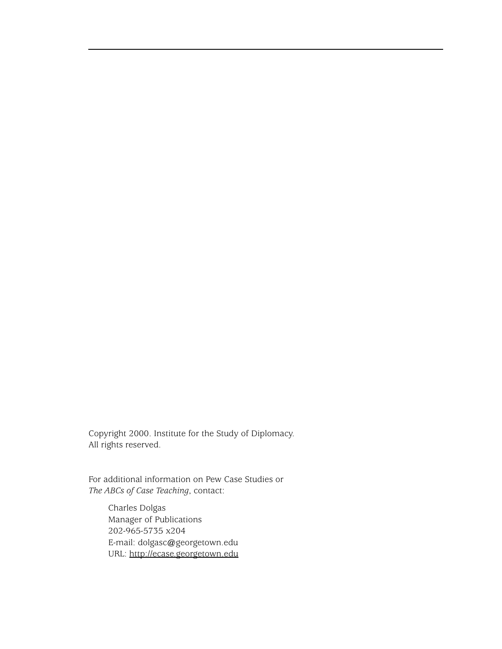Copyright 2000. Institute for the Study of Diplomacy. All rights reserved.

For additional information on Pew Case Studies or *The ABCs of Case Teaching*, contact:

Charles Dolgas Manager of Publications 202-965-5735 x204 E-mail: dolgasc@georgetown.edu URL: <http://ecase.georgetown.edu>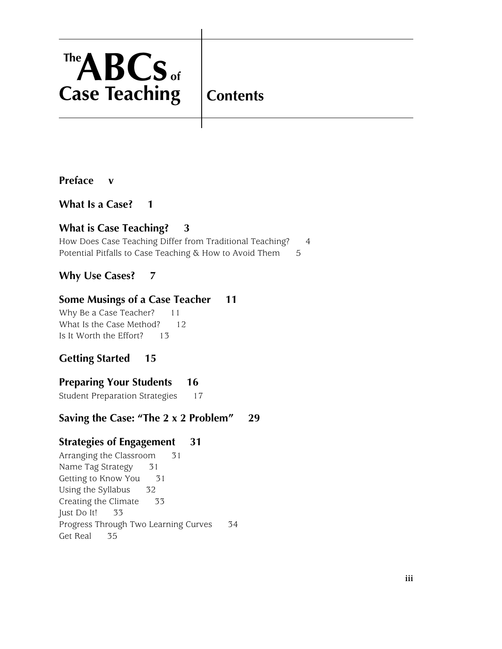**Contents**

### **[Preface v](#page-4-0)**

## **[What Is a Case? 1](#page-6-0)**

# **[What is Case Teaching? 3](#page-8-0)**

[How Does Case Teaching Differ from Traditional Teaching?](#page-9-0)4 [Potential Pitfalls to Case Teaching & How to Avoid Them](#page-10-0)5

## **[Why Use Cases? 7](#page-12-0)**

### **[Some Musings of a Case Teacher 11](#page-16-1)**

[Why Be a Case Teacher?](#page-16-0)11 [What Is the Case Method?](#page-17-0)12 [Is It Worth the Effort?](#page-18-0)13

## **[Getting Started 15](#page-20-0)**

### **[Preparing Your Students 16](#page-21-0)**

[Student Preparation Strategies](#page-22-0)17

### **[Saving the Case: "The 2 x 2 Problem" 29](#page-34-0)**

# **[Strategies of Engagement 31](#page-36-2)**

Arranging the Classroom31 [Name Tag Strategy](#page-36-0)31 [Getting to Know You](#page-36-1)31 [Using the Syllabus](#page-37-0)32 [Creating the Climate](#page-38-0)33 [Just Do It!](#page-38-1)33 [Progress Through Two Learning Curves](#page-39-0)34 [Get Real](#page-40-0)35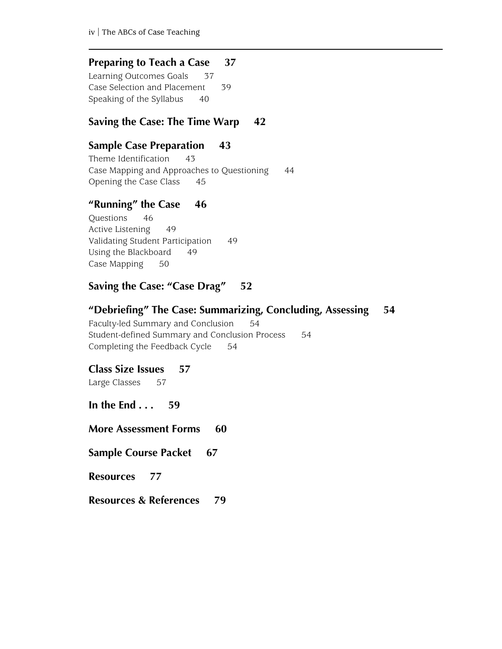### **[Preparing to Teach a Case 37](#page-42-1)**

[Learning Outcomes Goals](#page-42-0)37 [Case Selection and Placement](#page-44-0)39 [Speaking of the Syllabus](#page-45-0)40

### **[Saving the Case: The Time Warp 42](#page-47-0)**

# **[Sample Case Preparation 43](#page-48-1)**

[Theme Identification](#page-48-0)43 [Case Mapping and Approaches to Questioning](#page-49-0)44 [Opening the Case Class](#page-50-0)45

## **["Running" the Case 46](#page-51-1)**

[Questions](#page-51-0)46 [Active Listening](#page-54-0)49 [Validating Student Participation](#page-54-1)49 [Using the Blackboard](#page-54-2)49 [Case Mapping](#page-55-0)50

## **[Saving the Case: "Case Drag" 52](#page-57-0)**

## **["Debriefing" The Case: Summarizing, Concluding, Assessing 54](#page-59-3)**

[Faculty-led Summary and Conclusion](#page-59-0)54 [Student-defined Summary and Conclusion Process](#page-59-1)54 [Completing the Feedback Cycle](#page-59-2)54

### **[Class Size Issues 57](#page-62-0)**

Large Classes57

**[In the End . . . 59](#page-64-0)**

**[More Assessment Forms 60](#page-65-0)** 

**[Sample Course Packet 67](#page-72-0)** 

**[Resources 77](#page-82-0)**

**[Resources & References 79](#page-84-0)**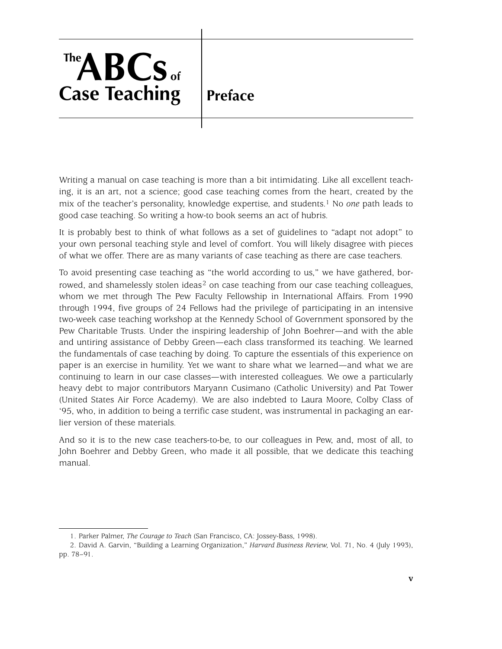<span id="page-4-0"></span>**Preface**

Writing a manual on case teaching is more than a bit intimidating. Like all excellent teaching, it is an art, not a science; good case teaching comes from the heart, created by the mix of the teacher's personality, knowledge expertise, and students.1 No *one* path leads to good case teaching. So writing a how-to book seems an act of hubris.

It is probably best to think of what follows as a set of guidelines to "adapt not adopt" to your own personal teaching style and level of comfort. You will likely disagree with pieces of what we offer. There are as many variants of case teaching as there are case teachers.

To avoid presenting case teaching as "the world according to us," we have gathered, borrowed, and shamelessly stolen ideas $2$  on case teaching from our case teaching colleagues, whom we met through The Pew Faculty Fellowship in International Affairs. From 1990 through 1994, five groups of 24 Fellows had the privilege of participating in an intensive two-week case teaching workshop at the Kennedy School of Government sponsored by the Pew Charitable Trusts. Under the inspiring leadership of John Boehrer—and with the able and untiring assistance of Debby Green—each class transformed its teaching. We learned the fundamentals of case teaching by doing. To capture the essentials of this experience on paper is an exercise in humility. Yet we want to share what we learned—and what we are continuing to learn in our case classes—with interested colleagues. We owe a particularly heavy debt to major contributors Maryann Cusimano (Catholic University) and Pat Tower (United States Air Force Academy). We are also indebted to Laura Moore, Colby Class of '95, who, in addition to being a terrific case student, was instrumental in packaging an earlier version of these materials.

And so it is to the new case teachers-to-be, to our colleagues in Pew, and, most of all, to John Boehrer and Debby Green, who made it all possible, that we dedicate this teaching manual.

<sup>1.</sup> Parker Palmer, *The Courage to Teach* (San Francisco, CA: Jossey-Bass, 1998).

<sup>2.</sup> David A. Garvin, "Building a Learning Organization," *Harvard Business Review*, Vol. 71, No. 4 (July 1993), pp. 78–91.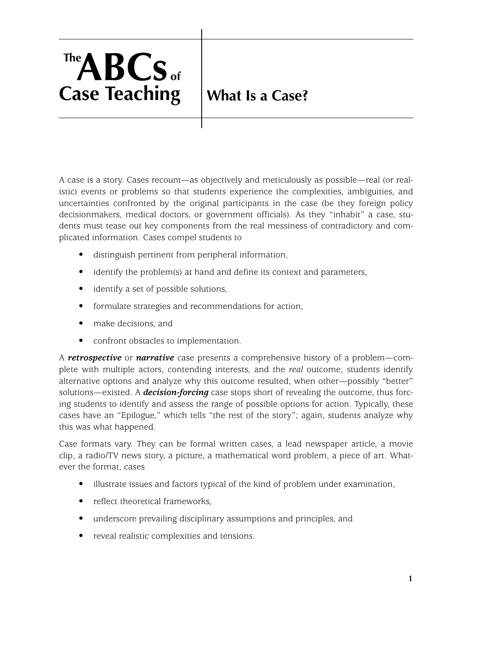# <span id="page-6-0"></span>**What Is a Case?**

A case is a story. Cases recount—as objectively and meticulously as possible—real (or realistic) events or problems so that students experience the complexities, ambiguities, and uncertainties confronted by the original participants in the case (be they foreign policy decisionmakers, medical doctors, or government officials). As they "inhabit" a case, students must tease out key components from the real messiness of contradictory and complicated information. Cases compel students to

- distinguish pertinent from peripheral information,
- identify the problem(s) at hand and define its context and parameters,
- identify a set of possible solutions,
- formulate strategies and recommendations for action,
- make decisions, and
- confront obstacles to implementation.

A *retrospective* or *narrative* case presents a comprehensive history of a problem—complete with multiple actors, contending interests, and the *real* outcome; students identify alternative options and analyze why this outcome resulted, when other—possibly "better" solutions—existed. A *decision-forcing* case stops short of revealing the outcome, thus forcing students to identify and assess the range of possible options for action. Typically, these cases have an "Epilogue," which tells "the rest of the story"; again, students analyze why this was what happened.

Case formats vary. They can be formal written cases, a lead newspaper article, a movie clip, a radio/TV news story, a picture, a mathematical word problem, a piece of art. Whatever the format, cases

- illustrate issues and factors typical of the kind of problem under examination,
- reflect theoretical frameworks,
- underscore prevailing disciplinary assumptions and principles, and
- reveal realistic complexities and tensions.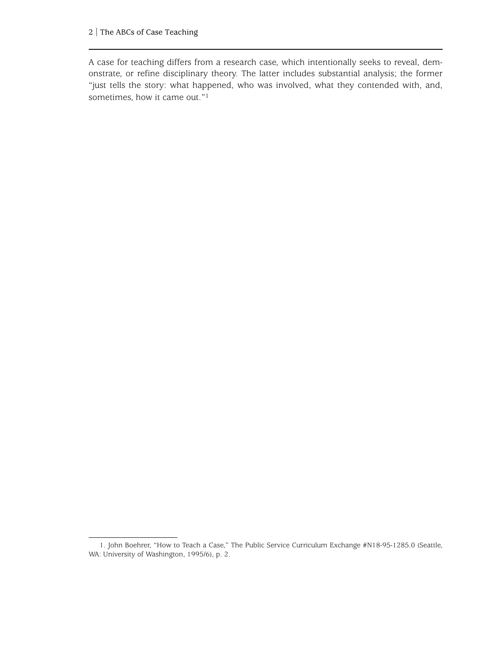A case for teaching differs from a research case, which intentionally seeks to reveal, demonstrate, or refine disciplinary theory. The latter includes substantial analysis; the former "just tells the story: what happened, who was involved, what they contended with, and, sometimes, how it came out."1

<sup>1.</sup> John Boehrer, "How to Teach a Case," The Public Service Curriculum Exchange #N18-95-1285.0 (Seattle, WA: University of Washington, 1995/6), p. 2.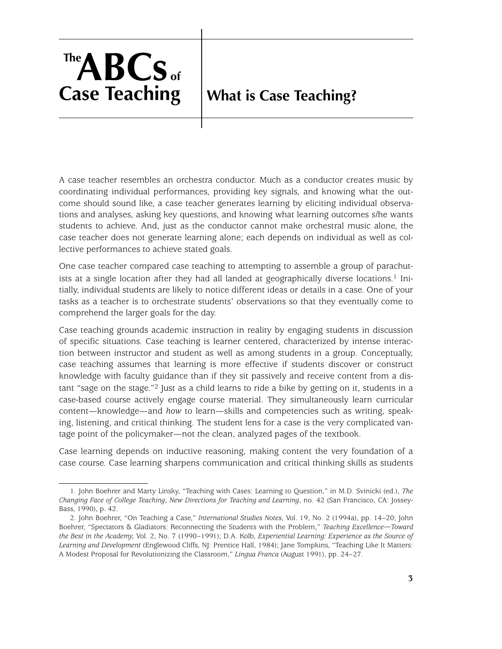# <span id="page-8-0"></span>**What is Case Teaching?**

A case teacher resembles an orchestra conductor. Much as a conductor creates music by coordinating individual performances, providing key signals, and knowing what the outcome should sound like, a case teacher generates learning by eliciting individual observations and analyses, asking key questions, and knowing what learning outcomes s/he wants students to achieve. And, just as the conductor cannot make orchestral music alone, the case teacher does not generate learning alone; each depends on individual as well as collective performances to achieve stated goals.

One case teacher compared case teaching to attempting to assemble a group of parachutists at a single location after they had all landed at geographically diverse locations.<sup>1</sup> Initially, individual students are likely to notice different ideas or details in a case. One of your tasks as a teacher is to orchestrate students' observations so that they eventually come to comprehend the larger goals for the day.

Case teaching grounds academic instruction in reality by engaging students in discussion of specific situations. Case teaching is learner centered, characterized by intense interaction between instructor and student as well as among students in a group. Conceptually, case teaching assumes that learning is more effective if students discover or construct knowledge with faculty guidance than if they sit passively and receive content from a distant "sage on the stage."2 Just as a child learns to ride a bike by getting on it, students in a case-based course actively engage course material. They simultaneously learn curricular content—knowledge—and *how* to learn—skills and competencies such as writing, speaking, listening, and critical thinking. The student lens for a case is the very complicated vantage point of the policymaker—not the clean, analyzed pages of the textbook.

Case learning depends on inductive reasoning, making content the very foundation of a case course. Case learning sharpens communication and critical thinking skills as students

<sup>1.</sup> John Boehrer and Marty Linsky, "Teaching with Cases: Learning to Question," in M.D. Svinicki (ed.), *The Changing Face of College Teaching*, *New Directions for Teaching and Learning*, no. 42 (San Francisco, CA: Jossey-Bass, 1990), p. 42.

<sup>2.</sup> John Boehrer, "On Teaching a Case," *International Studies Notes*, Vol. 19, No. 2 (1994a), pp. 14–20; John Boehrer, "Spectators & Gladiators: Reconnecting the Students with the Problem," *Teaching Excellence—Toward the Best in the Academy*, Vol. 2, No. 7 (1990–1991); D.A. Kolb, *Experiential Learning: Experience as the Source of Learning and Development* (Englewood Cliffs, NJ: Prentice Hall, 1984); Jane Tompkins, "Teaching Like It Matters: A Modest Proposal for Revolutionizing the Classroom," *Lingua Franca* (August 1991), pp. 24–27.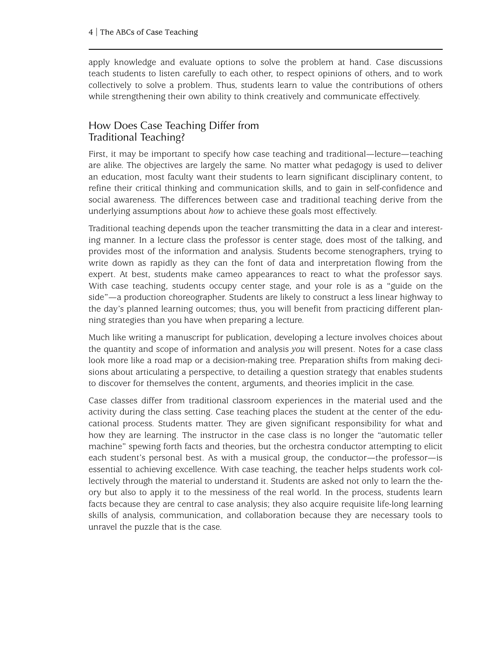apply knowledge and evaluate options to solve the problem at hand. Case discussions teach students to listen carefully to each other, to respect opinions of others, and to work collectively to solve a problem. Thus, students learn to value the contributions of others while strengthening their own ability to think creatively and communicate effectively.

## <span id="page-9-0"></span>How Does Case Teaching Differ from Traditional Teaching?

First, it may be important to specify how case teaching and traditional—lecture—teaching are alike. The objectives are largely the same. No matter what pedagogy is used to deliver an education, most faculty want their students to learn significant disciplinary content, to refine their critical thinking and communication skills, and to gain in self-confidence and social awareness. The differences between case and traditional teaching derive from the underlying assumptions about *how* to achieve these goals most effectively.

Traditional teaching depends upon the teacher transmitting the data in a clear and interesting manner. In a lecture class the professor is center stage, does most of the talking, and provides most of the information and analysis. Students become stenographers, trying to write down as rapidly as they can the font of data and interpretation flowing from the expert. At best, students make cameo appearances to react to what the professor says. With case teaching, students occupy center stage, and your role is as a "guide on the side"—a production choreographer. Students are likely to construct a less linear highway to the day's planned learning outcomes; thus, you will benefit from practicing different planning strategies than you have when preparing a lecture.

Much like writing a manuscript for publication, developing a lecture involves choices about the quantity and scope of information and analysis *you* will present. Notes for a case class look more like a road map or a decision-making tree. Preparation shifts from making decisions about articulating a perspective, to detailing a question strategy that enables students to discover for themselves the content, arguments, and theories implicit in the case.

Case classes differ from traditional classroom experiences in the material used and the activity during the class setting. Case teaching places the student at the center of the educational process. Students matter. They are given significant responsibility for what and how they are learning. The instructor in the case class is no longer the "automatic teller machine" spewing forth facts and theories, but the orchestra conductor attempting to elicit each student's personal best. As with a musical group, the conductor—the professor—is essential to achieving excellence. With case teaching, the teacher helps students work collectively through the material to understand it. Students are asked not only to learn the theory but also to apply it to the messiness of the real world. In the process, students learn facts because they are central to case analysis; they also acquire requisite life-long learning skills of analysis, communication, and collaboration because they are necessary tools to unravel the puzzle that is the case.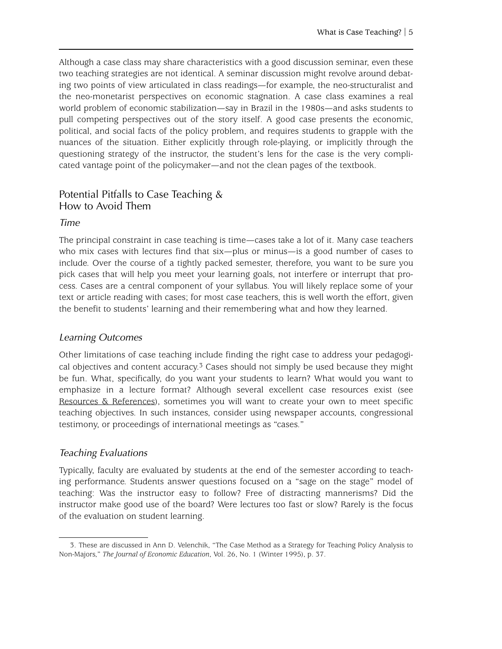Although a case class may share characteristics with a good discussion seminar, even these two teaching strategies are not identical. A seminar discussion might revolve around debating two points of view articulated in class readings—for example, the neo-structuralist and the neo-monetarist perspectives on economic stagnation. A case class examines a real world problem of economic stabilization—say in Brazil in the 1980s—and asks students to pull competing perspectives out of the story itself. A good case presents the economic, political, and social facts of the policy problem, and requires students to grapple with the nuances of the situation. Either explicitly through role-playing, or implicitly through the questioning strategy of the instructor, the student's lens for the case is the very complicated vantage point of the policymaker—and not the clean pages of the textbook.

### <span id="page-10-0"></span>Potential Pitfalls to Case Teaching & How to Avoid Them

#### *Time*

The principal constraint in case teaching is time—cases take a lot of it. Many case teachers who mix cases with lectures find that six—plus or minus—is a good number of cases to include. Over the course of a tightly packed semester, therefore, you want to be sure you pick cases that will help you meet your learning goals, not interfere or interrupt that process. Cases are a central component of your syllabus. You will likely replace some of your text or article reading with cases; for most case teachers, this is well worth the effort, given the benefit to students' learning and their remembering what and how they learned.

#### *Learning Outcomes*

Other limitations of case teaching include finding the right case to address your pedagogical objectives and content accuracy.3 Cases should not simply be used because they might be fun. What, specifically, do you want your students to learn? What would you want to emphasize in a lecture format? Although several excellent case resources exist (see [Resources & References](#page-84-1)), sometimes you will want to create your own to meet specific teaching objectives. In such instances, consider using newspaper accounts, congressional testimony, or proceedings of international meetings as "cases."

#### *Teaching Evaluations*

Typically, faculty are evaluated by students at the end of the semester according to teaching performance. Students answer questions focused on a "sage on the stage" model of teaching: Was the instructor easy to follow? Free of distracting mannerisms? Did the instructor make good use of the board? Were lectures too fast or slow? Rarely is the focus of the evaluation on student learning.

<sup>3.</sup> These are discussed in Ann D. Velenchik, "The Case Method as a Strategy for Teaching Policy Analysis to Non-Majors," *The Journal of Economic Education*, Vol. 26, No. 1 (Winter 1995), p. 37.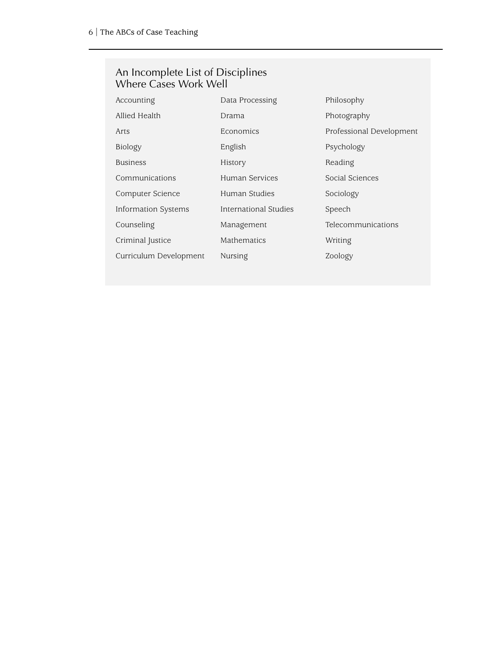#### An Incomplete List of Disciplines Where Cases Work Well

| Accounting             | Data Processing       | Philosophy               |  |
|------------------------|-----------------------|--------------------------|--|
| Allied Health          | Drama                 | Photography              |  |
| Arts                   | Economics             | Professional Development |  |
| Biology                | English               | Psychology               |  |
| <b>Business</b>        | History               | Reading                  |  |
| Communications         | Human Services        | Social Sciences          |  |
| Computer Science       | Human Studies         | Sociology                |  |
| Information Systems    | International Studies | Speech                   |  |
| Counseling             | Management            | Telecommunications       |  |
| Criminal Justice       | Mathematics           | Writing                  |  |
| Curriculum Development | Nursing               | Zoology                  |  |
|                        |                       |                          |  |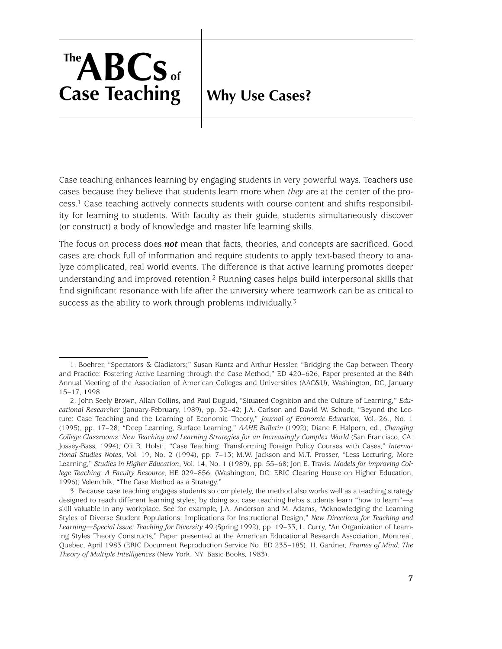# <span id="page-12-0"></span>**Why Use Cases?**

Case teaching enhances learning by engaging students in very powerful ways. Teachers use cases because they believe that students learn more when *they* are at the center of the process.1 Case teaching actively connects students with course content and shifts responsibility for learning to students. With faculty as their guide, students simultaneously discover (or construct) a body of knowledge and master life learning skills.

The focus on process does *not* mean that facts, theories, and concepts are sacrificed. Good cases are chock full of information and require students to apply text-based theory to analyze complicated, real world events. The difference is that active learning promotes deeper understanding and improved retention.2 Running cases helps build interpersonal skills that find significant resonance with life after the university where teamwork can be as critical to success as the ability to work through problems individually.<sup>3</sup>

<sup>1.</sup> Boehrer, "Spectators & Gladiators;" Susan Kuntz and Arthur Hessler, "Bridging the Gap between Theory and Practice: Fostering Active Learning through the Case Method," ED 420–626, Paper presented at the 84th Annual Meeting of the Association of American Colleges and Universities (AAC&U), Washington, DC, January 15–17, 1998.

<sup>2.</sup> John Seely Brown, Allan Collins, and Paul Duguid, "Situated Cognition and the Culture of Learning," *Educational Researcher* (January-February, 1989), pp. 32–42; J.A. Carlson and David W. Schodt, "Beyond the Lecture: Case Teaching and the Learning of Economic Theory," *Journal of Economic Education*, Vol. 26., No. 1 (1995), pp. 17–28; "Deep Learning, Surface Learning," *AAHE Bulletin* (1992); Diane F. Halpern, ed., *Changing College Classrooms: New Teaching and Learning Strategies for an Increasingly Complex World* (San Francisco, CA: Jossey-Bass, 1994); Oli R. Holsti, "Case Teaching: Transforming Foreign Policy Courses with Cases," *International Studies Notes*, Vol. 19, No. 2 (1994), pp. 7–13; M.W. Jackson and M.T. Prosser, "Less Lecturing, More Learning," *Studies in Higher Education*, Vol. 14, No. 1 (1989), pp. 55–68; Jon E. Travis. *Models for improving College Teaching: A Faculty Resource*, HE 029–856. (Washington, DC: ERIC Clearing House on Higher Education, 1996); Velenchik, "The Case Method as a Strategy."

<sup>3.</sup> Because case teaching engages students so completely, the method also works well as a teaching strategy designed to reach different learning styles; by doing so, case teaching helps students learn "how to learn"—a skill valuable in any workplace. See for example, J.A. Anderson and M. Adams, "Acknowledging the Learning Styles of Diverse Student Populations: Implications for Instructional Design," *New Directions for Teaching and Learning—Special Issue: Teaching for Diversity* 49 (Spring 1992), pp. 19–33; L. Curry, "An Organization of Learning Styles Theory Constructs," Paper presented at the American Educational Research Association, Montreal, Quebec, April 1983 (ERIC Document Reproduction Service No. ED 235–185); H. Gardner, *Frames of Mind: The Theory of Multiple Intelligences* (New York, NY: Basic Books, 1983).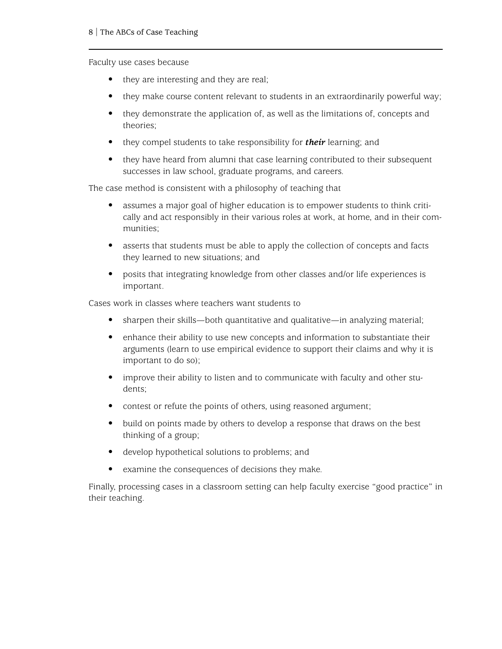Faculty use cases because

- they are interesting and they are real;
- they make course content relevant to students in an extraordinarily powerful way;
- they demonstrate the application of, as well as the limitations of, concepts and theories;
- they compel students to take responsibility for *their* learning; and
- they have heard from alumni that case learning contributed to their subsequent successes in law school, graduate programs, and careers.

The case method is consistent with a philosophy of teaching that

- assumes a major goal of higher education is to empower students to think critically and act responsibly in their various roles at work, at home, and in their communities;
- asserts that students must be able to apply the collection of concepts and facts they learned to new situations; and
- posits that integrating knowledge from other classes and/or life experiences is important.

Cases work in classes where teachers want students to

- sharpen their skills—both quantitative and qualitative—in analyzing material;
- enhance their ability to use new concepts and information to substantiate their arguments (learn to use empirical evidence to support their claims and why it is important to do so);
- improve their ability to listen and to communicate with faculty and other students;
- contest or refute the points of others, using reasoned argument;
- build on points made by others to develop a response that draws on the best thinking of a group;
- develop hypothetical solutions to problems; and
- examine the consequences of decisions they make.

Finally, processing cases in a classroom setting can help faculty exercise "good practice" in their teaching.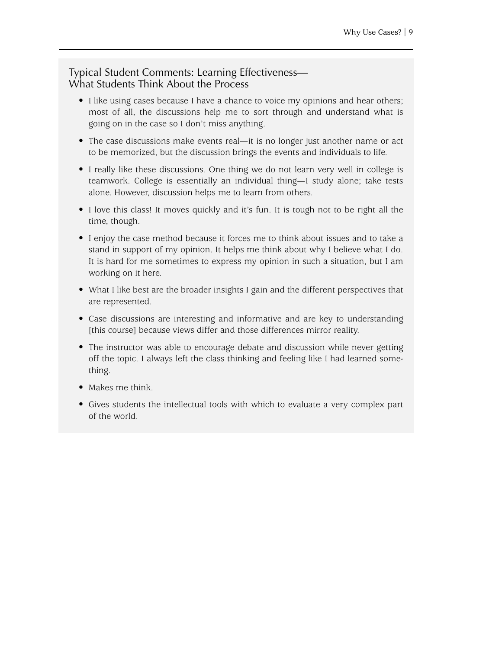#### Typical Student Comments: Learning Effectiveness— What Students Think About the Process

- I like using cases because I have a chance to voice my opinions and hear others; most of all, the discussions help me to sort through and understand what is going on in the case so I don't miss anything.
- The case discussions make events real—it is no longer just another name or act to be memorized, but the discussion brings the events and individuals to life.
- I really like these discussions. One thing we do not learn very well in college is teamwork. College is essentially an individual thing—I study alone; take tests alone. However, discussion helps me to learn from others.
- I love this class! It moves quickly and it's fun. It is tough not to be right all the time, though.
- I enjoy the case method because it forces me to think about issues and to take a stand in support of my opinion. It helps me think about why I believe what I do. It is hard for me sometimes to express my opinion in such a situation, but I am working on it here.
- What I like best are the broader insights I gain and the different perspectives that are represented.
- Case discussions are interesting and informative and are key to understanding [this course] because views differ and those differences mirror reality.
- The instructor was able to encourage debate and discussion while never getting off the topic. I always left the class thinking and feeling like I had learned something.
- Makes me think.
- Gives students the intellectual tools with which to evaluate a very complex part of the world.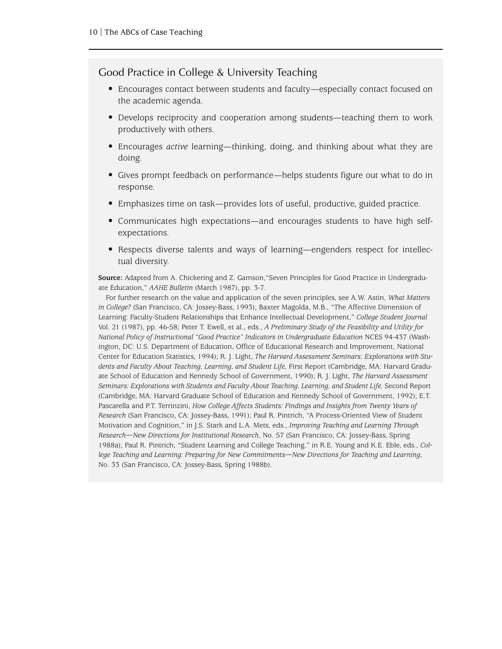#### Good Practice in College & University Teaching

- Encourages contact between students and faculty—especially contact focused on the academic agenda.
- Develops reciprocity and cooperation among students—teaching them to work productively with others.
- Encourages *active* learning—thinking, doing, and thinking about what they are doing.
- Gives prompt feedback on performance—helps students figure out what to do in response.
- Emphasizes time on task—provides lots of useful, productive, guided practice.
- Communicates high expectations—and encourages students to have high selfexpectations.
- Respects diverse talents and ways of learning—engenders respect for intellectual diversity.

**Source:** Adapted from A. Chickering and Z. Gamson,"Seven Principles for Good Practice in Undergraduate Education," *AAHE Bulletin* (March 1987), pp. 3-7.

For further research on the value and application of the seven principles, see A.W. Astin, *What Matters in College?* (San Francisco, CA: Jossey-Bass, 1993); Baxter Magolda, M.B., "The Affective Dimension of Learning: Faculty-Student Relationships that Enhance Intellectual Development," *College Student Journal* Vol. 21 (1987), pp. 46-58; Peter T. Ewell, et al., eds., *A Preliminary Study of the Feasibility and Utility for National Policy of Instructional "Good Practice" Indicators in Undergraduate Education* NCES 94-437 (Washington, DC: U.S. Department of Education, Office of Educational Research and Improvement, National Center for Education Statistics, 1994); R. J. Light, *The Harvard Assessment Seminars: Explorations with Students and Faculty About Teaching, Learning, and Student Life,* First Report (Cambridge, MA: Harvard Graduate School of Education and Kennedy School of Government, 1990); R. J. Light, *The Harvard Assessment Seminars: Explorations with Students and Faculty About Teaching, Learning, and Student Life,* Second Report (Cambridge, MA: Harvard Graduate School of Education and Kennedy School of Government, 1992); E.T. Pascarella and P.T. Terrinzini, *How College Affects Students: Findings and Insights from Twenty Years of Research* (San Francisco, CA: Jossey-Bass, 1991); Paul R. Pintrich, "A Process-Oriented View of Student Motivation and Cognition," in J.S. Stark and L.A. Mets, eds., *Improving Teaching and Learning Through Research—New Directions for Institutional Research*, No. 57 (San Francisco, CA: Jossey-Bass, Spring 1988a); Paul R. Pintrich, "Student Learning and College Teaching," in R.E. Young and K.E. Eble, eds., *College Teaching and Learning: Preparing for New Commitments—New Directions for Teaching and Learning*, No. 33 (San Francisco, CA: Jossey-Bass, Spring 1988b).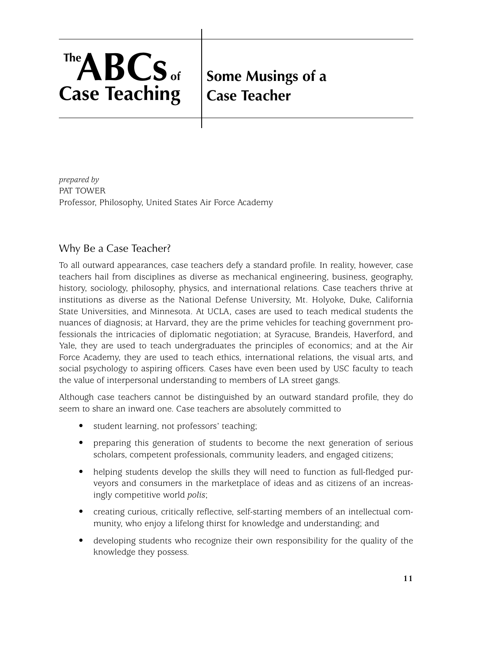# <span id="page-16-1"></span>**Some Musings of a Case Teacher**

*prepared by* PAT TOWER Professor, Philosophy, United States Air Force Academy

# <span id="page-16-0"></span>Why Be a Case Teacher?

To all outward appearances, case teachers defy a standard profile. In reality, however, case teachers hail from disciplines as diverse as mechanical engineering, business, geography, history, sociology, philosophy, physics, and international relations. Case teachers thrive at institutions as diverse as the National Defense University, Mt. Holyoke, Duke, California State Universities, and Minnesota. At UCLA, cases are used to teach medical students the nuances of diagnosis; at Harvard, they are the prime vehicles for teaching government professionals the intricacies of diplomatic negotiation; at Syracuse, Brandeis, Haverford, and Yale, they are used to teach undergraduates the principles of economics; and at the Air Force Academy, they are used to teach ethics, international relations, the visual arts, and social psychology to aspiring officers. Cases have even been used by USC faculty to teach the value of interpersonal understanding to members of LA street gangs.

Although case teachers cannot be distinguished by an outward standard profile, they do seem to share an inward one. Case teachers are absolutely committed to

- student learning, not professors' teaching;
- preparing this generation of students to become the next generation of serious scholars, competent professionals, community leaders, and engaged citizens;
- helping students develop the skills they will need to function as full-fledged purveyors and consumers in the marketplace of ideas and as citizens of an increasingly competitive world *polis*;
- creating curious, critically reflective, self-starting members of an intellectual community, who enjoy a lifelong thirst for knowledge and understanding; and
- developing students who recognize their own responsibility for the quality of the knowledge they possess.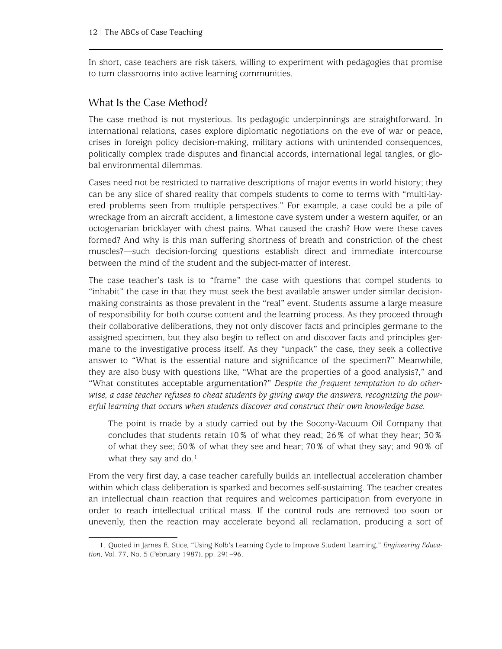In short, case teachers are risk takers, willing to experiment with pedagogies that promise to turn classrooms into active learning communities.

#### <span id="page-17-0"></span>What Is the Case Method?

The case method is not mysterious. Its pedagogic underpinnings are straightforward. In international relations, cases explore diplomatic negotiations on the eve of war or peace, crises in foreign policy decision-making, military actions with unintended consequences, politically complex trade disputes and financial accords, international legal tangles, or global environmental dilemmas.

Cases need not be restricted to narrative descriptions of major events in world history; they can be any slice of shared reality that compels students to come to terms with "multi-layered problems seen from multiple perspectives." For example, a case could be a pile of wreckage from an aircraft accident, a limestone cave system under a western aquifer, or an octogenarian bricklayer with chest pains. What caused the crash? How were these caves formed? And why is this man suffering shortness of breath and constriction of the chest muscles?—such decision-forcing questions establish direct and immediate intercourse between the mind of the student and the subject-matter of interest.

The case teacher's task is to "frame" the case with questions that compel students to "inhabit" the case in that they must seek the best available answer under similar decisionmaking constraints as those prevalent in the "real" event. Students assume a large measure of responsibility for both course content and the learning process. As they proceed through their collaborative deliberations, they not only discover facts and principles germane to the assigned specimen, but they also begin to reflect on and discover facts and principles germane to the investigative process itself. As they "unpack" the case, they seek a collective answer to "What is the essential nature and significance of the specimen?" Meanwhile, they are also busy with questions like, "What are the properties of a good analysis?," and "What constitutes acceptable argumentation?" *Despite the frequent temptation to do otherwise, a case teacher refuses to cheat students by giving away the answers, recognizing the powerful learning that occurs when students discover and construct their own knowledge base.*

The point is made by a study carried out by the Socony-Vacuum Oil Company that concludes that students retain 10% of what they read; 26% of what they hear; 30% of what they see; 50% of what they see and hear; 70% of what they say; and 90% of what they say and do.<sup>1</sup>

From the very first day, a case teacher carefully builds an intellectual acceleration chamber within which class deliberation is sparked and becomes self-sustaining. The teacher creates an intellectual chain reaction that requires and welcomes participation from everyone in order to reach intellectual critical mass. If the control rods are removed too soon or unevenly, then the reaction may accelerate beyond all reclamation, producing a sort of

<sup>1.</sup> Quoted in James E. Stice, "Using Kolb's Learning Cycle to Improve Student Learning," *Engineering Education*, Vol. 77, No. 5 (February 1987), pp. 291–96.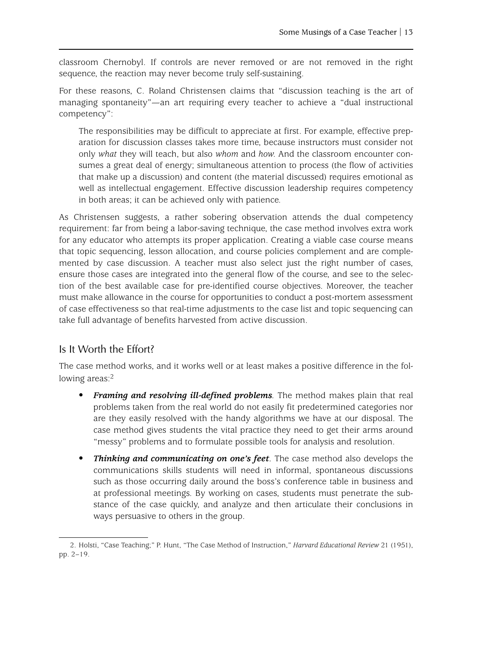classroom Chernobyl. If controls are never removed or are not removed in the right sequence, the reaction may never become truly self-sustaining.

For these reasons, C. Roland Christensen claims that "discussion teaching is the art of managing spontaneity"—an art requiring every teacher to achieve a "dual instructional competency":

The responsibilities may be difficult to appreciate at first. For example, effective preparation for discussion classes takes more time, because instructors must consider not only *what* they will teach, but also *whom* and *how*. And the classroom encounter consumes a great deal of energy; simultaneous attention to process (the flow of activities that make up a discussion) and content (the material discussed) requires emotional as well as intellectual engagement. Effective discussion leadership requires competency in both areas; it can be achieved only with patience.

As Christensen suggests, a rather sobering observation attends the dual competency requirement: far from being a labor-saving technique, the case method involves extra work for any educator who attempts its proper application. Creating a viable case course means that topic sequencing, lesson allocation, and course policies complement and are complemented by case discussion. A teacher must also select just the right number of cases, ensure those cases are integrated into the general flow of the course, and see to the selection of the best available case for pre-identified course objectives. Moreover, the teacher must make allowance in the course for opportunities to conduct a post-mortem assessment of case effectiveness so that real-time adjustments to the case list and topic sequencing can take full advantage of benefits harvested from active discussion.

#### <span id="page-18-0"></span>Is It Worth the Effort?

The case method works, and it works well or at least makes a positive difference in the following areas:<sup>2</sup>

- *Framing and resolving ill-defined problems.* The method makes plain that real problems taken from the real world do not easily fit predetermined categories nor are they easily resolved with the handy algorithms we have at our disposal. The case method gives students the vital practice they need to get their arms around "messy" problems and to formulate possible tools for analysis and resolution.
- *Thinking and communicating on one's feet.* The case method also develops the communications skills students will need in informal, spontaneous discussions such as those occurring daily around the boss's conference table in business and at professional meetings. By working on cases, students must penetrate the substance of the case quickly, and analyze and then articulate their conclusions in ways persuasive to others in the group.

<sup>2.</sup> Holsti, "Case Teaching;" P. Hunt, "The Case Method of Instruction," *Harvard Educational Review* 21 (1951), pp. 2–19.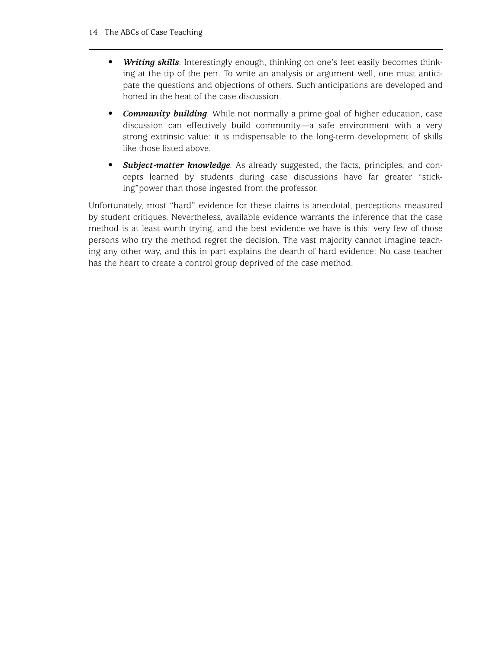- *Writing skills*. Interestingly enough, thinking on one's feet easily becomes thinking at the tip of the pen. To write an analysis or argument well, one must anticipate the questions and objections of others. Such anticipations are developed and honed in the heat of the case discussion.
- *Community building.* While not normally a prime goal of higher education, case discussion can effectively build community—a safe environment with a very strong extrinsic value: it is indispensable to the long-term development of skills like those listed above.
- *Subject-matter knowledge.* As already suggested, the facts, principles, and concepts learned by students during case discussions have far greater "sticking"power than those ingested from the professor.

Unfortunately, most "hard" evidence for these claims is anecdotal, perceptions measured by student critiques. Nevertheless, available evidence warrants the inference that the case method is at least worth trying, and the best evidence we have is this: very few of those persons who try the method regret the decision. The vast majority cannot imagine teaching any other way, and this in part explains the dearth of hard evidence: No case teacher has the heart to create a control group deprived of the case method.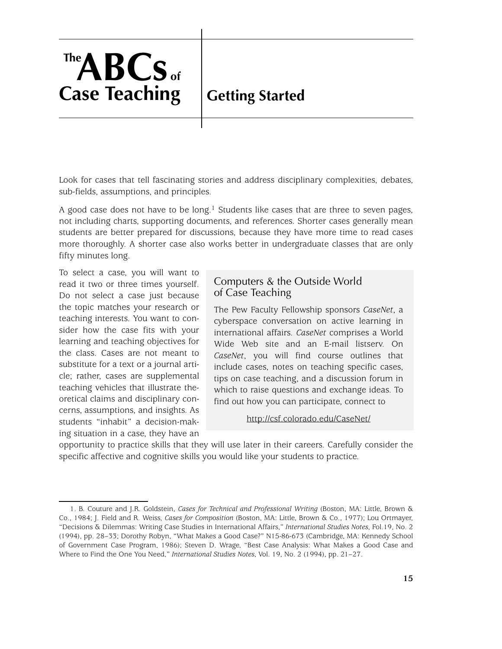# <span id="page-20-0"></span>**Getting Started**

Look for cases that tell fascinating stories and address disciplinary complexities, debates, sub-fields, assumptions, and principles.

A good case does not have to be long.<sup>1</sup> Students like cases that are three to seven pages, not including charts, supporting documents, and references. Shorter cases generally mean students are better prepared for discussions, because they have more time to read cases more thoroughly. A shorter case also works better in undergraduate classes that are only fifty minutes long.

To select a case, you will want to read it two or three times yourself. Do not select a case just because the topic matches your research or teaching interests. You want to consider how the case fits with your learning and teaching objectives for the class. Cases are not meant to substitute for a text or a journal article; rather, cases are supplemental teaching vehicles that illustrate theoretical claims and disciplinary concerns, assumptions, and insights. As students "inhabit" a decision-making situation in a case, they have an

### Computers & the Outside World of Case Teaching

The Pew Faculty Fellowship sponsors *CaseNet*, a cyberspace conversation on active learning in international affairs. *CaseNet* comprises a World Wide Web site and an E-mail listserv. On *CaseNet*, you will find course outlines that include cases, notes on teaching specific cases, tips on case teaching, and a discussion forum in which to raise questions and exchange ideas. To find out how you can participate, connect to

<http://csf.colorado.edu/CaseNet/>

opportunity to practice skills that they will use later in their careers. Carefully consider the specific affective and cognitive skills you would like your students to practice.

<sup>1.</sup> B. Couture and J.R. Goldstein, *Cases for Technical and Professional Writing* (Boston, MA: Little, Brown & Co., 1984; J. Field and R. Weiss, *Cases for Composition* (Boston, MA: Little, Brown & Co., 1977); Lou Ortmayer, "Decisions & Dilemmas: Writing Case Studies in International Affairs," *International Studies Notes*, Fol.19, No. 2 (1994), pp. 28–33; Dorothy Robyn, "What Makes a Good Case?" N15-86-673 (Cambridge, MA: Kennedy School of Government Case Program, 1986); Steven D. Wrage, "Best Case Analysis: What Makes a Good Case and Where to Find the One You Need," *International Studies Notes*, Vol. 19, No. 2 (1994), pp. 21–27.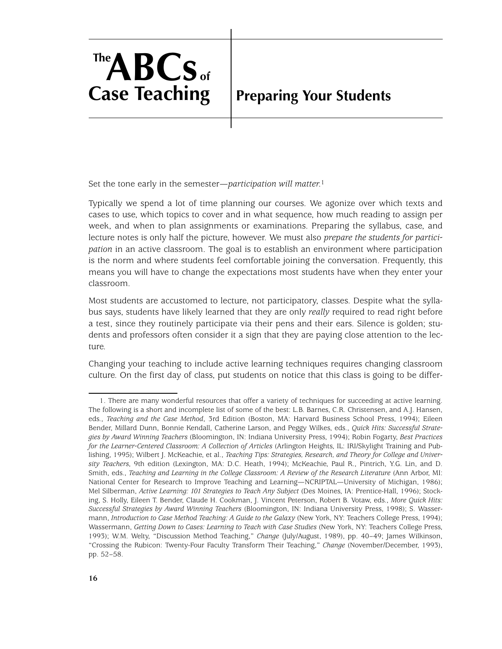# <span id="page-21-0"></span>**Preparing Your Students**

Set the tone early in the semester—*participation will matter*.1

Typically we spend a lot of time planning our courses. We agonize over which texts and cases to use, which topics to cover and in what sequence, how much reading to assign per week, and when to plan assignments or examinations. Preparing the syllabus, case, and lecture notes is only half the picture, however. We must also *prepare the students for participation* in an active classroom. The goal is to establish an environment where participation is the norm and where students feel comfortable joining the conversation. Frequently, this means you will have to change the expectations most students have when they enter your classroom.

Most students are accustomed to lecture, not participatory, classes. Despite what the syllabus says, students have likely learned that they are only *really* required to read right before a test, since they routinely participate via their pens and their ears. Silence is golden; students and professors often consider it a sign that they are paying close attention to the lecture.

Changing your teaching to include active learning techniques requires changing classroom culture. On the first day of class, put students on notice that this class is going to be differ-

<sup>1.</sup> There are many wonderful resources that offer a variety of techniques for succeeding at active learning. The following is a short and incomplete list of some of the best: L.B. Barnes, C.R. Christensen, and A.J. Hansen, eds., *Teaching and the Case Method*, 3rd Edition (Boston, MA: Harvard Business School Press, 1994); Eileen Bender, Millard Dunn, Bonnie Kendall, Catherine Larson, and Peggy Wilkes, eds., *Quick Hits: Successful Strategies by Award Winning Teachers* (Bloomington, IN: Indiana University Press, 1994); Robin Fogarty, *Best Practices for the Learner-Centered Classroom: A Collection of Articles* (Arlington Heights, IL: IRI/Skylight Training and Publishing, 1995); Wilbert J. McKeachie, et al., *Teaching Tips: Strategies, Research, and Theory for College and University Teachers*, 9th edition (Lexington, MA: D.C. Heath, 1994); McKeachie, Paul R., Pintrich, Y.G. Lin, and D. Smith, eds., *Teaching and Learning in the College Classroom: A Review of the Research Literature* (Ann Arbor, MI: National Center for Research to Improve Teaching and Learning—NCRIPTAL—University of Michigan, 1986); Mel Silberman, *Active Learning: 101 Strategies to Teach Any Subject* (Des Moines, IA: Prentice-Hall, 1996); Stocking, S. Holly, Eileen T. Bender, Claude H. Cookman, J. Vincent Peterson, Robert B. Votaw, eds., *More Quick Hits: Successful Strategies by Award Winning Teachers* (Bloomington, IN: Indiana University Press, 1998); S. Wassermann, *Introduction to Case Method Teaching: A Guide to the Galaxy* (New York, NY: Teachers College Press, 1994); Wassermann, *Getting Down to Cases: Learning to Teach with Case Studies* (New York, NY: Teachers College Press, 1993); W.M. Welty, "Discussion Method Teaching," *Change* (July/August, 1989), pp. 40–49; James Wilkinson, "Crossing the Rubicon: Twenty-Four Faculty Transform Their Teaching," *Change* (November/December, 1993), pp. 52–58.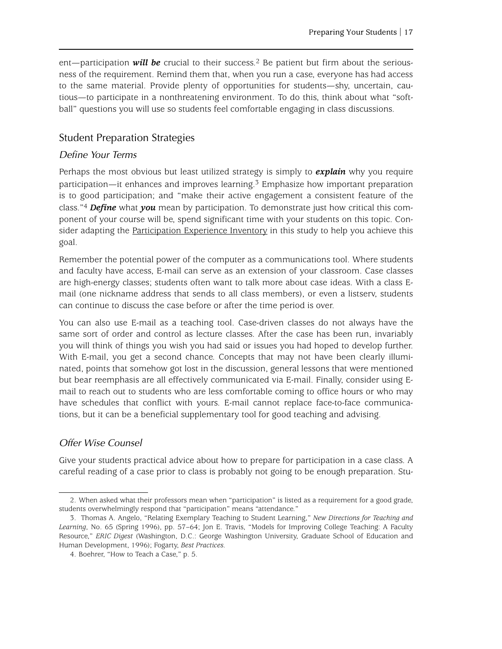ent—participation *will be* crucial to their success.<sup>2</sup> Be patient but firm about the seriousness of the requirement. Remind them that, when you run a case, everyone has had access to the same material. Provide plenty of opportunities for students—shy, uncertain, cautious—to participate in a nonthreatening environment. To do this, think about what "softball" questions you will use so students feel comfortable engaging in class discussions.

#### <span id="page-22-0"></span>Student Preparation Strategies

#### *Define Your Terms*

Perhaps the most obvious but least utilized strategy is simply to *explain* why you require participation—it enhances and improves learning.3 Emphasize how important preparation is to good participation; and "make their active engagement a consistent feature of the class."4 *Define* what *you* mean by participation. To demonstrate just how critical this component of your course will be, spend significant time with your students on this topic. Con-sider adapting the [Participation Experience Inventory](#page-27-0) in this study to help you achieve this goal.

Remember the potential power of the computer as a communications tool. Where students and faculty have access, E-mail can serve as an extension of your classroom. Case classes are high-energy classes; students often want to talk more about case ideas. With a class Email (one nickname address that sends to all class members), or even a listserv, students can continue to discuss the case before or after the time period is over.

You can also use E-mail as a teaching tool. Case-driven classes do not always have the same sort of order and control as lecture classes. After the case has been run, invariably you will think of things you wish you had said or issues you had hoped to develop further. With E-mail, you get a second chance. Concepts that may not have been clearly illuminated, points that somehow got lost in the discussion, general lessons that were mentioned but bear reemphasis are all effectively communicated via E-mail. Finally, consider using Email to reach out to students who are less comfortable coming to office hours or who may have schedules that conflict with yours. E-mail cannot replace face-to-face communications, but it can be a beneficial supplementary tool for good teaching and advising.

#### *Offer Wise Counsel*

Give your students practical advice about how to prepare for participation in a case class. A careful reading of a case prior to class is probably not going to be enough preparation. Stu-

<sup>2.</sup> When asked what their professors mean when "participation" is listed as a requirement for a good grade, students overwhelmingly respond that "participation" means "attendance."

<sup>3.</sup> Thomas A. Angelo, "Relating Exemplary Teaching to Student Learning," *New Directions for Teaching and Learning*, No. 65 (Spring 1996), pp. 57–64; Jon E. Travis, "Models for Improving College Teaching: A Faculty Resource," *ERIC Digest* (Washington, D.C.: George Washington University, Graduate School of Education and Human Development, 1996); Fogarty, *Best Practices*.

<sup>4.</sup> Boehrer, "How to Teach a Case," p. 5.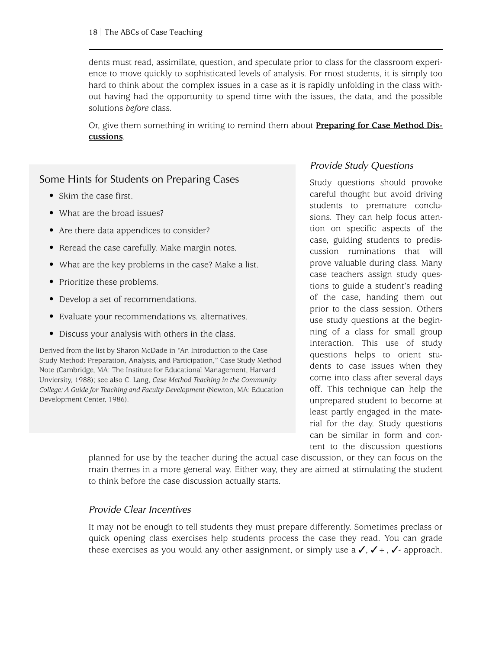dents must read, assimilate, question, and speculate prior to class for the classroom experience to move quickly to sophisticated levels of analysis. For most students, it is simply too hard to think about the complex issues in a case as it is rapidly unfolding in the class without having had the opportunity to spend time with the issues, the data, and the possible solutions *before* class.

Or, give them something in writing to remind them about **[P](#page-29-0)reparing for Case Method Discussions**.

#### Some Hints for Students on Preparing Cases

- Skim the case first.
- What are the broad issues?
- Are there data appendices to consider?
- Reread the case carefully. Make margin notes.
- What are the key problems in the case? Make a list.
- Prioritize these problems.
- Develop a set of recommendations.
- Evaluate your recommendations vs. alternatives.
- Discuss your analysis with others in the class.

Derived from the list by Sharon McDade in "An Introduction to the Case Study Method: Preparation, Analysis, and Participation," Case Study Method Note (Cambridge, MA: The Institute for Educational Management, Harvard Unviersity, 1988); see also C. Lang, *Case Method Teaching in the Community College: A Guide for Teaching and Faculty Development* (Newton, MA: Education Development Center, 1986).

#### *Provide Study Questions*

Study questions should provoke careful thought but avoid driving students to premature conclusions. They can help focus attention on specific aspects of the case, guiding students to prediscussion ruminations that will prove valuable during class. Many case teachers assign study questions to guide a student's reading of the case, handing them out prior to the class session. Others use study questions at the beginning of a class for small group interaction. This use of study questions helps to orient students to case issues when they come into class after several days off. This technique can help the unprepared student to become at least partly engaged in the material for the day. Study questions can be similar in form and content to the discussion questions

planned for use by the teacher during the actual case discussion, or they can focus on the main themes in a more general way. Either way, they are aimed at stimulating the student to think before the case discussion actually starts.

#### *Provide Clear Incentives*

It may not be enough to tell students they must prepare differently. Sometimes preclass or quick opening class exercises help students process the case they read. You can grade these exercises as you would any other assignment, or simply use a  $\checkmark$ ,  $\checkmark$  +,  $\checkmark$  - approach.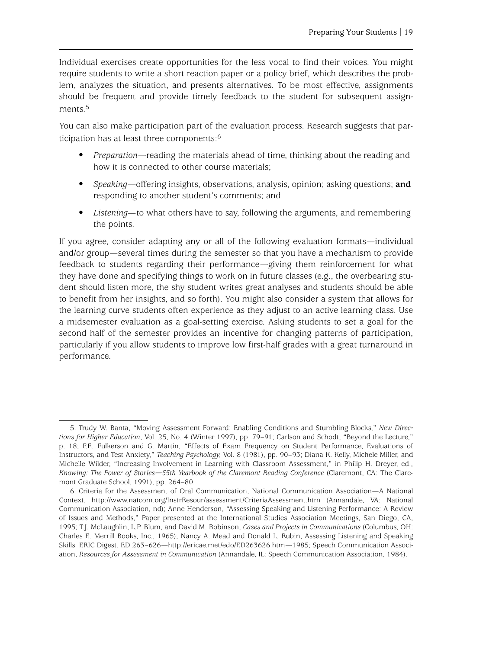Individual exercises create opportunities for the less vocal to find their voices. You might require students to write a short reaction paper or a policy brief, which describes the problem, analyzes the situation, and presents alternatives. To be most effective, assignments should be frequent and provide timely feedback to the student for subsequent assignments.5

You can also make participation part of the evaluation process. Research suggests that participation has at least three components:6

- *Preparation*—reading the materials ahead of time, thinking about the reading and how it is connected to other course materials;
- *Speaking*—offering insights, observations, analysis, opinion; asking questions; **and** responding to another student's comments; and
- Listening—to what others have to say, following the arguments, and remembering the points.

If you agree, consider adapting any or all of the following evaluation formats—individual and/or group—several times during the semester so that you have a mechanism to provide feedback to students regarding their performance—giving them reinforcement for what they have done and specifying things to work on in future classes (e.g., the overbearing student should listen more, the shy student writes great analyses and students should be able to benefit from her insights, and so forth). You might also consider a system that allows for the learning curve students often experience as they adjust to an active learning class. Use a midsemester evaluation as a goal-setting exercise. Asking students to set a goal for the second half of the semester provides an incentive for changing patterns of participation, particularly if you allow students to improve low first-half grades with a great turnaround in performance.

<sup>5.</sup> Trudy W. Banta, "Moving Assessment Forward: Enabling Conditions and Stumbling Blocks," *New Directions for Higher Education*, Vol. 25, No. 4 (Winter 1997), pp. 79–91; Carlson and Schodt, "Beyond the Lecture," p. 18; F.E. Fulkerson and G. Martin, "Effects of Exam Frequency on Student Performance, Evaluations of Instructors, and Test Anxiety," *Teaching Psychology*, Vol. 8 (1981), pp. 90–93; Diana K. Kelly, Michele Miller, and Michelle Wilder, "Increasing Involvement in Learning with Classroom Assessment," in Philip H. Dreyer, ed., *Knowing: The Power of Stories—55th Yearbook of the Claremont Reading Conference* (Claremont, CA: The Claremont Graduate School, 1991), pp. 264–80.

<sup>6.</sup> Criteria for the Assessment of Oral Communication, National Communication Association—A National Context, <http://www.natcom.org/InstrResour/assessment/CriteriaAssessment.htm> (Annandale, VA: National Communication Association, nd); Anne Henderson, "Assessing Speaking and Listening Performance: A Review of Issues and Methods," Paper presented at the International Studies Association Meetings, San Diego, CA, 1995; T.J. McLaughlin, L.P. Blum, and David M. Robinson, *Cases and Projects in Communications* (Columbus, OH: Charles E. Merrill Books, Inc., 1965); Nancy A. Mead and Donald L. Rubin, Assessing Listening and Speaking Skills. ERIC Digest. ED 263–626[—http://ericae.met/edo/ED263626.htm—](http://ericae.met/edo/ED263626.htm)1985; Speech Communication Association, *Resources for Assessment in Communication* (Annandale, IL: Speech Communication Association, 1984).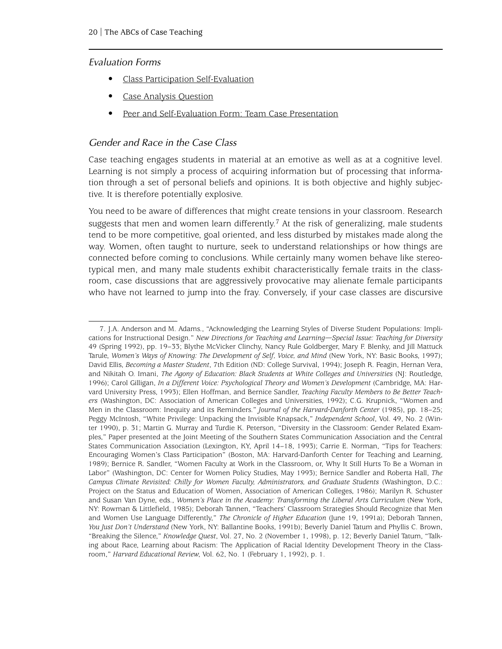#### *Evaluation Forms*

- • [Class Participation Self-Evaluation](#page-31-0)
- Case Analysis Question
- • [Peer and Self-Evaluation Form: Team Case Presentation](#page-33-0)

#### *Gender and Race in the Case Class*

Case teaching engages students in material at an emotive as well as at a cognitive level. Learning is not simply a process of acquiring information but of processing that information through a set of personal beliefs and opinions. It is both objective and highly subjective. It is therefore potentially explosive.

You need to be aware of differences that might create tensions in your classroom. Research suggests that men and women learn differently.<sup>7</sup> At the risk of generalizing, male students tend to be more competitive, goal oriented, and less disturbed by mistakes made along the way. Women, often taught to nurture, seek to understand relationships or how things are connected before coming to conclusions. While certainly many women behave like stereotypical men, and many male students exhibit characteristically female traits in the classroom, case discussions that are aggressively provocative may alienate female participants who have not learned to jump into the fray. Conversely, if your case classes are discursive

<sup>7.</sup> J.A. Anderson and M. Adams., "Acknowledging the Learning Styles of Diverse Student Populations: Implications for Instructional Design." *New Directions for Teaching and Learning—Special Issue: Teaching for Diversity* 49 (Spring 1992), pp. 19–33; Blythe McVicker Clinchy, Nancy Rule Goldberger, Mary F. Blenky, and Jill Mattuck Tarule, *Women's Ways of Knowing: The Development of Self, Voice, and Mind* (New York, NY: Basic Books, 1997); David Ellis, *Becoming a Master Student*, 7th Edition (ND: College Survival, 1994); Joseph R. Feagin, Hernan Vera, and Nikitah O. Imani, *The Agony of Education: Black Students at White Colleges and Universities* (NJ: Routledge, 1996); Carol Gilligan, *In a Different Voice: Psychological Theory and Women's Development* (Cambridge, MA: Harvard University Press, 1993); Ellen Hoffman, and Bernice Sandler, *Teaching Faculty Members to Be Better Teachers* (Washington, DC: Association of American Colleges and Universities, 1992); C.G. Krupnick, "Women and Men in the Classroom: Inequity and its Reminders." *Journal of the Harvard-Danforth Center* (1985), pp. 18–25; Peggy McIntosh, "White Privilege: Unpacking the Invisible Knapsack," *Independent School*, Vol. 49, No. 2 (Winter 1990), p. 31; Martin G. Murray and Turdie K. Peterson, "Diversity in the Classroom: Gender Related Examples," Paper presented at the Joint Meeting of the Southern States Communication Association and the Central States Communication Association (Lexington, KY, April 14–18, 1993); Carrie E. Norman, "Tips for Teachers: Encouraging Women's Class Participation" (Boston, MA: Harvard-Danforth Center for Teaching and Learning, 1989); Bernice R. Sandler, "Women Faculty at Work in the Classroom, or, Why It Still Hurts To Be a Woman in Labor" (Washington, DC: Center for Women Policy Studies, May 1993); Bernice Sandler and Roberta Hall, *The Campus Climate Revisited: Chilly for Women Faculty, Administrators, and Graduate Students* (Washington, D.C.: Project on the Status and Education of Women, Association of American Colleges, 1986); Marilyn R. Schuster and Susan Van Dyne, eds., *Women's Place in the Academy: Transforming the Liberal Arts Curriculum* (New York, NY: Rowman & Littlefield, 1985); Deborah Tannen, "Teachers' Classroom Strategies Should Recognize that Men and Women Use Language Differently," *The Chronicle of Higher Education* (June 19, 1991a); Deborah Tannen, *You Just Don't Understand* (New York, NY: Ballantine Books, 1991b); Beverly Daniel Tatum and Phyllis C. Brown, "Breaking the Silence," *Knowledge Quest*, Vol. 27, No. 2 (November 1, 1998), p. 12; Beverly Daniel Tatum, "Talking about Race, Learning about Racism: The Application of Racial Identity Development Theory in the Classroom," *Harvard Educational Review*, Vol. 62, No. 1 (February 1, 1992), p. 1.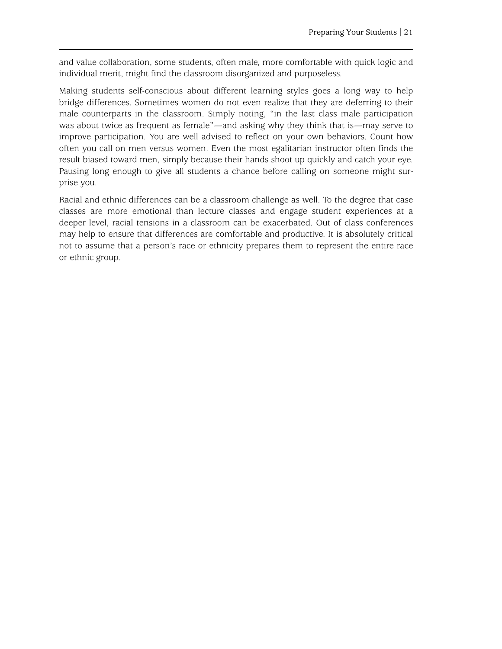and value collaboration, some students, often male, more comfortable with quick logic and individual merit, might find the classroom disorganized and purposeless.

Making students self-conscious about different learning styles goes a long way to help bridge differences. Sometimes women do not even realize that they are deferring to their male counterparts in the classroom. Simply noting, "in the last class male participation was about twice as frequent as female"—and asking why they think that is—may serve to improve participation. You are well advised to reflect on your own behaviors. Count how often you call on men versus women. Even the most egalitarian instructor often finds the result biased toward men, simply because their hands shoot up quickly and catch your eye. Pausing long enough to give all students a chance before calling on someone might surprise you.

Racial and ethnic differences can be a classroom challenge as well. To the degree that case classes are more emotional than lecture classes and engage student experiences at a deeper level, racial tensions in a classroom can be exacerbated. Out of class conferences may help to ensure that differences are comfortable and productive. It is absolutely critical not to assume that a person's race or ethnicity prepares them to represent the entire race or ethnic group.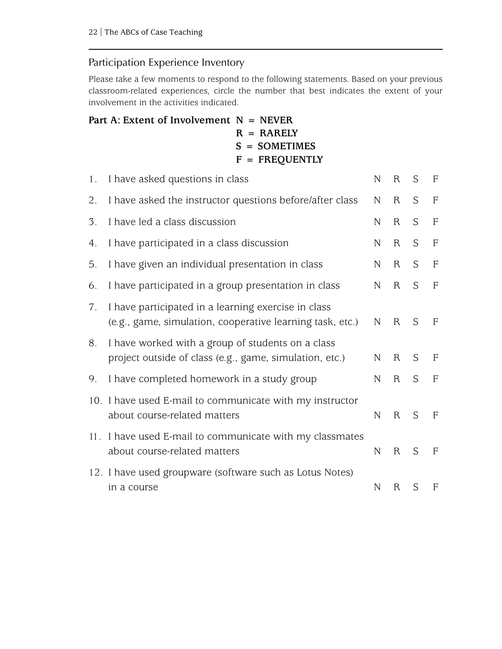### <span id="page-27-0"></span>Participation Experience Inventory

Please take a few moments to respond to the following statements. Based on your previous classroom-related experiences, circle the number that best indicates the extent of your involvement in the activities indicated.

| Part A: Extent of Involvement $N = NEVER$ |                  |
|-------------------------------------------|------------------|
|                                           | $R = RARELY$     |
|                                           | $S = SOMETIMES$  |
|                                           | $F = FREDUENTLY$ |
|                                           |                  |

| 1.  | I have asked questions in class                                                                                  | N            | R            | S | $\overline{F}$ |
|-----|------------------------------------------------------------------------------------------------------------------|--------------|--------------|---|----------------|
| 2.  | I have asked the instructor questions before/after class                                                         | $\mathbb N$  | $R_{\rm}$    | S | $\mathbf{F}$   |
| 3.  | I have led a class discussion                                                                                    | N            | $\mathsf{R}$ | S | $\mathbf F$    |
| 4.  | I have participated in a class discussion                                                                        | N            | R            | S | $\mathsf F$    |
| 5.  | I have given an individual presentation in class                                                                 | $\mathbb{N}$ | $\mathsf{R}$ | S | $\mathbf{F}$   |
| 6.  | I have participated in a group presentation in class                                                             | $\mathbb N$  | R            | S | $\overline{F}$ |
| 7.  | I have participated in a learning exercise in class<br>(e.g., game, simulation, cooperative learning task, etc.) | $\mathbb N$  | R            | S | $\mathbf F$    |
| 8.  | I have worked with a group of students on a class<br>project outside of class (e.g., game, simulation, etc.)     | N            | R            | S | $\mathbf F$    |
| 9.  | I have completed homework in a study group                                                                       | $\mathbb N$  | $\mathsf{R}$ | S | $\overline{F}$ |
|     | 10. I have used E-mail to communicate with my instructor<br>about course-related matters                         | $\mathbb N$  | R            | S | $\overline{F}$ |
| 11. | I have used E-mail to communicate with my classmates<br>about course-related matters                             | $\mathbb{N}$ | R            | S | $\overline{F}$ |
|     | 12. I have used groupware (software such as Lotus Notes)<br>in a course                                          | $\mathbb N$  | R            | S | F              |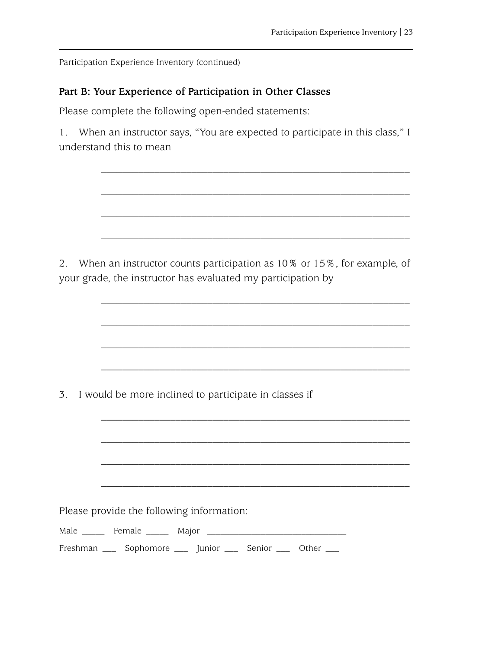Participation Experience Inventory (continued)

#### **Part B: Your Experience of Participation in Other Classes**

Please complete the following open-ended statements:

1. When an instructor says, "You are expected to participate in this class," I understand this to mean

\_\_\_\_\_\_\_\_\_\_\_\_\_\_\_\_\_\_\_\_\_\_\_\_\_\_\_\_\_\_\_\_\_\_\_\_\_\_\_\_\_\_\_\_\_\_\_\_\_\_\_\_\_\_\_\_\_\_

\_\_\_\_\_\_\_\_\_\_\_\_\_\_\_\_\_\_\_\_\_\_\_\_\_\_\_\_\_\_\_\_\_\_\_\_\_\_\_\_\_\_\_\_\_\_\_\_\_\_\_\_\_\_\_\_\_\_

\_\_\_\_\_\_\_\_\_\_\_\_\_\_\_\_\_\_\_\_\_\_\_\_\_\_\_\_\_\_\_\_\_\_\_\_\_\_\_\_\_\_\_\_\_\_\_\_\_\_\_\_\_\_\_\_\_\_

\_\_\_\_\_\_\_\_\_\_\_\_\_\_\_\_\_\_\_\_\_\_\_\_\_\_\_\_\_\_\_\_\_\_\_\_\_\_\_\_\_\_\_\_\_\_\_\_\_\_\_\_\_\_\_\_\_\_

\_\_\_\_\_\_\_\_\_\_\_\_\_\_\_\_\_\_\_\_\_\_\_\_\_\_\_\_\_\_\_\_\_\_\_\_\_\_\_\_\_\_\_\_\_\_\_\_\_\_\_\_\_\_\_\_\_\_

2. When an instructor counts participation as 10% or 15%, for example, of your grade, the instructor has evaluated my participation by

\_\_\_\_\_\_\_\_\_\_\_\_\_\_\_\_\_\_\_\_\_\_\_\_\_\_\_\_\_\_\_\_\_\_\_\_\_\_\_\_\_\_\_\_\_\_\_\_\_\_\_\_\_\_\_\_\_\_ \_\_\_\_\_\_\_\_\_\_\_\_\_\_\_\_\_\_\_\_\_\_\_\_\_\_\_\_\_\_\_\_\_\_\_\_\_\_\_\_\_\_\_\_\_\_\_\_\_\_\_\_\_\_\_\_\_\_ \_\_\_\_\_\_\_\_\_\_\_\_\_\_\_\_\_\_\_\_\_\_\_\_\_\_\_\_\_\_\_\_\_\_\_\_\_\_\_\_\_\_\_\_\_\_\_\_\_\_\_\_\_\_\_\_\_\_ 3. I would be more inclined to participate in classes if \_\_\_\_\_\_\_\_\_\_\_\_\_\_\_\_\_\_\_\_\_\_\_\_\_\_\_\_\_\_\_\_\_\_\_\_\_\_\_\_\_\_\_\_\_\_\_\_\_\_\_\_\_\_\_\_\_\_ \_\_\_\_\_\_\_\_\_\_\_\_\_\_\_\_\_\_\_\_\_\_\_\_\_\_\_\_\_\_\_\_\_\_\_\_\_\_\_\_\_\_\_\_\_\_\_\_\_\_\_\_\_\_\_\_\_\_ \_\_\_\_\_\_\_\_\_\_\_\_\_\_\_\_\_\_\_\_\_\_\_\_\_\_\_\_\_\_\_\_\_\_\_\_\_\_\_\_\_\_\_\_\_\_\_\_\_\_\_\_\_\_\_\_\_\_ \_\_\_\_\_\_\_\_\_\_\_\_\_\_\_\_\_\_\_\_\_\_\_\_\_\_\_\_\_\_\_\_\_\_\_\_\_\_\_\_\_\_\_\_\_\_\_\_\_\_\_\_\_\_\_\_\_\_ Please provide the following information: Male \_\_\_\_\_ Female \_\_\_\_\_ Major \_\_\_\_\_\_\_\_\_\_\_\_\_\_\_\_\_\_\_\_\_\_\_\_\_\_\_\_\_\_\_ Freshman \_\_\_ Sophomore \_\_\_ Junior \_\_\_ Senior \_\_\_ Other \_\_\_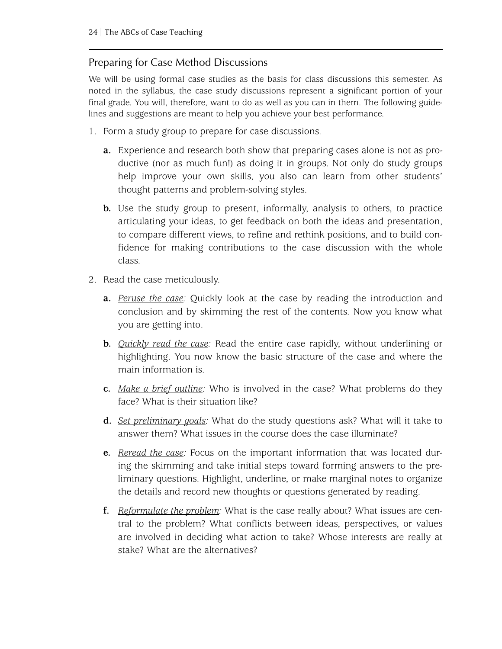### <span id="page-29-0"></span>Preparing for Case Method Discussions

We will be using formal case studies as the basis for class discussions this semester. As noted in the syllabus, the case study discussions represent a significant portion of your final grade. You will, therefore, want to do as well as you can in them. The following guidelines and suggestions are meant to help you achieve your best performance.

- 1. Form a study group to prepare for case discussions.
	- **a.** Experience and research both show that preparing cases alone is not as productive (nor as much fun!) as doing it in groups. Not only do study groups help improve your own skills, you also can learn from other students' thought patterns and problem-solving styles.
	- **b.** Use the study group to present, informally, analysis to others, to practice articulating your ideas, to get feedback on both the ideas and presentation, to compare different views, to refine and rethink positions, and to build confidence for making contributions to the case discussion with the whole class.
- 2. Read the case meticulously.
	- **a.** *Peruse the case:* Quickly look at the case by reading the introduction and conclusion and by skimming the rest of the contents. Now you know what you are getting into.
	- **b.** *Quickly read the case:* Read the entire case rapidly, without underlining or highlighting. You now know the basic structure of the case and where the main information is.
	- **c.** *Make a brief outline:* Who is involved in the case? What problems do they face? What is their situation like?
	- **d.** *Set preliminary goals:* What do the study questions ask? What will it take to answer them? What issues in the course does the case illuminate?
	- **e.** *Reread the case:* Focus on the important information that was located during the skimming and take initial steps toward forming answers to the preliminary questions. Highlight, underline, or make marginal notes to organize the details and record new thoughts or questions generated by reading.
	- **f.** *Reformulate the problem:* What is the case really about? What issues are central to the problem? What conflicts between ideas, perspectives, or values are involved in deciding what action to take? Whose interests are really at stake? What are the alternatives?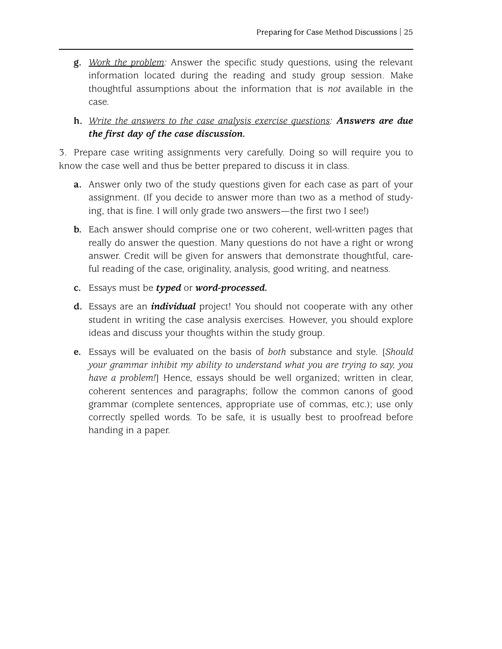- **g.** *Work the problem:* Answer the specific study questions, using the relevant information located during the reading and study group session. Make thoughtful assumptions about the information that is *not* available in the case.
- **h.** *Write the answers to the case analysis exercise questions: Answers are due the first day of the case discussion.*

3. Prepare case writing assignments very carefully. Doing so will require you to know the case well and thus be better prepared to discuss it in class.

- **a.** Answer only two of the study questions given for each case as part of your assignment. (If you decide to answer more than two as a method of studying, that is fine. I will only grade two answers—the first two I see!)
- **b.** Each answer should comprise one or two coherent, well-written pages that really do answer the question. Many questions do not have a right or wrong answer. Credit will be given for answers that demonstrate thoughtful, careful reading of the case, originality, analysis, good writing, and neatness.
- **c.** Essays must be *typed* or *word-processed.*
- **d.** Essays are an *individual* project! You should not cooperate with any other student in writing the case analysis exercises. However, you should explore ideas and discuss your thoughts within the study group.
- **e.** Essays will be evaluated on the basis of *both* substance and style. [*Should your grammar inhibit my ability to understand what you are trying to say, you have a problem!*] Hence, essays should be well organized; written in clear, coherent sentences and paragraphs; follow the common canons of good grammar (complete sentences, appropriate use of commas, etc.); use only correctly spelled words. To be safe, it is usually best to proofread before handing in a paper.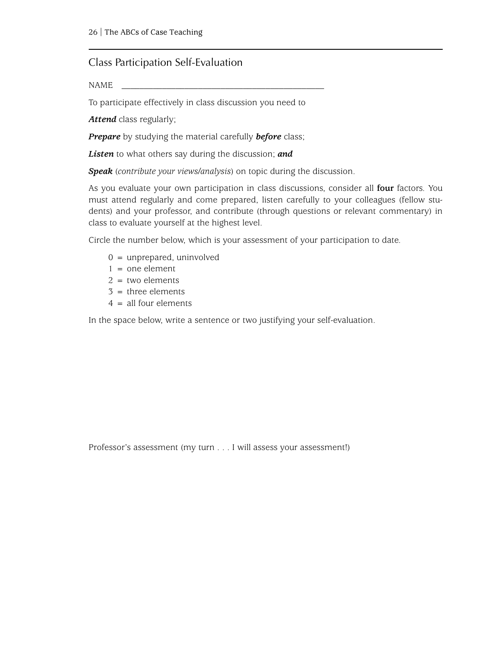#### <span id="page-31-0"></span>Class Participation Self-Evaluation

NAME \_\_\_\_\_\_\_\_\_\_\_\_\_\_\_\_\_\_\_\_\_\_\_\_\_\_\_\_\_\_\_\_\_\_\_\_\_\_\_\_\_\_\_\_\_

To participate effectively in class discussion you need to

*Attend* class regularly;

*Prepare* by studying the material carefully *before* class;

*Listen* to what others say during the discussion; *and*

*Speak* (*contribute your views/analysis*) on topic during the discussion.

As you evaluate your own participation in class discussions, consider all **four** factors. You must attend regularly and come prepared, listen carefully to your colleagues (fellow students) and your professor, and contribute (through questions or relevant commentary) in class to evaluate yourself at the highest level.

Circle the number below, which is your assessment of your participation to date.

- $0 =$  unprepared, uninvolved
- $1 =$  one element
- $2 =$  two elements
- $3$  = three elements
- $4 =$  all four elements

In the space below, write a sentence or two justifying your self-evaluation.

Professor's assessment (my turn . . . I will assess your assessment!)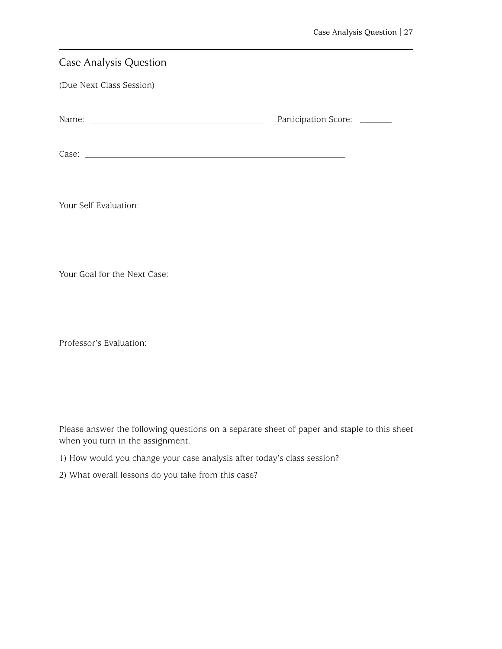<span id="page-32-0"></span>

| Participation Score: ______ |  |
|-----------------------------|--|
|                             |  |
|                             |  |
|                             |  |
|                             |  |

Your Self Evaluation:

Your Goal for the Next Case:

Professor's Evaluation:

Please answer the following questions on a separate sheet of paper and staple to this sheet when you turn in the assignment.

- 1) How would you change your case analysis after today's class session?
- 2) What overall lessons do you take from this case?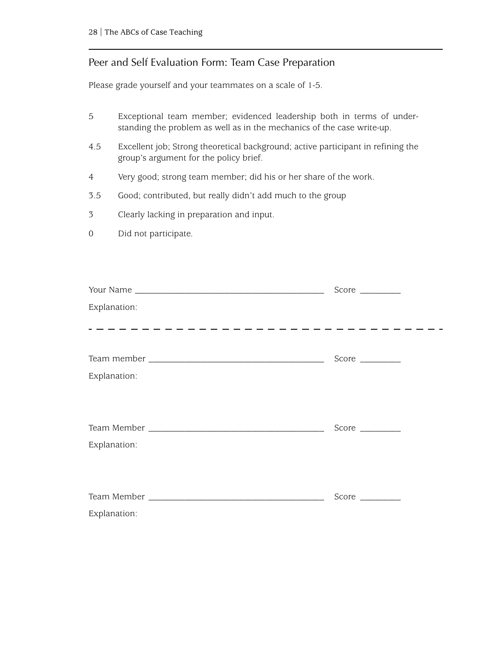#### <span id="page-33-0"></span>Peer and Self Evaluation Form: Team Case Preparation

Please grade yourself and your teammates on a scale of 1-5.

- 5 Exceptional team member; evidenced leadership both in terms of understanding the problem as well as in the mechanics of the case write-up.
- 4.5 Excellent job; Strong theoretical background; active participant in refining the group's argument for the policy brief.
- 4 Very good; strong team member; did his or her share of the work.
- 3.5 Good; contributed, but really didn't add much to the group
- 3 Clearly lacking in preparation and input.
- 0 Did not participate.

| Explanation: |  |
|--------------|--|
|              |  |
|              |  |
|              |  |
| Explanation: |  |
|              |  |
|              |  |
|              |  |
| Explanation: |  |
|              |  |
|              |  |
|              |  |
| Explanation: |  |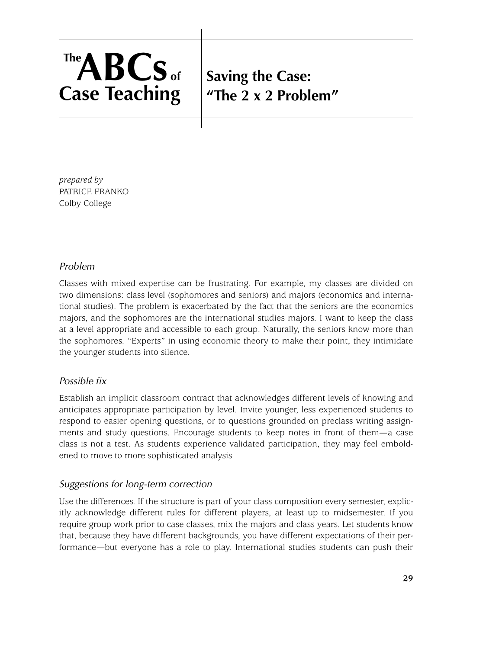# <span id="page-34-0"></span>**Saving the Case: "The 2 x 2 Problem"**

*prepared by* PATRICE FRANKO Colby College

#### *Problem*

Classes with mixed expertise can be frustrating. For example, my classes are divided on two dimensions: class level (sophomores and seniors) and majors (economics and international studies). The problem is exacerbated by the fact that the seniors are the economics majors, and the sophomores are the international studies majors. I want to keep the class at a level appropriate and accessible to each group. Naturally, the seniors know more than the sophomores. "Experts" in using economic theory to make their point, they intimidate the younger students into silence.

#### *Possible fix*

Establish an implicit classroom contract that acknowledges different levels of knowing and anticipates appropriate participation by level. Invite younger, less experienced students to respond to easier opening questions, or to questions grounded on preclass writing assignments and study questions. Encourage students to keep notes in front of them—a case class is not a test. As students experience validated participation, they may feel emboldened to move to more sophisticated analysis.

#### *Suggestions for long-term correction*

Use the differences. If the structure is part of your class composition every semester, explicitly acknowledge different rules for different players, at least up to midsemester. If you require group work prior to case classes, mix the majors and class years. Let students know that, because they have different backgrounds, you have different expectations of their performance—but everyone has a role to play. International studies students can push their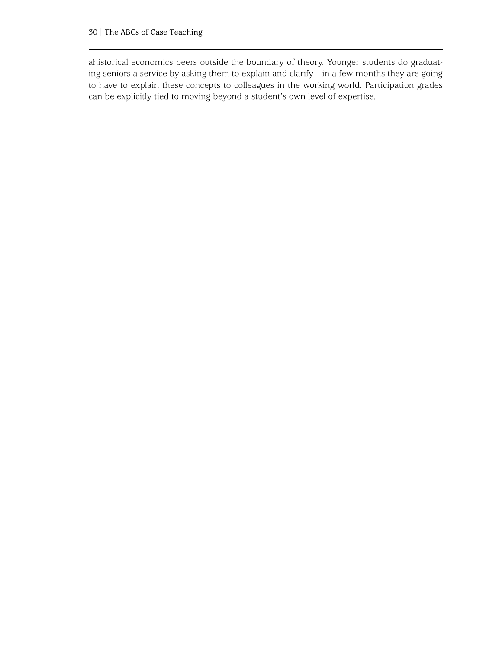ahistorical economics peers outside the boundary of theory. Younger students do graduating seniors a service by asking them to explain and clarify—in a few months they are going to have to explain these concepts to colleagues in the working world. Participation grades can be explicitly tied to moving beyond a student's own level of expertise.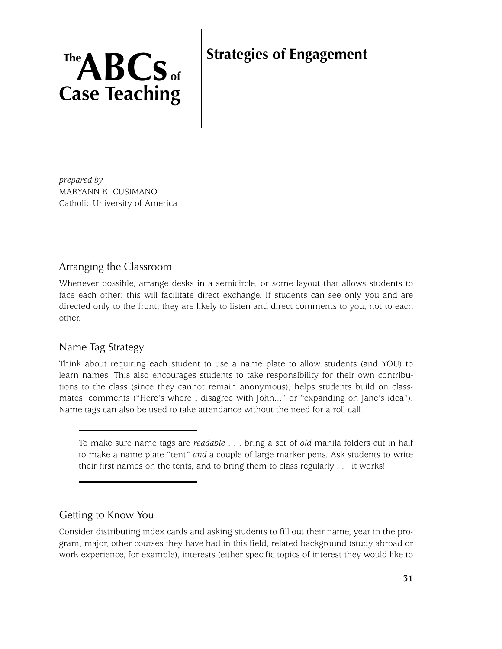# **Strategies of Engagement**

*prepared by* MARYANN K. CUSIMANO Catholic University of America

**TheABCs of**

**Case Teaching**

#### Arranging the Classroom

Whenever possible, arrange desks in a semicircle, or some layout that allows students to face each other; this will facilitate direct exchange. If students can see only you and are directed only to the front, they are likely to listen and direct comments to you, not to each other.

#### Name Tag Strategy

Think about requiring each student to use a name plate to allow students (and YOU) to learn names. This also encourages students to take responsibility for their own contributions to the class (since they cannot remain anonymous), helps students build on classmates' comments ("Here's where I disagree with John..." or "expanding on Jane's idea"). Name tags can also be used to take attendance without the need for a roll call.

To make sure name tags are *readable* . . . bring a set of *old* manila folders cut in half to make a name plate "tent" *and* a couple of large marker pens. Ask students to write their first names on the tents, and to bring them to class regularly . . . it works!

#### Getting to Know You

Consider distributing index cards and asking students to fill out their name, year in the program, major, other courses they have had in this field, related background (study abroad or work experience, for example), interests (either specific topics of interest they would like to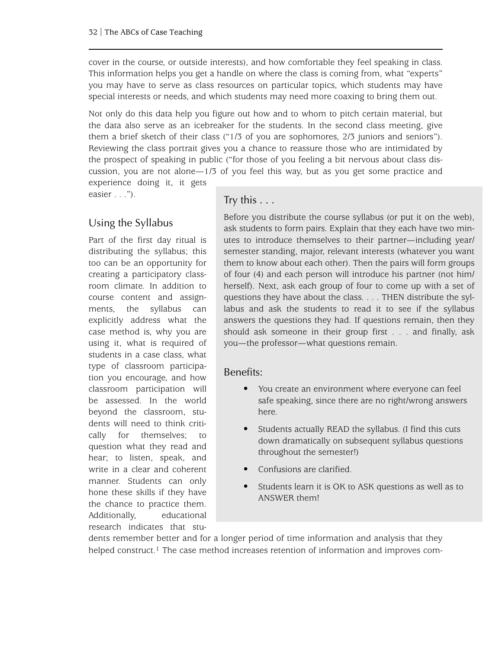cover in the course, or outside interests), and how comfortable they feel speaking in class. This information helps you get a handle on where the class is coming from, what "experts" you may have to serve as class resources on particular topics, which students may have special interests or needs, and which students may need more coaxing to bring them out.

Not only do this data help you figure out how and to whom to pitch certain material, but the data also serve as an icebreaker for the students. In the second class meeting, give them a brief sketch of their class ("1/3 of you are sophomores, 2/3 juniors and seniors"). Reviewing the class portrait gives you a chance to reassure those who are intimidated by the prospect of speaking in public ("for those of you feeling a bit nervous about class discussion, you are not alone—1/3 of you feel this way, but as you get some practice and experience doing it, it gets

easier . . .").

#### Using the Syllabus

Part of the first day ritual is distributing the syllabus; this too can be an opportunity for creating a participatory classroom climate. In addition to course content and assignments, the syllabus can explicitly address what the case method is, why you are using it, what is required of students in a case class, what type of classroom participation you encourage, and how classroom participation will be assessed. In the world beyond the classroom, students will need to think critically for themselves; to question what they read and hear; to listen, speak, and write in a clear and coherent manner. Students can only hone these skills if they have the chance to practice them. Additionally, educational research indicates that stu-

#### Try this . . .

Before you distribute the course syllabus (or put it on the web), ask students to form pairs. Explain that they each have two minutes to introduce themselves to their partner—including year/ semester standing, major, relevant interests (whatever you want them to know about each other). Then the pairs will form groups of four (4) and each person will introduce his partner (not him/ herself). Next, ask each group of four to come up with a set of questions they have about the class. . . . THEN distribute the syllabus and ask the students to read it to see if the syllabus answers the questions they had. If questions remain, then they should ask someone in their group first . . . and finally, ask you—the professor—what questions remain.

#### Benefits:

- You create an environment where everyone can feel safe speaking, since there are no right/wrong answers here.
- Students actually READ the syllabus. (I find this cuts down dramatically on subsequent syllabus questions throughout the semester!)
- Confusions are clarified.
- Students learn it is OK to ASK questions as well as to ANSWER them!

dents remember better and for a longer period of time information and analysis that they helped construct.<sup>1</sup> The case method increases retention of information and improves com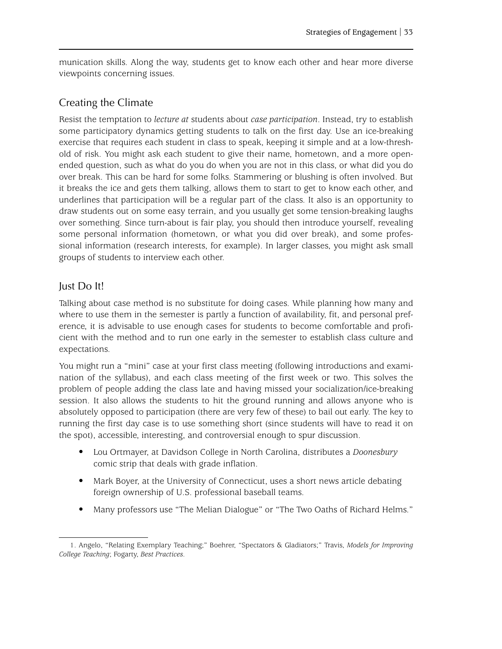munication skills. Along the way, students get to know each other and hear more diverse viewpoints concerning issues.

#### Creating the Climate

Resist the temptation to *lecture at* students about *case participation*. Instead, try to establish some participatory dynamics getting students to talk on the first day. Use an ice-breaking exercise that requires each student in class to speak, keeping it simple and at a low-threshold of risk. You might ask each student to give their name, hometown, and a more openended question, such as what do you do when you are not in this class, or what did you do over break. This can be hard for some folks. Stammering or blushing is often involved. But it breaks the ice and gets them talking, allows them to start to get to know each other, and underlines that participation will be a regular part of the class. It also is an opportunity to draw students out on some easy terrain, and you usually get some tension-breaking laughs over something. Since turn-about is fair play, you should then introduce yourself, revealing some personal information (hometown, or what you did over break), and some professional information (research interests, for example). In larger classes, you might ask small groups of students to interview each other.

### Just Do It!

Talking about case method is no substitute for doing cases. While planning how many and where to use them in the semester is partly a function of availability, fit, and personal preference, it is advisable to use enough cases for students to become comfortable and proficient with the method and to run one early in the semester to establish class culture and expectations.

You might run a "mini" case at your first class meeting (following introductions and examination of the syllabus), and each class meeting of the first week or two. This solves the problem of people adding the class late and having missed your socialization/ice-breaking session. It also allows the students to hit the ground running and allows anyone who is absolutely opposed to participation (there are very few of these) to bail out early. The key to running the first day case is to use something short (since students will have to read it on the spot), accessible, interesting, and controversial enough to spur discussion.

- Lou Ortmayer, at Davidson College in North Carolina, distributes a *Doonesbury* comic strip that deals with grade inflation.
- Mark Boyer, at the University of Connecticut, uses a short news article debating foreign ownership of U.S. professional baseball teams.
- Many professors use "The Melian Dialogue" or "The Two Oaths of Richard Helms."

<sup>1.</sup> Angelo, "Relating Exemplary Teaching;" Boehrer, "Spectators & Gladiators;" Travis, *Models for Improving College Teaching*; Fogarty, *Best Practices*.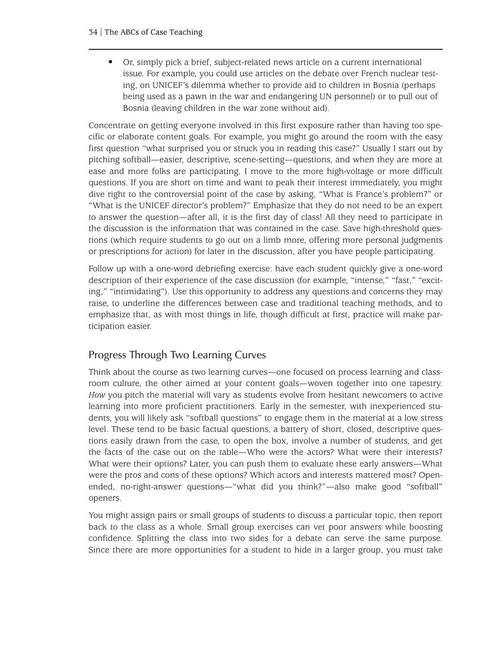• Or, simply pick a brief, subject-related news article on a current international issue. For example, you could use articles on the debate over French nuclear testing, on UNICEF's dilemma whether to provide aid to children in Bosnia (perhaps being used as a pawn in the war and endangering UN personnel) or to pull out of Bosnia (leaving children in the war zone without aid).

Concentrate on getting everyone involved in this first exposure rather than having too specific or elaborate content goals. For example, you might go around the room with the easy first question "what surprised you or struck you in reading this case?" Usually I start out by pitching softball—easier, descriptive, scene-setting—questions, and when they are more at ease and more folks are participating, I move to the more high-voltage or more difficult questions. If you are short on time and want to peak their interest immediately, you might dive right to the controversial point of the case by asking, "What is France's problem?" or "What is the UNICEF director's problem?" Emphasize that they do not need to be an expert to answer the question—after all, it is the first day of class! All they need to participate in the discussion is the information that was contained in the case. Save high-threshold questions (which require students to go out on a limb more, offering more personal judgments or prescriptions for action) for later in the discussion, after you have people participating.

Follow up with a one-word debriefing exercise: have each student quickly give a one-word description of their experience of the case discussion (for example, "intense," "fast," "exciting," "intimidating"). Use this opportunity to address any questions and concerns they may raise, to underline the differences between case and traditional teaching methods, and to emphasize that, as with most things in life, though difficult at first, practice will make participation easier.

#### Progress Through Two Learning Curves

Think about the course as two learning curves—one focused on process learning and classroom culture, the other aimed at your content goals—woven together into one tapestry. *How* you pitch the material will vary as students evolve from hesitant newcomers to active learning into more proficient practitioners. Early in the semester, with inexperienced students, you will likely ask "softball questions" to engage them in the material at a low stress level. These tend to be basic factual questions, a battery of short, closed, descriptive questions easily drawn from the case, to open the box, involve a number of students, and get the facts of the case out on the table—Who were the actors? What were their interests? What were their options? Later, you can push them to evaluate these early answers—What were the pros and cons of these options? Which actors and interests mattered most? Openended, no-right-answer questions—"what did you think?"—also make good "softball" openers.

You might assign pairs or small groups of students to discuss a particular topic, then report back to the class as a whole. Small group exercises can vet poor answers while boosting confidence. Splitting the class into two sides for a debate can serve the same purpose. Since there are more opportunities for a student to hide in a larger group, you must take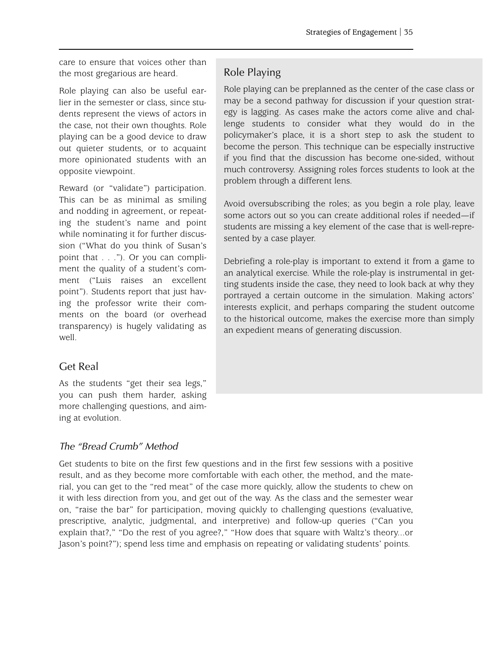care to ensure that voices other than the most gregarious are heard.

Role playing can also be useful earlier in the semester or class, since students represent the views of actors in the case, not their own thoughts. Role playing can be a good device to draw out quieter students, or to acquaint more opinionated students with an opposite viewpoint.

Reward (or "validate") participation. This can be as minimal as smiling and nodding in agreement, or repeating the student's name and point while nominating it for further discussion ("What do you think of Susan's point that . . ."). Or you can compliment the quality of a student's comment ("Luis raises an excellent point"). Students report that just having the professor write their comments on the board (or overhead transparency) is hugely validating as well.

## Get Real

As the students "get their sea legs," you can push them harder, asking more challenging questions, and aiming at evolution.

#### *The "Bread Crumb" Method*

Get students to bite on the first few questions and in the first few sessions with a positive result, and as they become more comfortable with each other, the method, and the material, you can get to the "red meat" of the case more quickly, allow the students to chew on it with less direction from you, and get out of the way. As the class and the semester wear on, "raise the bar" for participation, moving quickly to challenging questions (evaluative, prescriptive, analytic, judgmental, and interpretive) and follow-up queries ("Can you explain that?," "Do the rest of you agree?," "How does that square with Waltz's theory...or Jason's point?"); spend less time and emphasis on repeating or validating students' points.

## Role Playing

Role playing can be preplanned as the center of the case class or may be a second pathway for discussion if your question strategy is lagging. As cases make the actors come alive and challenge students to consider what they would do in the policymaker's place, it is a short step to ask the student to become the person. This technique can be especially instructive if you find that the discussion has become one-sided, without much controversy. Assigning roles forces students to look at the problem through a different lens.

Avoid oversubscribing the roles; as you begin a role play, leave some actors out so you can create additional roles if needed—if students are missing a key element of the case that is well-represented by a case player.

Debriefing a role-play is important to extend it from a game to an analytical exercise. While the role-play is instrumental in getting students inside the case, they need to look back at why they portrayed a certain outcome in the simulation. Making actors' interests explicit, and perhaps comparing the student outcome to the historical outcome, makes the exercise more than simply an expedient means of generating discussion.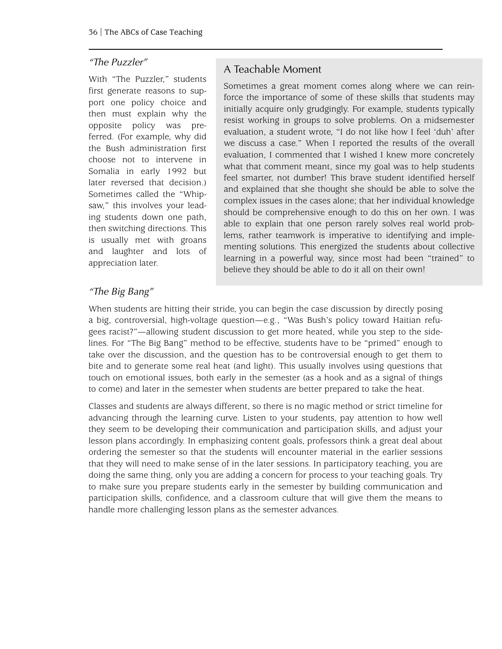#### *"The Puzzler"*

With "The Puzzler," students first generate reasons to support one policy choice and then must explain why the opposite policy was preferred. (For example, why did the Bush administration first choose not to intervene in Somalia in early 1992 but later reversed that decision.) Sometimes called the "Whipsaw," this involves your leading students down one path, then switching directions. This is usually met with groans and laughter and lots of appreciation later.

#### A Teachable Moment

Sometimes a great moment comes along where we can reinforce the importance of some of these skills that students may initially acquire only grudgingly. For example, students typically resist working in groups to solve problems. On a midsemester evaluation, a student wrote, "I do not like how I feel 'duh' after we discuss a case." When I reported the results of the overall evaluation, I commented that I wished I knew more concretely what that comment meant, since my goal was to help students feel smarter, not dumber! This brave student identified herself and explained that she thought she should be able to solve the complex issues in the cases alone; that her individual knowledge should be comprehensive enough to do this on her own. I was able to explain that one person rarely solves real world problems, rather teamwork is imperative to identifying and implementing solutions. This energized the students about collective learning in a powerful way, since most had been "trained" to believe they should be able to do it all on their own!

#### *"The Big Bang"*

When students are hitting their stride, you can begin the case discussion by directly posing a big, controversial, high-voltage question—e.g., "Was Bush's policy toward Haitian refugees racist?"—allowing student discussion to get more heated, while you step to the sidelines. For "The Big Bang" method to be effective, students have to be "primed" enough to take over the discussion, and the question has to be controversial enough to get them to bite and to generate some real heat (and light). This usually involves using questions that touch on emotional issues, both early in the semester (as a hook and as a signal of things to come) and later in the semester when students are better prepared to take the heat.

Classes and students are always different, so there is no magic method or strict timeline for advancing through the learning curve. Listen to your students, pay attention to how well they seem to be developing their communication and participation skills, and adjust your lesson plans accordingly. In emphasizing content goals, professors think a great deal about ordering the semester so that the students will encounter material in the earlier sessions that they will need to make sense of in the later sessions. In participatory teaching, you are doing the same thing, only you are adding a concern for process to your teaching goals. Try to make sure you prepare students early in the semester by building communication and participation skills, confidence, and a classroom culture that will give them the means to handle more challenging lesson plans as the semester advances.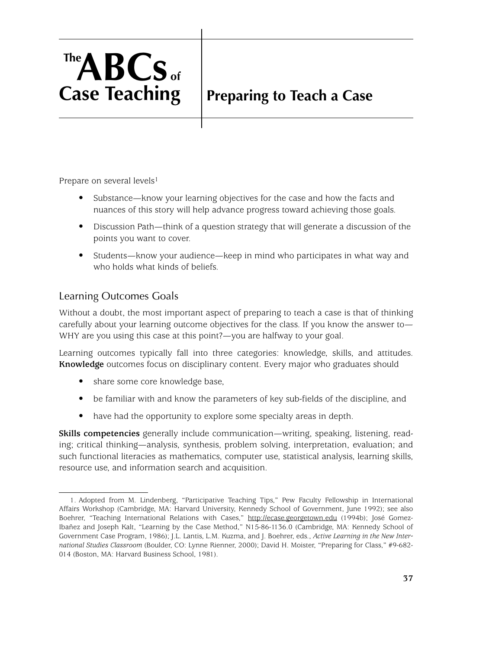# **TheABCs of Case Teaching**

# **Preparing to Teach a Case**

Prepare on several levels<sup>1</sup>

- Substance—know your learning objectives for the case and how the facts and nuances of this story will help advance progress toward achieving those goals.
- Discussion Path—think of a question strategy that will generate a discussion of the points you want to cover.
- Students—know your audience—keep in mind who participates in what way and who holds what kinds of beliefs.

### Learning Outcomes Goals

Without a doubt, the most important aspect of preparing to teach a case is that of thinking carefully about your learning outcome objectives for the class. If you know the answer to— WHY are you using this case at this point?—you are halfway to your goal.

Learning outcomes typically fall into three categories: knowledge, skills, and attitudes. **Knowledge** outcomes focus on disciplinary content. Every major who graduates should

- share some core knowledge base,
- be familiar with and know the parameters of key sub-fields of the discipline, and
- have had the opportunity to explore some specialty areas in depth.

**Skills competencies** generally include communication—writing, speaking, listening, reading; critical thinking—analysis, synthesis, problem solving, interpretation, evaluation; and such functional literacies as mathematics, computer use, statistical analysis, learning skills, resource use, and information search and acquisition.

<sup>1.</sup> Adopted from M. Lindenberg, "Participative Teaching Tips," Pew Faculty Fellowship in International Affairs Workshop (Cambridge, MA: Harvard University, Kennedy School of Government, June 1992); see also Boehrer, "Teaching International Relations with Cases," <http://ecase.georgetown.edu> (1994b); José Gomez-Ibañez and Joseph Kalt, "Learning by the Case Method," N15-86-1136.0 (Cambridge, MA: Kennedy School of Government Case Program, 1986); J.L. Lantis, L.M. Kuzma, and J. Boehrer, eds., *Active Learning in the New International Studies Classroom* (Boulder, CO: Lynne Rienner, 2000); David H. Moister, "Preparing for Class," #9-682- 014 (Boston, MA: Harvard Business School, 1981).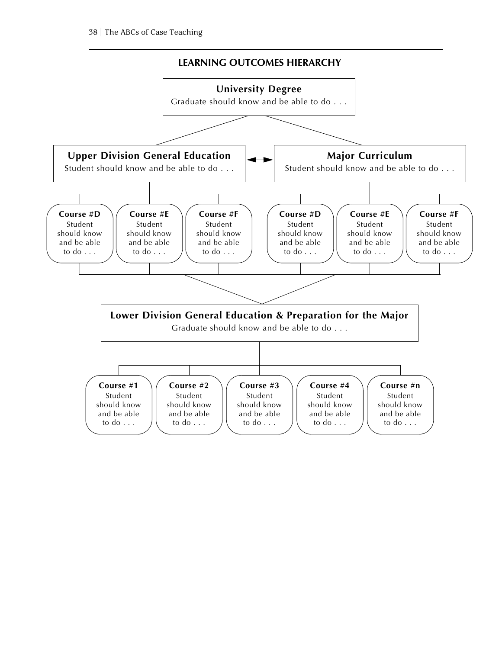#### **LEARNING OUTCOMES HIERARCHY**

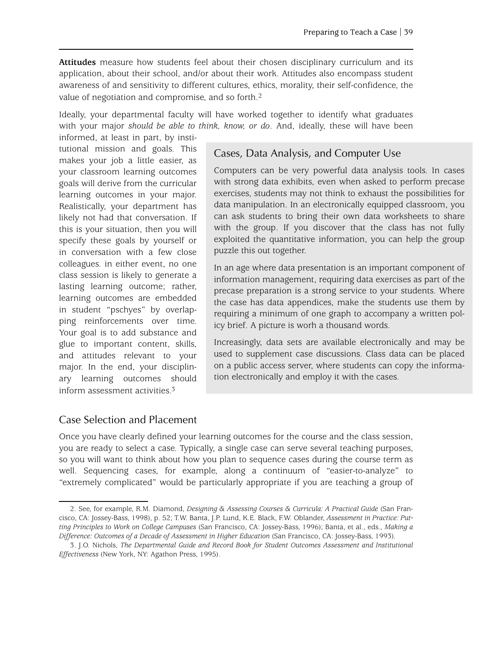**Attitudes** measure how students feel about their chosen disciplinary curriculum and its application, about their school, and/or about their work. Attitudes also encompass student awareness of and sensitivity to different cultures, ethics, morality, their self-confidence, the value of negotiation and compromise, and so forth.2

Ideally, your departmental faculty will have worked together to identify what graduates with your major *should be able to think, know, or do*. And, ideally, these will have been

informed, at least in part, by institutional mission and goals. This makes your job a little easier, as your classroom learning outcomes goals will derive from the curricular learning outcomes in your major. Realistically, your department has likely not had that conversation. If this is your situation, then you will specify these goals by yourself or in conversation with a few close colleagues. in either event, no one class session is likely to generate a lasting learning outcome; rather, learning outcomes are embedded in student "pschyes" by overlapping reinforcements over time. Your goal is to add substance and glue to important content, skills, and attitudes relevant to your major. In the end, your disciplinary learning outcomes should inform assessment activities.3

#### Cases, Data Analysis, and Computer Use

Computers can be very powerful data analysis tools. In cases with strong data exhibits, even when asked to perform precase exercises, students may not think to exhaust the possibilities for data manipulation. In an electronically equipped classroom, you can ask students to bring their own data worksheets to share with the group. If you discover that the class has not fully exploited the quantitative information, you can help the group puzzle this out together.

In an age where data presentation is an important component of information management, requiring data exercises as part of the precase preparation is a strong service to your students. Where the case has data appendices, make the students use them by requiring a minimum of one graph to accompany a written policy brief. A picture is worh a thousand words.

Increasingly, data sets are available electronically and may be used to supplement case discussions. Class data can be placed on a public access server, where students can copy the information electronically and employ it with the cases.

#### Case Selection and Placement

Once you have clearly defined your learning outcomes for the course and the class session, you are ready to select a case. Typically, a single case can serve several teaching purposes, so you will want to think about how you plan to sequence cases during the course term as well. Sequencing cases, for example, along a continuum of "easier-to-analyze" to "extremely complicated" would be particularly appropriate if you are teaching a group of

<sup>2.</sup> See, for example, R.M. Diamond, *Designing & Assessing Courses & Curricula: A Practical Guide* (San Francisco, CA: Jossey-Bass, 1998), p. 52; T.W. Banta, J.P. Lund, K.E. Black, F.W. Oblander, *Assessment in Practice: Putting Principles to Work on College Campuses* (San Francisco, CA: Jossey-Bass, 1996); Banta, et al., eds., *Making a Difference: Outcomes of a Decade of Assessment in Higher Education* (San Francisco, CA: Jossey-Bass, 1993).

<sup>3.</sup> J.O. Nichols, *The Departmental Guide and Record Book for Student Outcomes Assessment and Institutional Effectiveness* (New York, NY: Agathon Press, 1995).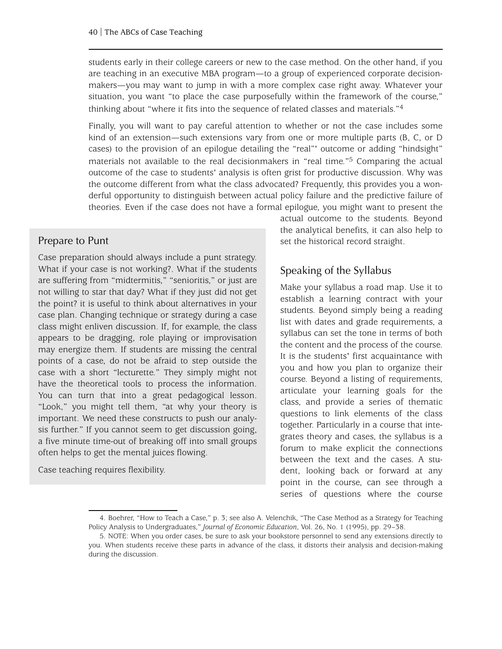students early in their college careers or new to the case method. On the other hand, if you are teaching in an executive MBA program—to a group of experienced corporate decisionmakers—you may want to jump in with a more complex case right away. Whatever your situation, you want "to place the case purposefully within the framework of the course," thinking about "where it fits into the sequence of related classes and materials."4

Finally, you will want to pay careful attention to whether or not the case includes some kind of an extension—such extensions vary from one or more multiple parts (B, C, or D cases) to the provision of an epilogue detailing the "real"' outcome or adding "hindsight" materials not available to the real decisionmakers in "real time."<sup>5</sup> Comparing the actual outcome of the case to students' analysis is often grist for productive discussion. Why was the outcome different from what the class advocated? Frequently, this provides you a wonderful opportunity to distinguish between actual policy failure and the predictive failure of theories. Even if the case does not have a formal epilogue, you might want to present the

#### Prepare to Punt

Case preparation should always include a punt strategy. What if your case is not working?. What if the students are suffering from "midtermitis," "senioritis," or just are not willing to star that day? What if they just did not get the point? it is useful to think about alternatives in your case plan. Changing technique or strategy during a case class might enliven discussion. If, for example, the class appears to be dragging, role playing or improvisation may energize them. If students are missing the central points of a case, do not be afraid to step outside the case with a short "lecturette." They simply might not have the theoretical tools to process the information. You can turn that into a great pedagogical lesson. "Look," you might tell them, "at why your theory is important. We need these constructs to push our analysis further." If you cannot seem to get discussion going, a five minute time-out of breaking off into small groups often helps to get the mental juices flowing.

Case teaching requires flexibility.

actual outcome to the students. Beyond the analytical benefits, it can also help to set the historical record straight.

#### Speaking of the Syllabus

Make your syllabus a road map. Use it to establish a learning contract with your students. Beyond simply being a reading list with dates and grade requirements, a syllabus can set the tone in terms of both the content and the process of the course. It is the students' first acquaintance with you and how you plan to organize their course. Beyond a listing of requirements, articulate your learning goals for the class, and provide a series of thematic questions to link elements of the class together. Particularly in a course that integrates theory and cases, the syllabus is a forum to make explicit the connections between the text and the cases. A student, looking back or forward at any point in the course, can see through a series of questions where the course

<sup>4.</sup> Boehrer, "How to Teach a Case," p. 3; see also A. Velenchik, "The Case Method as a Strategy for Teaching Policy Analysis to Undergraduates," *Journal of Economic Education*, Vol. 26, No. 1 (1995), pp. 29–38.

<sup>5.</sup> NOTE: When you order cases, be sure to ask your bookstore personnel to send any extensions directly to you. When students receive these parts in advance of the class, it distorts their analysis and decision-making during the discussion.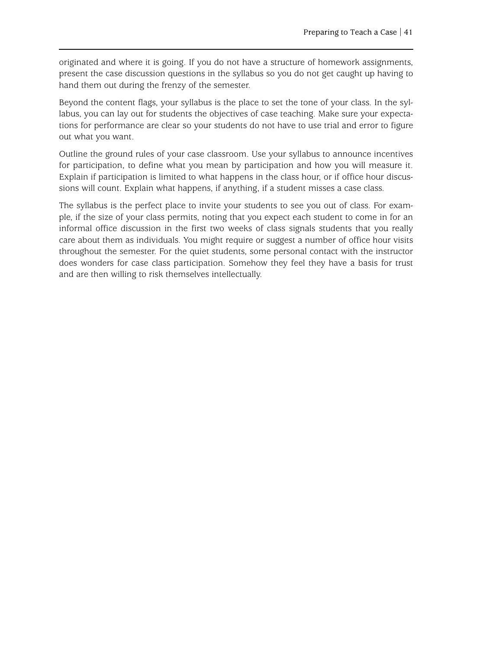originated and where it is going. If you do not have a structure of homework assignments, present the case discussion questions in the syllabus so you do not get caught up having to hand them out during the frenzy of the semester.

Beyond the content flags, your syllabus is the place to set the tone of your class. In the syllabus, you can lay out for students the objectives of case teaching. Make sure your expectations for performance are clear so your students do not have to use trial and error to figure out what you want.

Outline the ground rules of your case classroom. Use your syllabus to announce incentives for participation, to define what you mean by participation and how you will measure it. Explain if participation is limited to what happens in the class hour, or if office hour discussions will count. Explain what happens, if anything, if a student misses a case class.

The syllabus is the perfect place to invite your students to see you out of class. For example, if the size of your class permits, noting that you expect each student to come in for an informal office discussion in the first two weeks of class signals students that you really care about them as individuals. You might require or suggest a number of office hour visits throughout the semester. For the quiet students, some personal contact with the instructor does wonders for case class participation. Somehow they feel they have a basis for trust and are then willing to risk themselves intellectually.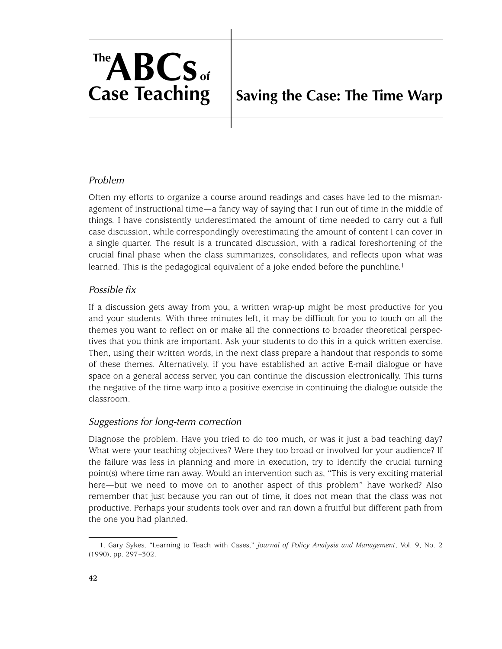# **TheABCs of Case Teaching**

## **Saving the Case: The Time Warp**

#### *Problem*

Often my efforts to organize a course around readings and cases have led to the mismanagement of instructional time—a fancy way of saying that I run out of time in the middle of things. I have consistently underestimated the amount of time needed to carry out a full case discussion, while correspondingly overestimating the amount of content I can cover in a single quarter. The result is a truncated discussion, with a radical foreshortening of the crucial final phase when the class summarizes, consolidates, and reflects upon what was learned. This is the pedagogical equivalent of a joke ended before the punchline.<sup>1</sup>

#### *Possible fix*

If a discussion gets away from you, a written wrap-up might be most productive for you and your students. With three minutes left, it may be difficult for you to touch on all the themes you want to reflect on or make all the connections to broader theoretical perspectives that you think are important. Ask your students to do this in a quick written exercise. Then, using their written words, in the next class prepare a handout that responds to some of these themes. Alternatively, if you have established an active E-mail dialogue or have space on a general access server, you can continue the discussion electronically. This turns the negative of the time warp into a positive exercise in continuing the dialogue outside the classroom.

#### *Suggestions for long-term correction*

Diagnose the problem. Have you tried to do too much, or was it just a bad teaching day? What were your teaching objectives? Were they too broad or involved for your audience? If the failure was less in planning and more in execution, try to identify the crucial turning point(s) where time ran away. Would an intervention such as, "This is very exciting material here—but we need to move on to another aspect of this problem" have worked? Also remember that just because you ran out of time, it does not mean that the class was not productive. Perhaps your students took over and ran down a fruitful but different path from the one you had planned.

<sup>1.</sup> Gary Sykes, "Learning to Teach with Cases," *Journal of Policy Analysis and Management*, Vol. 9, No. 2 (1990), pp. 297–302.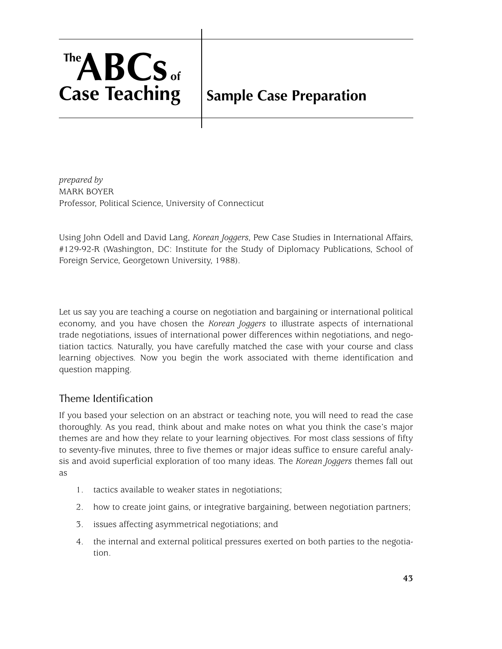# **TheABCs of Case Teaching**

## **Sample Case Preparation**

*prepared by* MARK BOYER Professor, Political Science, University of Connecticut

Using John Odell and David Lang, *Korean Joggers*, Pew Case Studies in International Affairs, #129-92-R (Washington, DC: Institute for the Study of Diplomacy Publications, School of Foreign Service, Georgetown University, 1988).

Let us say you are teaching a course on negotiation and bargaining or international political economy, and you have chosen the *Korean Joggers* to illustrate aspects of international trade negotiations, issues of international power differences within negotiations, and negotiation tactics. Naturally, you have carefully matched the case with your course and class learning objectives. Now you begin the work associated with theme identification and question mapping.

## Theme Identification

If you based your selection on an abstract or teaching note, you will need to read the case thoroughly. As you read, think about and make notes on what you think the case's major themes are and how they relate to your learning objectives. For most class sessions of fifty to seventy-five minutes, three to five themes or major ideas suffice to ensure careful analysis and avoid superficial exploration of too many ideas. The *Korean Joggers* themes fall out as

- 1. tactics available to weaker states in negotiations;
- 2. how to create joint gains, or integrative bargaining, between negotiation partners;
- 3. issues affecting asymmetrical negotiations; and
- 4. the internal and external political pressures exerted on both parties to the negotiation.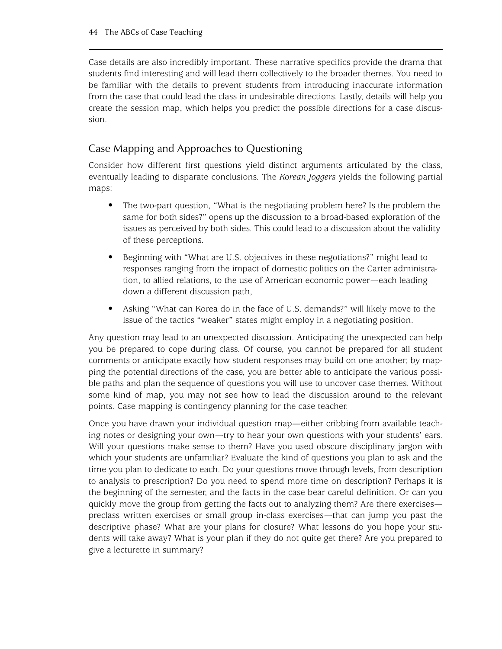Case details are also incredibly important. These narrative specifics provide the drama that students find interesting and will lead them collectively to the broader themes. You need to be familiar with the details to prevent students from introducing inaccurate information from the case that could lead the class in undesirable directions. Lastly, details will help you create the session map, which helps you predict the possible directions for a case discussion.

#### Case Mapping and Approaches to Questioning

Consider how different first questions yield distinct arguments articulated by the class, eventually leading to disparate conclusions. The *Korean Joggers* yields the following partial maps:

- The two-part question, "What is the negotiating problem here? Is the problem the same for both sides?" opens up the discussion to a broad-based exploration of the issues as perceived by both sides. This could lead to a discussion about the validity of these perceptions.
- Beginning with "What are U.S. objectives in these negotiations?" might lead to responses ranging from the impact of domestic politics on the Carter administration, to allied relations, to the use of American economic power—each leading down a different discussion path,
- Asking "What can Korea do in the face of U.S. demands?" will likely move to the issue of the tactics "weaker" states might employ in a negotiating position.

Any question may lead to an unexpected discussion. Anticipating the unexpected can help you be prepared to cope during class. Of course, you cannot be prepared for all student comments or anticipate exactly how student responses may build on one another; by mapping the potential directions of the case, you are better able to anticipate the various possible paths and plan the sequence of questions you will use to uncover case themes. Without some kind of map, you may not see how to lead the discussion around to the relevant points. Case mapping is contingency planning for the case teacher.

Once you have drawn your individual question map—either cribbing from available teaching notes or designing your own—try to hear your own questions with your students' ears. Will your questions make sense to them? Have you used obscure disciplinary jargon with which your students are unfamiliar? Evaluate the kind of questions you plan to ask and the time you plan to dedicate to each. Do your questions move through levels, from description to analysis to prescription? Do you need to spend more time on description? Perhaps it is the beginning of the semester, and the facts in the case bear careful definition. Or can you quickly move the group from getting the facts out to analyzing them? Are there exercises preclass written exercises or small group in-class exercises—that can jump you past the descriptive phase? What are your plans for closure? What lessons do you hope your students will take away? What is your plan if they do not quite get there? Are you prepared to give a lecturette in summary?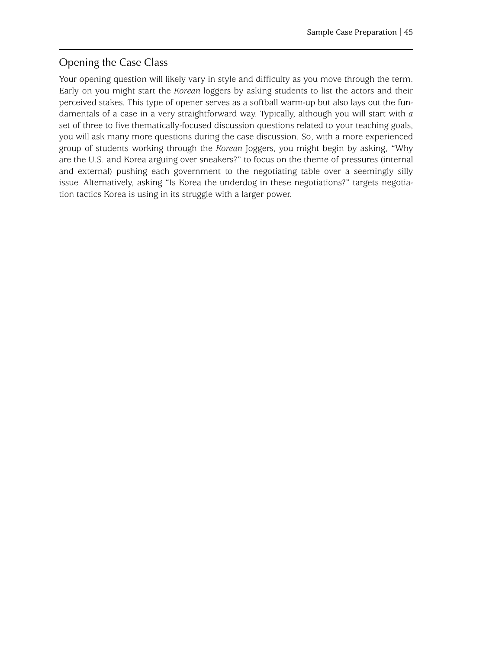### Opening the Case Class

Your opening question will likely vary in style and difficulty as you move through the term. Early on you might start the *Korean* loggers by asking students to list the actors and their perceived stakes. This type of opener serves as a softball warm-up but also lays out the fundamentals of a case in a very straightforward way. Typically, although you will start with *a* set of three to five thematically-focused discussion questions related to your teaching goals, you will ask many more questions during the case discussion. So, with a more experienced group of students working through the *Korean* Joggers, you might begin by asking, "Why are the U.S. and Korea arguing over sneakers?" to focus on the theme of pressures (internal and external) pushing each government to the negotiating table over a seemingly silly issue. Alternatively, asking "Is Korea the underdog in these negotiations?" targets negotiation tactics Korea is using in its struggle with a larger power.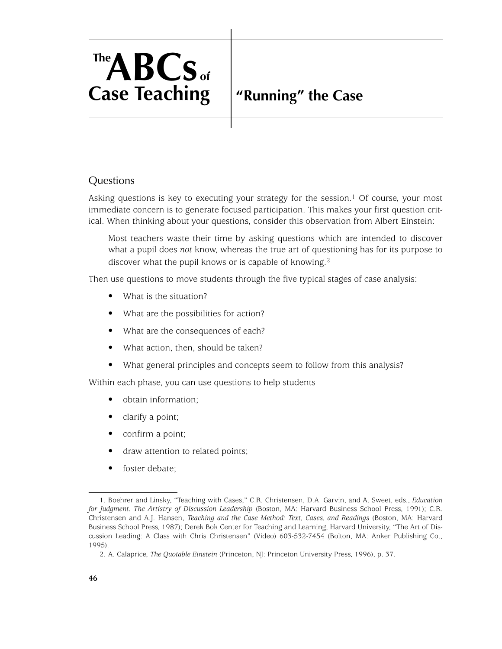# **TheABCs of Case Teaching**

## **"Running" the Case**

#### **Questions**

Asking questions is key to executing your strategy for the session.<sup>1</sup> Of course, your most immediate concern is to generate focused participation. This makes your first question critical. When thinking about your questions, consider this observation from Albert Einstein:

Most teachers waste their time by asking questions which are intended to discover what a pupil does *not* know, whereas the true art of questioning has for its purpose to discover what the pupil knows or is capable of knowing.2

Then use questions to move students through the five typical stages of case analysis:

- What is the situation?
- What are the possibilities for action?
- What are the consequences of each?
- What action, then, should be taken?
- What general principles and concepts seem to follow from this analysis?

Within each phase, you can use questions to help students

- obtain information;
- clarify a point;
- confirm a point;
- draw attention to related points;
- foster debate:

<sup>1.</sup> Boehrer and Linsky, "Teaching with Cases;" C.R. Christensen, D.A. Garvin, and A. Sweet, eds., *Education for Judgment. The Artistry of Discussion Leadership* (Boston, MA: Harvard Business School Press, 1991); C.R. Christensen and A.J. Hansen, *Teaching and the Case Method: Text, Cases, and Readings* (Boston, MA: Harvard Business School Press, 1987); Derek Bok Center for Teaching and Learning, Harvard University, "The Art of Discussion Leading: A Class with Chris Christensen" (Video) 603-532-7454 (Bolton, MA: Anker Publishing Co., 1995).

<sup>2.</sup> A. Calaprice, *The Quotable Einstein* (Princeton, NJ: Princeton University Press, 1996), p. 37.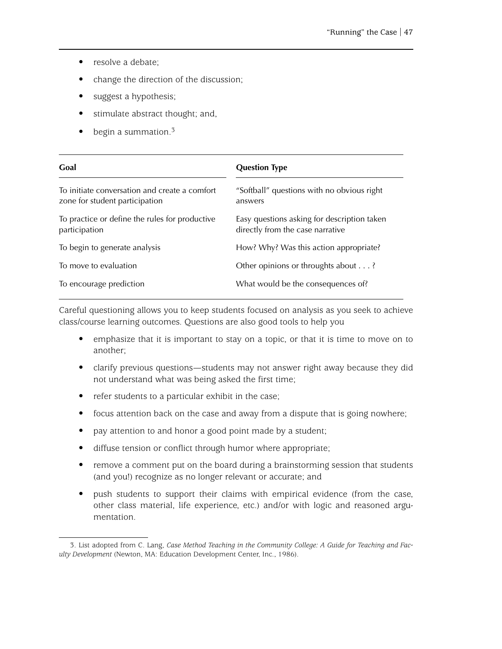- resolve a debate;
- change the direction of the discussion;
- suggest a hypothesis;
- stimulate abstract thought; and,
- begin a summation.<sup>3</sup>

| Goal                                                                            | <b>Question Type</b>                                                            |
|---------------------------------------------------------------------------------|---------------------------------------------------------------------------------|
| To initiate conversation and create a comfort<br>zone for student participation | "Softball" questions with no obvious right<br>answers                           |
| To practice or define the rules for productive<br>participation                 | Easy questions asking for description taken<br>directly from the case narrative |
| To begin to generate analysis                                                   | How? Why? Was this action appropriate?                                          |
| To move to evaluation                                                           | Other opinions or throughts about?                                              |
| To encourage prediction                                                         | What would be the consequences of?                                              |

Careful questioning allows you to keep students focused on analysis as you seek to achieve class/course learning outcomes. Questions are also good tools to help you

- emphasize that it is important to stay on a topic, or that it is time to move on to another;
- clarify previous questions—students may not answer right away because they did not understand what was being asked the first time;
- refer students to a particular exhibit in the case;
- focus attention back on the case and away from a dispute that is going nowhere;
- pay attention to and honor a good point made by a student;
- diffuse tension or conflict through humor where appropriate;
- remove a comment put on the board during a brainstorming session that students (and you!) recognize as no longer relevant or accurate; and
- push students to support their claims with empirical evidence (from the case, other class material, life experience, etc.) and/or with logic and reasoned argumentation.

<sup>3.</sup> List adopted from C. Lang, *Case Method Teaching in the Community College: A Guide for Teaching and Faculty Development* (Newton, MA: Education Development Center, Inc., 1986).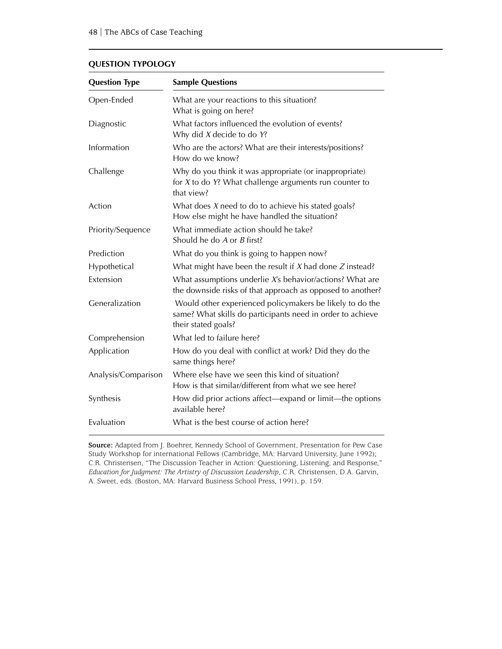#### **QUESTION TYPOLOGY**

| <b>Sample Questions</b><br><b>Question Type</b> |                                                                                                                                               |  |  |
|-------------------------------------------------|-----------------------------------------------------------------------------------------------------------------------------------------------|--|--|
| Open-Ended                                      | What are your reactions to this situation?<br>What is going on here?                                                                          |  |  |
| Diagnostic                                      | What factors influenced the evolution of events?<br>Why did $X$ decide to do $Y$ ?                                                            |  |  |
| Information                                     | Who are the actors? What are their interests/positions?<br>How do we know?                                                                    |  |  |
| Challenge                                       | Why do you think it was appropriate (or inappropriate)<br>for $X$ to do $Y$ ? What challenge arguments run counter to<br>that view?           |  |  |
| Action                                          | What does $X$ need to do to achieve his stated goals?<br>How else might he have handled the situation?                                        |  |  |
| Priority/Sequence                               | What immediate action should he take?<br>Should he do A or B first?                                                                           |  |  |
| Prediction                                      | What do you think is going to happen now?                                                                                                     |  |  |
| Hypothetical                                    | What might have been the result if $X$ had done $Z$ instead?                                                                                  |  |  |
| Extension                                       | What assumptions underlie X's behavior/actions? What are<br>the downside risks of that approach as opposed to another?                        |  |  |
| Generalization                                  | Would other experienced policymakers be likely to do the<br>same? What skills do participants need in order to achieve<br>their stated goals? |  |  |
| Comprehension                                   | What led to failure here?                                                                                                                     |  |  |
| Application                                     | How do you deal with conflict at work? Did they do the<br>same things here?                                                                   |  |  |
| Analysis/Comparison                             | Where else have we seen this kind of situation?<br>How is that similar/different from what we see here?                                       |  |  |
| Synthesis                                       | How did prior actions affect—expand or limit—the options<br>available here?                                                                   |  |  |
| Evaluation                                      | What is the best course of action here?                                                                                                       |  |  |

**Source:** Adapted from J. Boehrer, Kennedy School of Government, Presentation for Pew Case Study Workshop for international Fellows (Cambridge, MA: Harvard University, June 1992); C.R. Christensen, "The Discussion Teacher in Action: Questioning, Listening, and Response," *Education for Judgment: The Artistry of Discussion Leadership*, C.R. Christensen, D.A. Garvin, A. Sweet, eds. (Boston, MA: Harvard Business School Press, 1991), p. 159.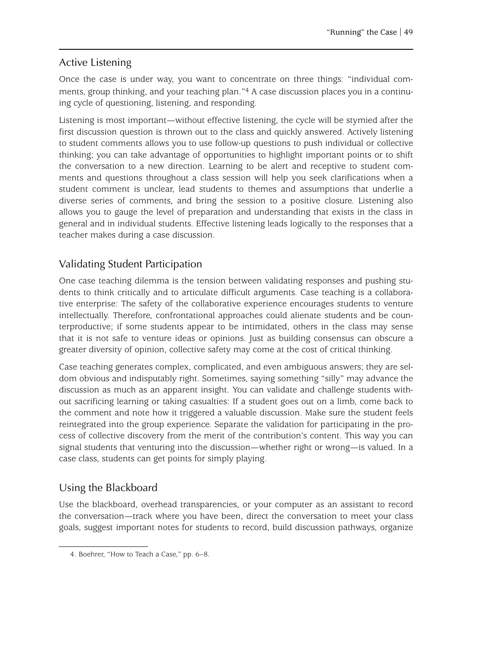#### Active Listening

Once the case is under way, you want to concentrate on three things: "individual comments, group thinking, and your teaching plan."4 A case discussion places you in a continuing cycle of questioning, listening, and responding.

Listening is most important—without effective listening, the cycle will be stymied after the first discussion question is thrown out to the class and quickly answered. Actively listening to student comments allows you to use follow-up questions to push individual or collective thinking; you can take advantage of opportunities to highlight important points or to shift the conversation to a new direction. Learning to be alert and receptive to student comments and questions throughout a class session will help you seek clarifications when a student comment is unclear, lead students to themes and assumptions that underlie a diverse series of comments, and bring the session to a positive closure. Listening also allows you to gauge the level of preparation and understanding that exists in the class in general and in individual students. Effective listening leads logically to the responses that a teacher makes during a case discussion.

#### Validating Student Participation

One case teaching dilemma is the tension between validating responses and pushing students to think critically and to articulate difficult arguments. Case teaching is a collaborative enterprise: The safety of the collaborative experience encourages students to venture intellectually. Therefore, confrontational approaches could alienate students and be counterproductive; if some students appear to be intimidated, others in the class may sense that it is not safe to venture ideas or opinions. Just as building consensus can obscure a greater diversity of opinion, collective safety may come at the cost of critical thinking.

Case teaching generates complex, complicated, and even ambiguous answers; they are seldom obvious and indisputably right. Sometimes, saying something "silly" may advance the discussion as much as an apparent insight. You can validate and challenge students without sacrificing learning or taking casualties: If a student goes out on a limb, come back to the comment and note how it triggered a valuable discussion. Make sure the student feels reintegrated into the group experience. Separate the validation for participating in the process of collective discovery from the merit of the contribution's content. This way you can signal students that venturing into the discussion—whether right or wrong—is valued. In a case class, students can get points for simply playing.

#### Using the Blackboard

Use the blackboard, overhead transparencies, or your computer as an assistant to record the conversation—track where you have been, direct the conversation to meet your class goals, suggest important notes for students to record, build discussion pathways, organize

<sup>4.</sup> Boehrer, "How to Teach a Case," pp. 6–8.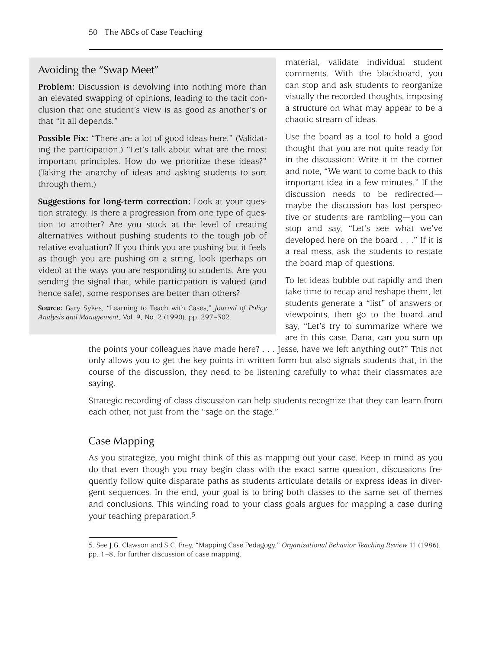#### Avoiding the "Swap Meet"

**Problem:** Discussion is devolving into nothing more than an elevated swapping of opinions, leading to the tacit conclusion that one student's view is as good as another's or that "it all depends."

**Possible Fix:** "There are a lot of good ideas here." (Validating the participation.) "Let's talk about what are the most important principles. How do we prioritize these ideas?" (Taking the anarchy of ideas and asking students to sort through them.)

**Suggestions for long-term correction:** Look at your question strategy. Is there a progression from one type of question to another? Are you stuck at the level of creating alternatives without pushing students to the tough job of relative evaluation? If you think you are pushing but it feels as though you are pushing on a string, look (perhaps on video) at the ways you are responding to students. Are you sending the signal that, while participation is valued (and hence safe), some responses are better than others?

**Source:** Gary Sykes, "Learning to Teach with Cases," *Journal of Policy Analysis and Management*, Vol. 9, No. 2 (1990), pp. 297–302.

material, validate individual student comments. With the blackboard, you can stop and ask students to reorganize visually the recorded thoughts, imposing a structure on what may appear to be a chaotic stream of ideas.

Use the board as a tool to hold a good thought that you are not quite ready for in the discussion: Write it in the corner and note, "We want to come back to this important idea in a few minutes." If the discussion needs to be redirected maybe the discussion has lost perspective or students are rambling—you can stop and say, "Let's see what we've developed here on the board . . ." If it is a real mess, ask the students to restate the board map of questions.

To let ideas bubble out rapidly and then take time to recap and reshape them, let students generate a "list" of answers or viewpoints, then go to the board and say, "Let's try to summarize where we are in this case. Dana, can you sum up

the points your colleagues have made here? . . . Jesse, have we left anything out?" This not only allows you to get the key points in written form but also signals students that, in the course of the discussion, they need to be listening carefully to what their classmates are saying.

Strategic recording of class discussion can help students recognize that they can learn from each other, not just from the "sage on the stage."

## Case Mapping

As you strategize, you might think of this as mapping out your case. Keep in mind as you do that even though you may begin class with the exact same question, discussions frequently follow quite disparate paths as students articulate details or express ideas in divergent sequences. In the end, your goal is to bring both classes to the same set of themes and conclusions. This winding road to your class goals argues for mapping a case during your teaching preparation.5

<sup>5.</sup> See J.G. Clawson and S.C. Frey, "Mapping Case Pedagogy," *Organizational Behavior Teaching Review* 11 (1986), pp. 1–8, for further discussion of case mapping.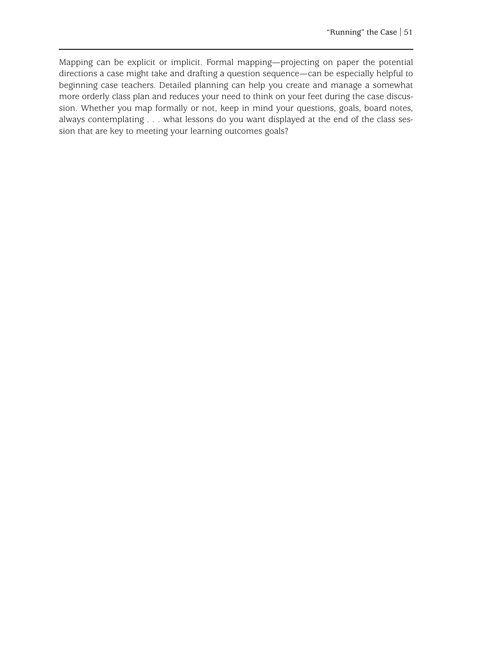Mapping can be explicit or implicit. Formal mapping—projecting on paper the potential directions a case might take and drafting a question sequence—can be especially helpful to beginning case teachers. Detailed planning can help you create and manage a somewhat more orderly class plan and reduces your need to think on your feet during the case discussion. Whether you map formally or not, keep in mind your questions, goals, board notes, always contemplating . . . what lessons do you want displayed at the end of the class session that are key to meeting your learning outcomes goals?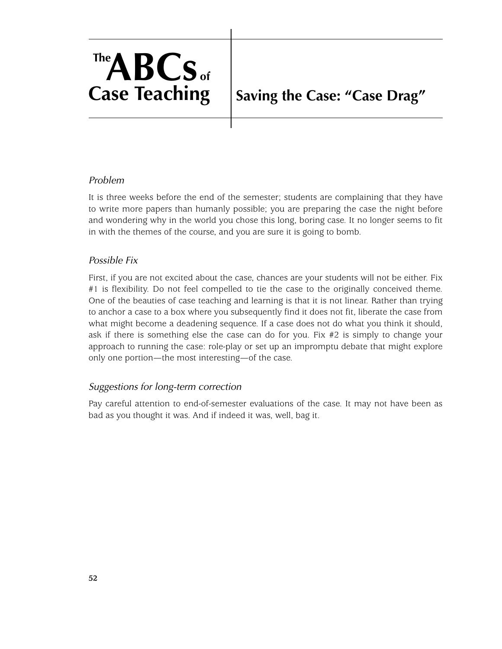# **TheABCs of Case Teaching**

## **Saving the Case: "Case Drag"**

#### *Problem*

It is three weeks before the end of the semester; students are complaining that they have to write more papers than humanly possible; you are preparing the case the night before and wondering why in the world you chose this long, boring case. It no longer seems to fit in with the themes of the course, and you are sure it is going to bomb.

#### *Possible Fix*

First, if you are not excited about the case, chances are your students will not be either. Fix #1 is flexibility. Do not feel compelled to tie the case to the originally conceived theme. One of the beauties of case teaching and learning is that it is not linear. Rather than trying to anchor a case to a box where you subsequently find it does not fit, liberate the case from what might become a deadening sequence. If a case does not do what you think it should, ask if there is something else the case can do for you. Fix #2 is simply to change your approach to running the case: role-play or set up an impromptu debate that might explore only one portion—the most interesting—of the case.

#### *Suggestions for long-term correction*

Pay careful attention to end-of-semester evaluations of the case. It may not have been as bad as you thought it was. And if indeed it was, well, bag it.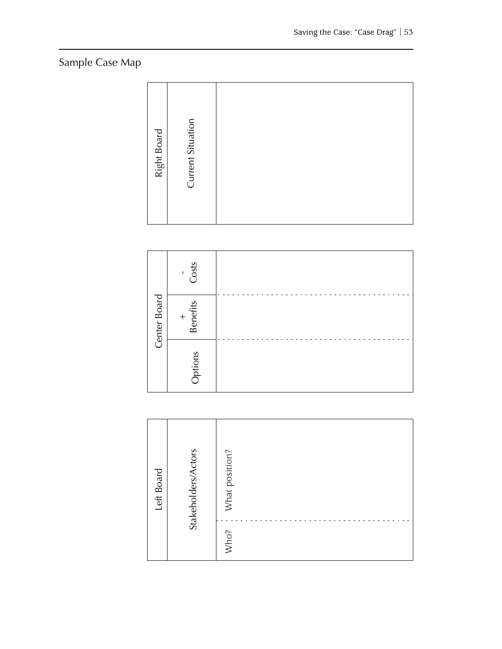## Sample Case Map

| Current Situation<br>Right Board |
|----------------------------------|
|----------------------------------|

|              | Costs<br>$\mathsf I$   |  |
|--------------|------------------------|--|
| Center Board | <b>Benefits</b><br>$+$ |  |
|              | Options                |  |

| Left Board | Stakeholders/Actors | What position?<br>Who? |  |  |
|------------|---------------------|------------------------|--|--|
|            |                     |                        |  |  |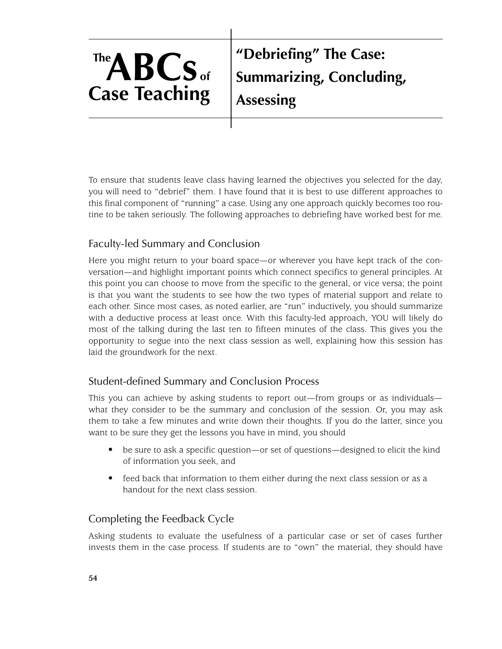# **TheABCs of Case Teaching**

**"Debriefing" The Case: Summarizing, Concluding, Assessing**

To ensure that students leave class having learned the objectives you selected for the day, you will need to "debrief" them. I have found that it is best to use different approaches to this final component of "running" a case. Using any one approach quickly becomes too routine to be taken seriously. The following approaches to debriefing have worked best for me.

## Faculty-led Summary and Conclusion

Here you might return to your board space—or wherever you have kept track of the conversation—and highlight important points which connect specifics to general principles. At this point you can choose to move from the specific to the general, or vice versa; the point is that you want the students to see how the two types of material support and relate to each other. Since most cases, as noted earlier, are "run" inductively, you should summarize with a deductive process at least once. With this faculty-led approach, YOU will likely do most of the talking during the last ten to fifteen minutes of the class. This gives you the opportunity to segue into the next class session as well, explaining how this session has laid the groundwork for the next.

## Student-defined Summary and Conclusion Process

This you can achieve by asking students to report out—from groups or as individuals what they consider to be the summary and conclusion of the session. Or, you may ask them to take a few minutes and write down their thoughts. If you do the latter, since you want to be sure they get the lessons you have in mind, you should

- be sure to ask a specific question—or set of questions—designed to elicit the kind of information you seek, and
- feed back that information to them either during the next class session or as a handout for the next class session.

## Completing the Feedback Cycle

Asking students to evaluate the usefulness of a particular case or set of cases further invests them in the case process. If students are to "own" the material, they should have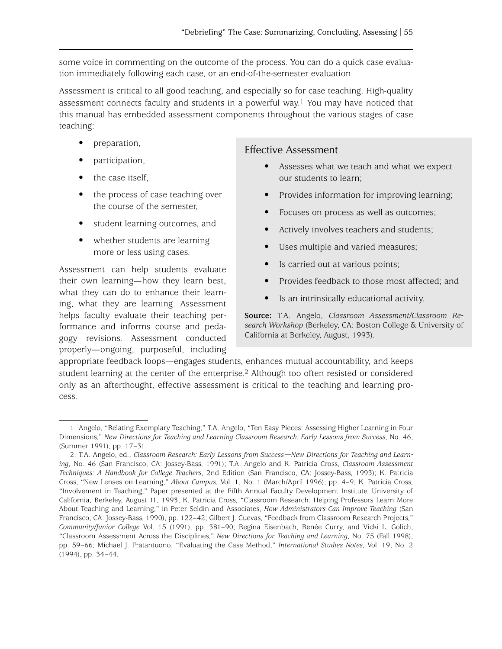some voice in commenting on the outcome of the process. You can do a quick case evaluation immediately following each case, or an end-of-the-semester evaluation.

Assessment is critical to all good teaching, and especially so for case teaching. High-quality assessment connects faculty and students in a powerful way.<sup>1</sup> You may have noticed that this manual has embedded assessment components throughout the various stages of case teaching:

- preparation,
- participation,
- the case itself,
- the process of case teaching over the course of the semester,
- student learning outcomes, and
- whether students are learning more or less using cases.

Assessment can help students evaluate their own learning—how they learn best, what they can do to enhance their learning, what they are learning. Assessment helps faculty evaluate their teaching performance and informs course and pedagogy revisions. Assessment conducted properly—ongoing, purposeful, including

#### Effective Assessment

- Assesses what we teach and what we expect our students to learn;
- Provides information for improving learning;
- Focuses on process as well as outcomes;
- Actively involves teachers and students;
- Uses multiple and varied measures;
- Is carried out at various points;
- Provides feedback to those most affected; and
- Is an intrinsically educational activity.

**Source:** T.A. Angelo, *Classroom Assessment/Classroom Research Workshop* (Berkeley, CA: Boston College & University of California at Berkeley, August, 1993).

appropriate feedback loops—engages students, enhances mutual accountability, and keeps student learning at the center of the enterprise.2 Although too often resisted or considered only as an afterthought, effective assessment is critical to the teaching and learning process.

<sup>1.</sup> Angelo, "Relating Exemplary Teaching;" T.A. Angelo, "Ten Easy Pieces: Assessing Higher Learning in Four Dimensions," *New Directions for Teaching and Learning Classroom Research: Early Lessons from Success*, No. 46, (Summer 1991), pp. 17–31.

<sup>2.</sup> T.A. Angelo, ed., *Classroom Research: Early Lessons from Success—New Directions for Teaching and Learning*, No. 46 (San Francisco, CA: Jossey-Bass, 1991); T.A. Angelo and K. Patricia Cross, *Classroom Assessment Techniques: A Handbook for College Teachers*, 2nd Edition (San Francisco, CA: Jossey-Bass, 1993); K. Patricia Cross, "New Lenses on Learning," *About Campus*, Vol. 1, No. 1 (March/April 1996), pp. 4–9; K. Patricia Cross, "Involvement in Teaching," Paper presented at the Fifth Annual Faculty Development Institute, University of California, Berkeley, August 11, 1993; K. Patricia Cross, "Classroom Research: Helping Professors Learn More About Teaching and Learning," in Peter Seldin and Associates, *How Administrators Can Improve Teaching* (San Francisco, CA: Jossey-Bass, 1990), pp. 122–42; Gilbert J. Cuevas, "Feedback from Classroom Research Projects," *Community/Junior College* Vol. 15 (1991), pp. 381–90; Regina Eisenbach, Renée Curry, and Vicki L. Golich, "Classroom Assessment Across the Disciplines," *New Directions for Teaching and Learning*, No. 75 (Fall 1998), pp. 59–66; Michael J. Fratantuono, "Evaluating the Case Method," *International Studies Notes*, Vol. 19, No. 2 (1994), pp. 34–44.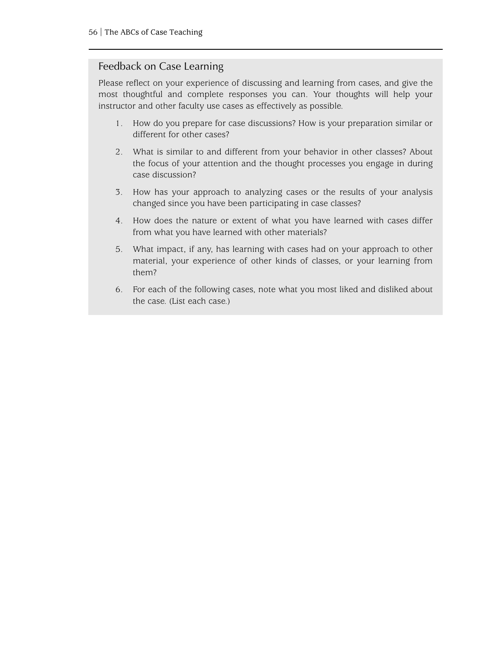#### Feedback on Case Learning

Please reflect on your experience of discussing and learning from cases, and give the most thoughtful and complete responses you can. Your thoughts will help your instructor and other faculty use cases as effectively as possible.

- 1. How do you prepare for case discussions? How is your preparation similar or different for other cases?
- 2. What is similar to and different from your behavior in other classes? About the focus of your attention and the thought processes you engage in during case discussion?
- 3. How has your approach to analyzing cases or the results of your analysis changed since you have been participating in case classes?
- 4. How does the nature or extent of what you have learned with cases differ from what you have learned with other materials?
- 5. What impact, if any, has learning with cases had on your approach to other material, your experience of other kinds of classes, or your learning from them?
- 6. For each of the following cases, note what you most liked and disliked about the case. (List each case.)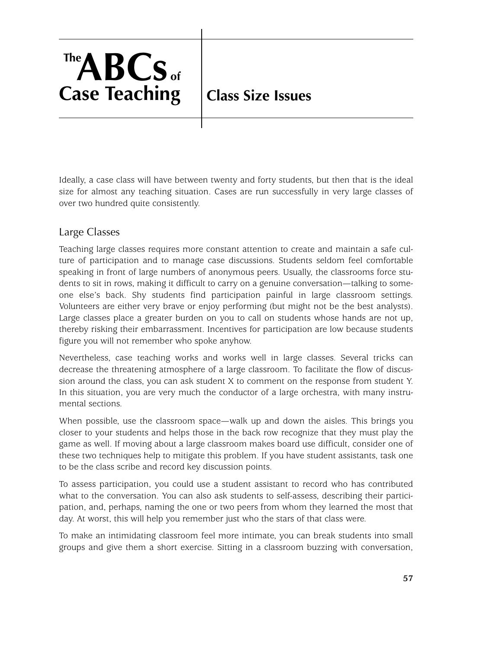# **TheABCs of Case Teaching**

## **Class Size Issues**

Ideally, a case class will have between twenty and forty students, but then that is the ideal size for almost any teaching situation. Cases are run successfully in very large classes of over two hundred quite consistently.

### Large Classes

Teaching large classes requires more constant attention to create and maintain a safe culture of participation and to manage case discussions. Students seldom feel comfortable speaking in front of large numbers of anonymous peers. Usually, the classrooms force students to sit in rows, making it difficult to carry on a genuine conversation—talking to someone else's back. Shy students find participation painful in large classroom settings. Volunteers are either very brave or enjoy performing (but might not be the best analysts). Large classes place a greater burden on you to call on students whose hands are not up, thereby risking their embarrassment. Incentives for participation are low because students figure you will not remember who spoke anyhow.

Nevertheless, case teaching works and works well in large classes. Several tricks can decrease the threatening atmosphere of a large classroom. To facilitate the flow of discussion around the class, you can ask student X to comment on the response from student Y. In this situation, you are very much the conductor of a large orchestra, with many instrumental sections.

When possible, use the classroom space—walk up and down the aisles. This brings you closer to your students and helps those in the back row recognize that they must play the game as well. If moving about a large classroom makes board use difficult, consider one of these two techniques help to mitigate this problem. If you have student assistants, task one to be the class scribe and record key discussion points.

To assess participation, you could use a student assistant to record who has contributed what to the conversation. You can also ask students to self-assess, describing their participation, and, perhaps, naming the one or two peers from whom they learned the most that day. At worst, this will help you remember just who the stars of that class were.

To make an intimidating classroom feel more intimate, you can break students into small groups and give them a short exercise. Sitting in a classroom buzzing with conversation,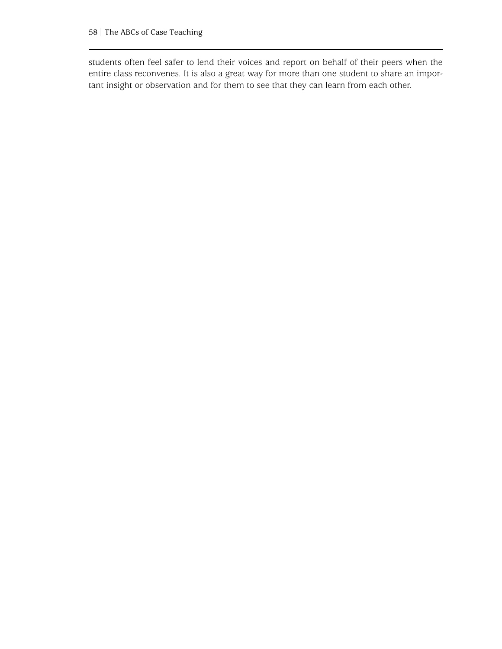students often feel safer to lend their voices and report on behalf of their peers when the entire class reconvenes. It is also a great way for more than one student to share an important insight or observation and for them to see that they can learn from each other.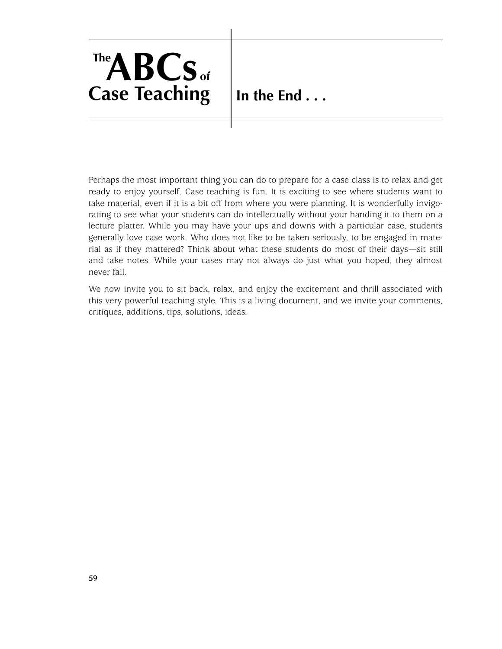

**In the End . . .**

Perhaps the most important thing you can do to prepare for a case class is to relax and get ready to enjoy yourself. Case teaching is fun. It is exciting to see where students want to take material, even if it is a bit off from where you were planning. It is wonderfully invigorating to see what your students can do intellectually without your handing it to them on a lecture platter. While you may have your ups and downs with a particular case, students generally love case work. Who does not like to be taken seriously, to be engaged in material as if they mattered? Think about what these students do most of their days—sit still and take notes. While your cases may not always do just what you hoped, they almost never fail.

We now invite you to sit back, relax, and enjoy the excitement and thrill associated with this very powerful teaching style. This is a living document, and we invite your comments, critiques, additions, tips, solutions, ideas.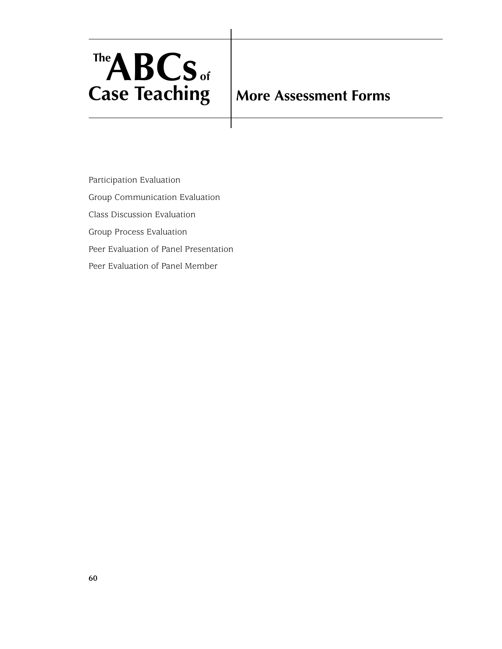

## **More Assessment Forms**

Participation Evaluation Group Communication Evaluation Class Discussion Evaluation Group Process Evaluation Peer Evaluation of Panel Presentation Peer Evaluation of Panel Member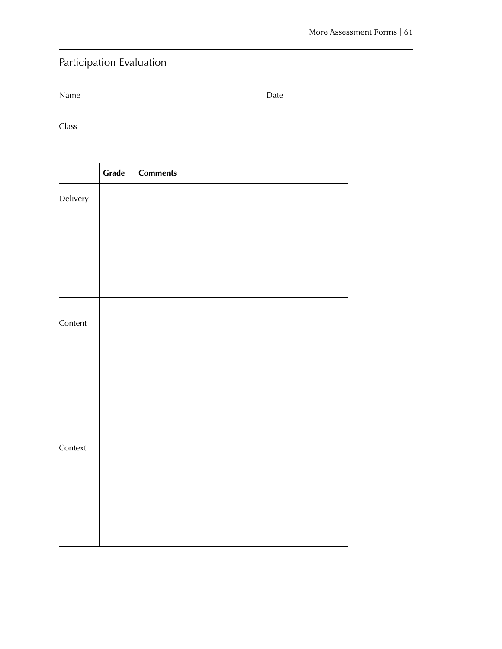## Participation Evaluation

| Name |  | Date |  |  |
|------|--|------|--|--|
|------|--|------|--|--|

Class <u> 1980 - Jan James Barnett, fransk politik (d. 1980)</u>

|          | Grade | <b>Comments</b> |
|----------|-------|-----------------|
| Delivery |       |                 |
|          |       |                 |
|          |       |                 |
|          |       |                 |
|          |       |                 |
|          |       |                 |
| Content  |       |                 |
|          |       |                 |
|          |       |                 |
|          |       |                 |
|          |       |                 |
|          |       |                 |
| Context  |       |                 |
|          |       |                 |
|          |       |                 |
|          |       |                 |
|          |       |                 |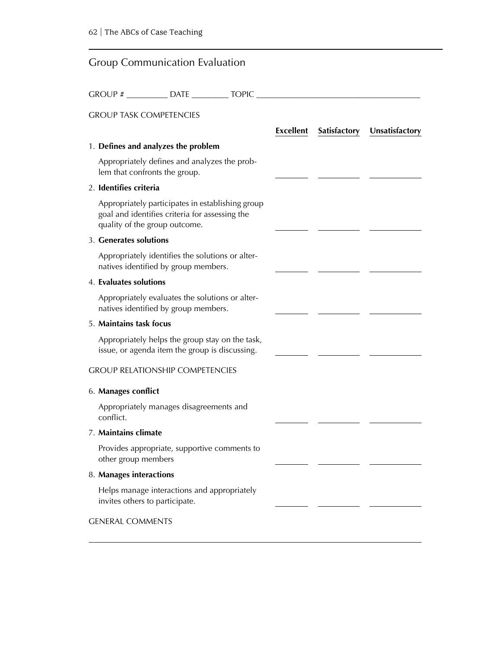#### Group Communication Evaluation

GROUP # \_\_\_\_\_\_\_\_\_\_ DATE \_\_\_\_\_\_\_\_\_ TOPIC \_\_\_\_\_\_\_\_\_\_\_\_\_\_\_\_\_\_\_\_\_\_\_\_\_\_\_\_\_\_\_\_\_\_\_\_\_\_\_\_ GROUP TASK COMPETENCIES **Excellent Satisfactory Unsatisfactory** 1. **Defines and analyzes the problem** Appropriately defines and analyzes the problem that confronts the group. 2. **Identifies criteria** Appropriately participates in establishing group goal and identifies criteria for assessing the quality of the group outcome. 3. **Generates solutions** Appropriately identifies the solutions or alternatives identified by group members. 4. **Evaluates solutions** Appropriately evaluates the solutions or alternatives identified by group members. 5. **Maintains task focus** Appropriately helps the group stay on the task, issue, or agenda item the group is discussing. GROUP RELATIONSHIP COMPETENCIES 6. **Manages conflict** Appropriately manages disagreements and conflict. 7. **Maintains climate** Provides appropriate, supportive comments to other group members 8. **Manages interactions** Helps manage interactions and appropriately invites others to participate. GENERAL COMMENTS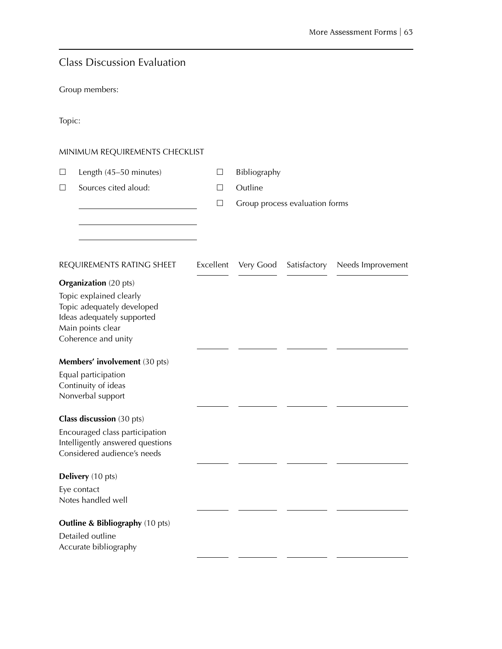|  |  | <b>Class Discussion Evaluation</b> |
|--|--|------------------------------------|
|  |  |                                    |

Group members:

|  | ٧ |
|--|---|

#### MINIMUM REQUIREMENTS CHECKLIST

|  | Length (45–50 minutes) |  | Bibl |
|--|------------------------|--|------|
|--|------------------------|--|------|

- liography
- $\Box$  Sources cited aloud:  $\Box$  Outline
	- $\Box$  Group process evaluation forms

| REQUIREMENTS RATING SHEET                  | Excellent | Very Good | Satisfactory | Needs Improvement |
|--------------------------------------------|-----------|-----------|--------------|-------------------|
| <b>Organization</b> (20 pts)               |           |           |              |                   |
| Topic explained clearly                    |           |           |              |                   |
| Topic adequately developed                 |           |           |              |                   |
| Ideas adequately supported                 |           |           |              |                   |
| Main points clear                          |           |           |              |                   |
| Coherence and unity                        |           |           |              |                   |
| Members' involvement (30 pts)              |           |           |              |                   |
| Equal participation                        |           |           |              |                   |
| Continuity of ideas                        |           |           |              |                   |
| Nonverbal support                          |           |           |              |                   |
|                                            |           |           |              |                   |
| <b>Class discussion</b> (30 pts)           |           |           |              |                   |
| Encouraged class participation             |           |           |              |                   |
| Intelligently answered questions           |           |           |              |                   |
| Considered audience's needs                |           |           |              |                   |
| Delivery (10 pts)                          |           |           |              |                   |
|                                            |           |           |              |                   |
| Eye contact<br>Notes handled well          |           |           |              |                   |
|                                            |           |           |              |                   |
| <b>Outline &amp; Bibliography (10 pts)</b> |           |           |              |                   |
| Detailed outline                           |           |           |              |                   |
| Accurate bibliography                      |           |           |              |                   |
|                                            |           |           |              |                   |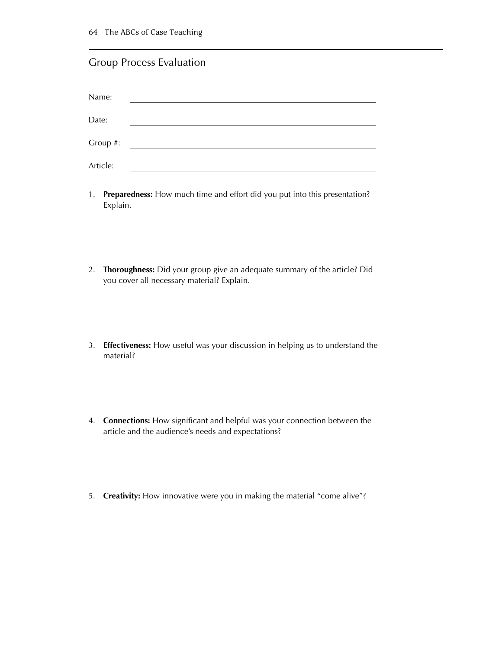#### Group Process Evaluation

| Name:    |  |
|----------|--|
| Date:    |  |
| Group #: |  |
| Article: |  |

- 1. **Preparedness:** How much time and effort did you put into this presentation? Explain.
- 2. **Thoroughness:** Did your group give an adequate summary of the article? Did you cover all necessary material? Explain.
- 3. **Effectiveness:** How useful was your discussion in helping us to understand the material?
- 4. **Connections:** How significant and helpful was your connection between the article and the audience's needs and expectations?
- 5. **Creativity:** How innovative were you in making the material "come alive"?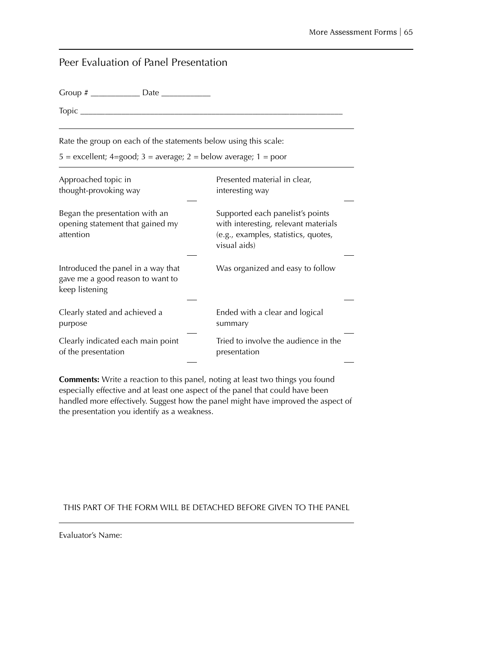| Peer Evaluation of Panel Presentation                                                    |                                                                                                                                  |
|------------------------------------------------------------------------------------------|----------------------------------------------------------------------------------------------------------------------------------|
|                                                                                          |                                                                                                                                  |
| Topic $\_\_$                                                                             |                                                                                                                                  |
| Rate the group on each of the statements below using this scale:                         |                                                                                                                                  |
| $5 =$ excellent; 4=good; 3 = average; 2 = below average; 1 = poor                        |                                                                                                                                  |
| Approached topic in<br>thought-provoking way                                             | Presented material in clear,<br>interesting way                                                                                  |
| Began the presentation with an<br>opening statement that gained my<br>attention          | Supported each panelist's points<br>with interesting, relevant materials<br>(e.g., examples, statistics, quotes,<br>visual aids) |
| Introduced the panel in a way that<br>gave me a good reason to want to<br>keep listening | Was organized and easy to follow                                                                                                 |
| Clearly stated and achieved a<br>purpose                                                 | Ended with a clear and logical<br>summary                                                                                        |
| Clearly indicated each main point<br>of the presentation                                 | Tried to involve the audience in the<br>presentation                                                                             |

**Comments:** Write a reaction to this panel, noting at least two things you found especially effective and at least one aspect of the panel that could have been handled more effectively. Suggest how the panel might have improved the aspect of the presentation you identify as a weakness.

#### THIS PART OF THE FORM WILL BE DETACHED BEFORE GIVEN TO THE PANEL

Evaluator's Name: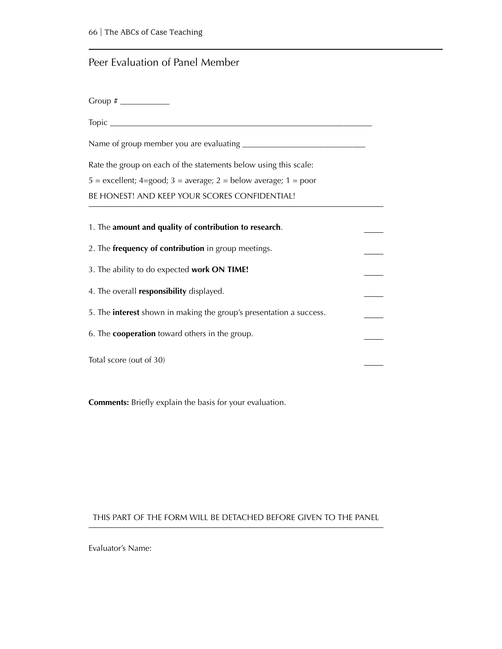## Peer Evaluation of Panel Member

| Rate the group on each of the statements below using this scale:           |  |  |
|----------------------------------------------------------------------------|--|--|
| $5 =$ excellent; 4=good; 3 = average; 2 = below average; 1 = poor          |  |  |
| BE HONEST! AND KEEP YOUR SCORES CONFIDENTIAL!                              |  |  |
| 1. The amount and quality of contribution to research.                     |  |  |
| 2. The frequency of contribution in group meetings.                        |  |  |
| 3. The ability to do expected work ON TIME!                                |  |  |
| 4. The overall responsibility displayed.                                   |  |  |
| 5. The <b>interest</b> shown in making the group's presentation a success. |  |  |
| 6. The <b>cooperation</b> toward others in the group.                      |  |  |
| Total score (out of 30)                                                    |  |  |

**Comments:** Briefly explain the basis for your evaluation.

#### THIS PART OF THE FORM WILL BE DETACHED BEFORE GIVEN TO THE PANEL

Evaluator's Name: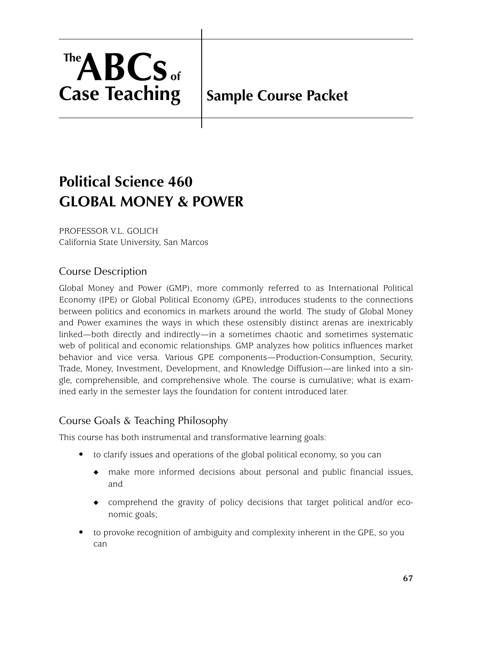

# **Sample Course Packet**

# **Political Science 460 GLOBAL MONEY & POWER**

PROFESSOR V.L. GOLICH California State University, San Marcos

# Course Description

Global Money and Power (GMP), more commonly referred to as International Political Economy (IPE) or Global Political Economy (GPE), introduces students to the connections between politics and economics in markets around the world. The study of Global Money and Power examines the ways in which these ostensibly distinct arenas are inextricably linked—both directly and indirectly—in a sometimes chaotic and sometimes systematic web of political and economic relationships. GMP analyzes how politics influences market behavior and vice versa. Various GPE components—Production-Consumption, Security, Trade, Money, Investment, Development, and Knowledge Diffusion—are linked into a single, comprehensible, and comprehensive whole. The course is cumulative; what is examined early in the semester lays the foundation for content introduced later.

# Course Goals & Teaching Philosophy

This course has both instrumental and transformative learning goals:

- to clarify issues and operations of the global political economy, so you can
	- ◆ make more informed decisions about personal and public financial issues, and
	- ◆ comprehend the gravity of policy decisions that target political and/or economic goals;
- to provoke recognition of ambiguity and complexity inherent in the GPE, so you can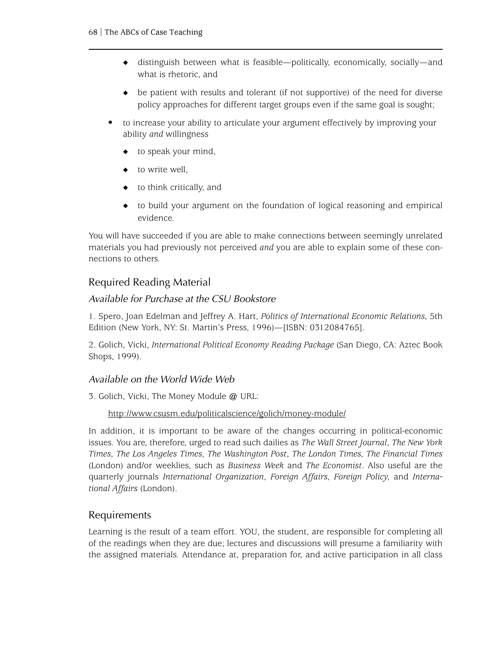- ◆ distinguish between what is feasible—politically, economically, socially—and what is rhetoric, and
- ◆ be patient with results and tolerant (if not supportive) of the need for diverse policy approaches for different target groups even if the same goal is sought;
- to increase your ability to articulate your argument effectively by improving your ability *and* willingness
	- to speak your mind,
	- to write well.
	- $\bullet$  to think critically, and
	- ◆ to build your argument on the foundation of logical reasoning and empirical evidence.

You will have succeeded if you are able to make connections between seemingly unrelated materials you had previously not perceived *and* you are able to explain some of these connections to others.

# Required Reading Material

## *Available for Purchase at the CSU Bookstore*

1. Spero, Joan Edelman and Jeffrey A. Hart, *Politics of International Economic Relations*, 5th Edition (New York, NY: St. Martin's Press, 1996)—[ISBN: 0312084765].

2. Golich, Vicki, *International Political Economy Reading Package* (San Diego, CA: Aztec Book Shops, 1999).

### *Available on the World Wide Web*

3. Golich, Vicki, The Money Module @ URL:

#### [http://www.csusm.edu/politicalscience/golich/money-module/](http://www.csusm.edu/politicalscience/golich/money-module/)

In addition, it is important to be aware of the changes occurring in political-economic issues. You are, therefore, urged to read such dailies as *The Wall Street Journal*, *The New York Times*, *The Los Angeles Times*, *The Washington Post*, *The London Times*, *The Financial Times* (London) and/or weeklies, such as *Business Week* and *The Economist*. Also useful are the quarterly journals *International Organization*, *Foreign Affairs*, *Foreign Policy*, and *International Affairs* (London).

### Requirements

Learning is the result of a team effort. YOU, the student, are responsible for completing all of the readings when they are due; lectures and discussions will presume a familiarity with the assigned materials. Attendance at, preparation for, and active participation in all class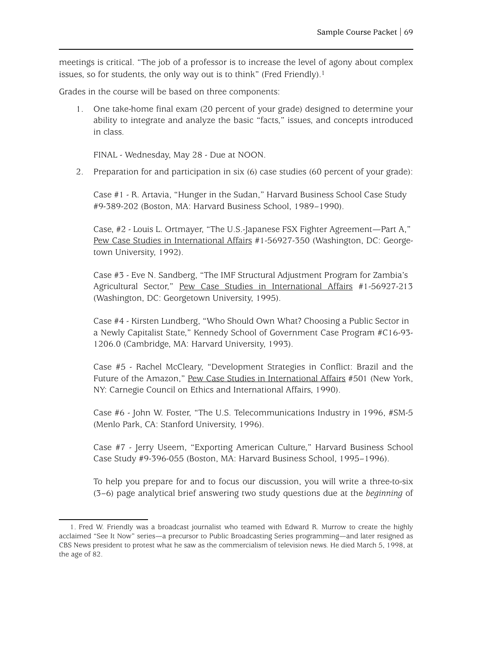meetings is critical. "The job of a professor is to increase the level of agony about complex issues, so for students, the only way out is to think" (Fred Friendly).<sup>1</sup>

Grades in the course will be based on three components:

1. One take-home final exam (20 percent of your grade) designed to determine your ability to integrate and analyze the basic "facts," issues, and concepts introduced in class.

FINAL - Wednesday, May 28 - Due at NOON.

[2. Preparation for and participation in six \(6\) case studies \(60 percent of your grade\):](http://www.guisd.org/)

Case #1 - R. Artavia, "Hunger in the Sudan," Harvard Business School Case Study #9-389-202 (Boston, MA: Harvard Business School, 1989–1990).

Case, #2 - Louis L. Ortmayer, "The U.S.-Japanese FSX Fighter Agreement—Part A," Pew Case Studies in International Affairs #1-56927-350 (Washington, DC: Georgetown University, 1992).

Case #3 - Eve N. Sandberg, "The IMF Structural Adjustment Program for Zambia's Agricultural Sector," Pew Case Studies in International Affairs #1-56927-213 (Washington, DC: Georgetown University, 1995).

Case #4 - Kirsten Lundberg, "Who Should Own What? Choosing a Public Sector in a Newly Capitalist State," Kennedy School of Government Case Program #C16-93- 1206.0 (Cambridge, MA: Harvard University, 1993).

Case #5 - Rachel McCleary, "Development Strategies in Conflict: Brazil and the Future of the Amazon," Pew Case Studies in International Affairs #501 (New York, NY: Carnegie Council on Ethics and International Affairs, 1990).

Case #6 - John W. Foster, "The U.S. Telecommunications Industry in 1996, #SM-5 (Menlo Park, CA: Stanford University, 1996).

Case #7 - Jerry Useem, "Exporting American Culture," Harvard Business School Case Study #9-396-055 (Boston, MA: Harvard Business School, 1995–1996).

To help you prepare for and to focus our discussion, you will write a three-to-six (3–6) page analytical brief answering two study questions due at the *beginning* of

<sup>1.</sup> Fred W. Friendly was a broadcast journalist who teamed with Edward R. Murrow to create the highly acclaimed "See It Now" series—a precursor to Public Broadcasting Series programming—and later resigned as CBS News president to protest what he saw as the commercialism of television news. He died March 5, 1998, at the age of 82.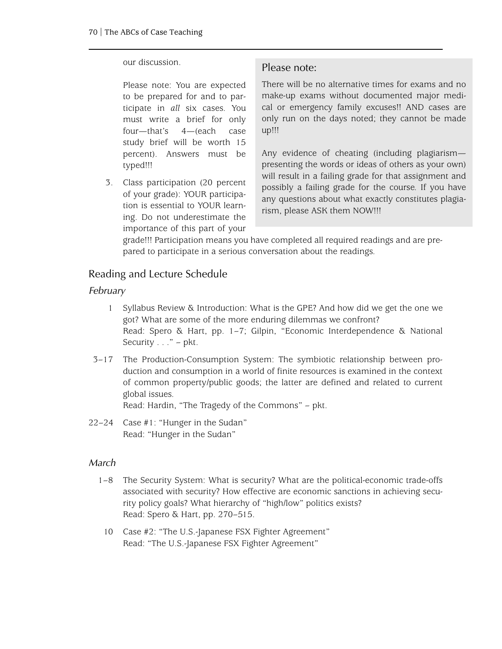#### our discussion.

Please note: You are expected to be prepared for and to participate in *all* six cases. You must write a brief for only four—that's 4—(each case study brief will be worth 15 percent). Answers must be typed!!!

3. Class participation (20 percent of your grade): YOUR participation is essential to YOUR learning. Do not underestimate the importance of this part of your

#### Please note:

There will be no alternative times for exams and no make-up exams without documented major medical or emergency family excuses!! AND cases are only run on the days noted; they cannot be made up!!!

Any evidence of cheating (including plagiarism presenting the words or ideas of others as your own) will result in a failing grade for that assignment and possibly a failing grade for the course. If you have any questions about what exactly constitutes plagiarism, please ASK them NOW!!!

grade!!! Participation means you have completed all required readings and are prepared to participate in a serious conversation about the readings.

## Reading and Lecture Schedule

#### *February*

- 1 Syllabus Review & Introduction: What is the GPE? And how did we get the one we got? What are some of the more enduring dilemmas we confront? Read: Spero & Hart, pp. 1–7; Gilpin, "Economic Interdependence & National Security  $\ldots$ " – pkt.
- 3–17 The Production-Consumption System: The symbiotic relationship between production and consumption in a world of finite resources is examined in the context of common property/public goods; the latter are defined and related to current global issues.

Read: Hardin, "The Tragedy of the Commons" – pkt.

22–24 Case #1: "Hunger in the Sudan" Read: "Hunger in the Sudan"

#### *March*

- 1–8 The Security System: What is security? What are the political-economic trade-offs associated with security? How effective are economic sanctions in achieving security policy goals? What hierarchy of "high/low" politics exists? Read: Spero & Hart, pp. 270–515.
- 10 Case #2: "The U.S.-Japanese FSX Fighter Agreement" Read: "The U.S.-Japanese FSX Fighter Agreement"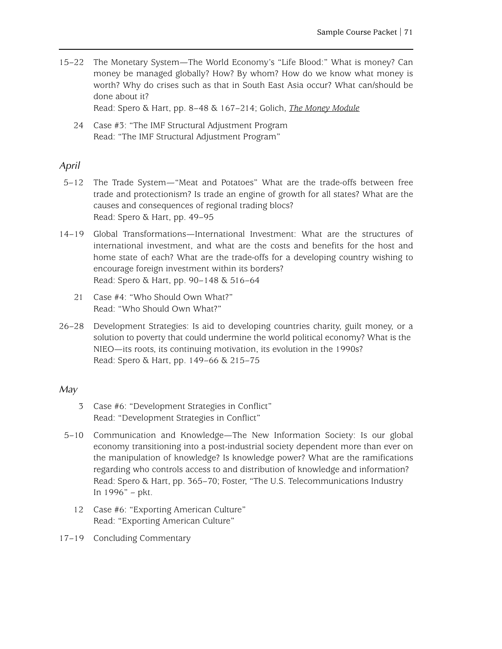15–22 The Monetary System—The World Economy's "Life Blood:" What is money? Can money be managed globally? How? By whom? How do we know what money is worth? Why do crises such as that in South East Asia occur? What can/should be done about it?

Read: Spero & Hart, pp. 8–48 & 167–214; Golich, *The Money Module*

24 Case #3: "The IMF Structural Adjustment Program Read: "The IMF Structural Adjustment Program"

#### *April*

- 5–12 The Trade System—"Meat and Potatoes" What are the trade-offs between free trade and protectionism? Is trade an engine of growth for all states? What are the causes and consequences of regional trading blocs? Read: Spero & Hart, pp. 49–95
- 14–19 Global Transformations—International Investment: What are the structures of international investment, and what are the costs and benefits for the host and home state of each? What are the trade-offs for a developing country wishing to encourage foreign investment within its borders? Read: Spero & Hart, pp. 90–148 & 516–64
	- 21 Case #4: "Who Should Own What?" Read: "Who Should Own What?"
- 26–28 Development Strategies: Is aid to developing countries charity, guilt money, or a solution to poverty that could undermine the world political economy? What is the NIEO—its roots, its continuing motivation, its evolution in the 1990s? Read: Spero & Hart, pp. 149–66 & 215–75

#### *May*

- 3 Case #6: "Development Strategies in Conflict" Read: "Development Strategies in Conflict"
- 5–10 Communication and Knowledge—The New Information Society: Is our global economy transitioning into a post-industrial society dependent more than ever on the manipulation of knowledge? Is knowledge power? What are the ramifications regarding who controls access to and distribution of knowledge and information? Read: Spero & Hart, pp. 365–70; Foster, "The U.S. Telecommunications Industry In 1996" – pkt.
	- 12 Case #6: "Exporting American Culture" Read: "Exporting American Culture"
- 17–19 Concluding Commentary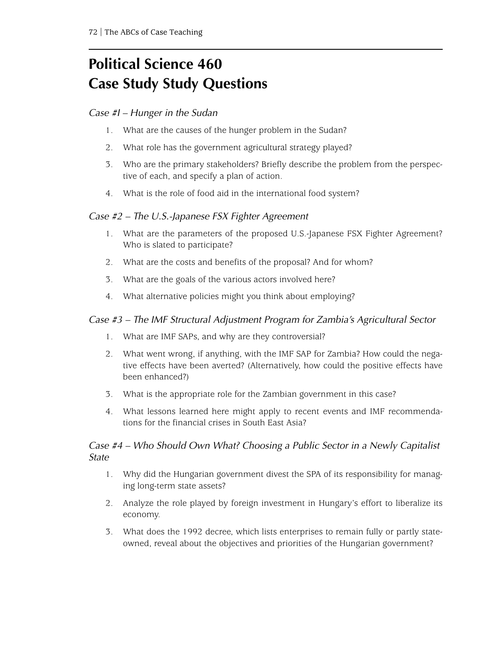# **Political Science 460 Case Study Study Questions**

#### *Case #I – Hunger in the Sudan*

- 1. What are the causes of the hunger problem in the Sudan?
- 2. What role has the government agricultural strategy played?
- 3. Who are the primary stakeholders? Briefly describe the problem from the perspective of each, and specify a plan of action.
- 4. What is the role of food aid in the international food system?

#### *Case #2 – The U.S.-Japanese FSX Fighter Agreement*

- 1. What are the parameters of the proposed U.S.-Japanese FSX Fighter Agreement? Who is slated to participate?
- 2. What are the costs and benefits of the proposal? And for whom?
- 3. What are the goals of the various actors involved here?
- 4. What alternative policies might you think about employing?

#### *Case #3 – The IMF Structural Adjustment Program for Zambia's Agricultural Sector*

- 1. What are IMF SAPs, and why are they controversial?
- 2. What went wrong, if anything, with the IMF SAP for Zambia? How could the negative effects have been averted? (Alternatively, how could the positive effects have been enhanced?)
- 3. What is the appropriate role for the Zambian government in this case?
- 4. What lessons learned here might apply to recent events and IMF recommendations for the financial crises in South East Asia?

### *Case #4 – Who Should Own What? Choosing a Public Sector in a Newly Capitalist State*

- 1. Why did the Hungarian government divest the SPA of its responsibility for managing long-term state assets?
- 2. Analyze the role played by foreign investment in Hungary's effort to liberalize its economy.
- 3. What does the 1992 decree, which lists enterprises to remain fully or partly stateowned, reveal about the objectives and priorities of the Hungarian government?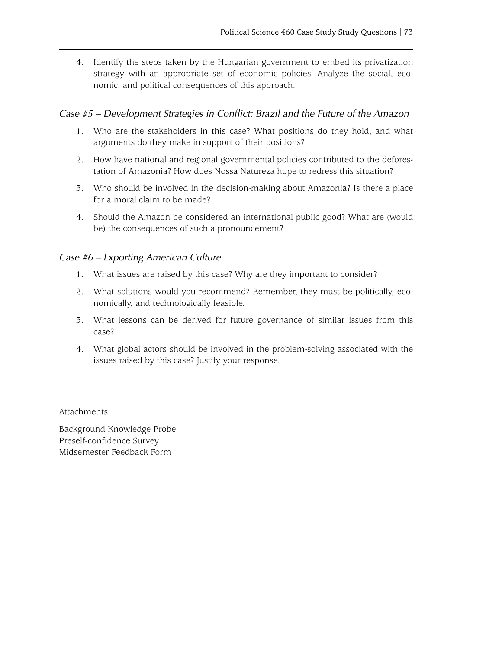4. Identify the steps taken by the Hungarian government to embed its privatization strategy with an appropriate set of economic policies. Analyze the social, economic, and political consequences of this approach.

#### *Case #5 – Development Strategies in Conflict: Brazil and the Future of the Amazon*

- 1. Who are the stakeholders in this case? What positions do they hold, and what arguments do they make in support of their positions?
- 2. How have national and regional governmental policies contributed to the deforestation of Amazonia? How does Nossa Natureza hope to redress this situation?
- 3. Who should be involved in the decision-making about Amazonia? Is there a place for a moral claim to be made?
- 4. Should the Amazon be considered an international public good? What are (would be) the consequences of such a pronouncement?

#### *Case #6 – Exporting American Culture*

- 1. What issues are raised by this case? Why are they important to consider?
- 2. What solutions would you recommend? Remember, they must be politically, economically, and technologically feasible.
- 3. What lessons can be derived for future governance of similar issues from this case?
- 4. What global actors should be involved in the problem-solving associated with the issues raised by this case? Justify your response.

Attachments:

[Background Knowledge Probe](background_knowledge.pdf) [Preself-confidence Survey](confidence.pdf) [Midsemester Feedback Form](feedback.pdf)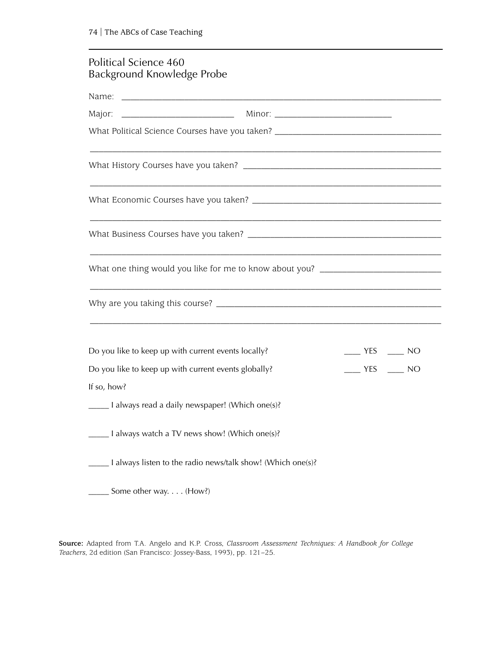# Political Science 460 Background Knowledge Probe

| Name:                     |                                                                                  |                 |
|---------------------------|----------------------------------------------------------------------------------|-----------------|
| Major:                    |                                                                                  |                 |
|                           | What Political Science Courses have you taken? _________________________________ |                 |
|                           |                                                                                  |                 |
|                           |                                                                                  |                 |
|                           |                                                                                  |                 |
|                           | What one thing would you like for me to know about you? ________________________ |                 |
|                           |                                                                                  |                 |
|                           | Do you like to keep up with current events locally?                              | $YES$ $\_\_$ NO |
|                           | Do you like to keep up with current events globally?                             | $YES$ NO        |
| If so, how?               |                                                                                  |                 |
|                           | ____ I always read a daily newspaper! (Which one(s)?                             |                 |
|                           | _____ I always watch a TV news show! (Which one(s)?                              |                 |
|                           | _____ 1 always listen to the radio news/talk show! (Which one(s)?                |                 |
| __ Some other way. (How?) |                                                                                  |                 |

**Source:** Adapted from T.A. Angelo and K.P. Cross, *Classroom Assessment Techniques: A Handbook for College Teachers*, 2d edition (San Francisco: Jossey-Bass, 1993), pp. 121–25.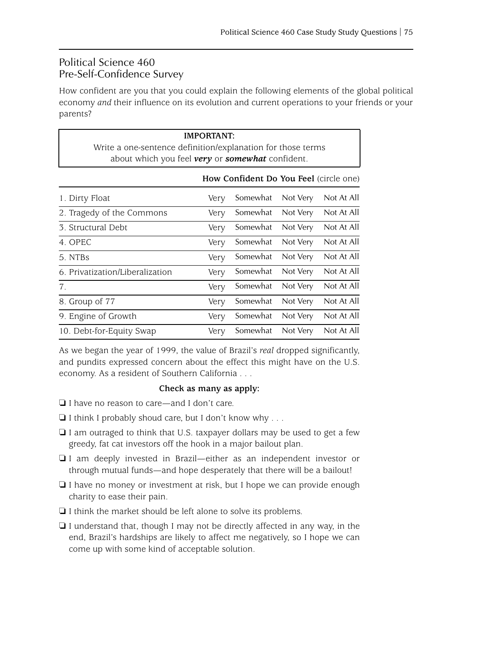## Political Science 460 Pre-Self-Confidence Survey

How confident are you that you could explain the following elements of the global political economy *and* their influence on its evolution and current operations to your friends or your parents?

| Write a one-sentence definition/explanation for those terms<br>about which you feel very or somewhat confident. | <b>IMPORTANT:</b> |                                        |          |            |
|-----------------------------------------------------------------------------------------------------------------|-------------------|----------------------------------------|----------|------------|
|                                                                                                                 |                   | How Confident Do You Feel (circle one) |          |            |
| 1. Dirty Float                                                                                                  | Very              | Somewhat                               | Not Very | Not At All |
| 2. Tragedy of the Commons                                                                                       | Very              | Somewhat                               | Not Very | Not At All |
| 3. Structural Debt                                                                                              | Very              | Somewhat                               | Not Very | Not At All |
| 4. OPEC                                                                                                         | Very              | Somewhat                               | Not Very | Not At All |
| 5. NTBs                                                                                                         | Very              | Somewhat                               | Not Very | Not At All |
| 6. Privatization/Liberalization                                                                                 | Very              | Somewhat                               | Not Very | Not At All |
| 7.                                                                                                              | Very              | Somewhat                               | Not Very | Not At All |
| 8. Group of 77                                                                                                  | Very              | Somewhat                               | Not Very | Not At All |
| 9. Engine of Growth                                                                                             | Very              | Somewhat                               | Not Very | Not At All |
| 10. Debt-for-Equity Swap                                                                                        | Very              | Somewhat                               | Not Very | Not At All |

As we began the year of 1999, the value of Brazil's *real* dropped significantly, and pundits expressed concern about the effect this might have on the U.S. economy. As a resident of Southern California . . .

#### **Check as many as apply:**

- ❏ I have no reason to care—and I don't care.
- $\Box$  I think I probably shoud care, but I don't know why ...
- ❏ I am outraged to think that U.S. taxpayer dollars may be used to get a few greedy, fat cat investors off the hook in a major bailout plan.
- ❏ I am deeply invested in Brazil—either as an independent investor or through mutual funds—and hope desperately that there will be a bailout!
- ❏ I have no money or investment at risk, but I hope we can provide enough charity to ease their pain.
- ❏ I think the market should be left alone to solve its problems.
- ❏ I understand that, though I may not be directly affected in any way, in the end, Brazil's hardships are likely to affect me negatively, so I hope we can come up with some kind of acceptable solution.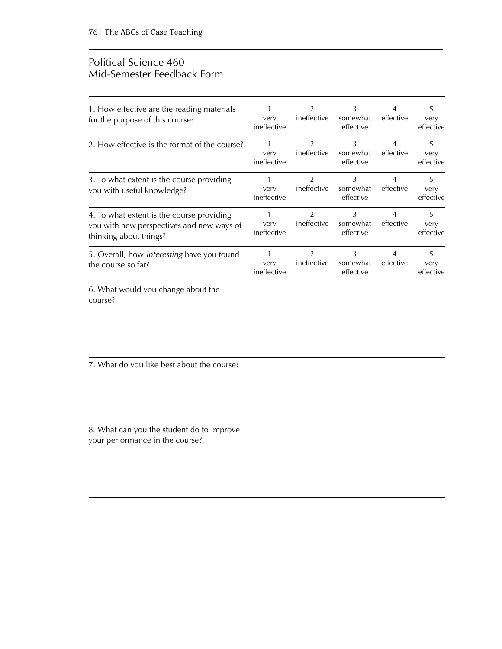### Political Science 460 Mid-Semester Feedback Form

| 1. How effective are the reading materials<br>for the purpose of this course?                                    | very<br>ineffective      | 2<br>ineffective              | 3<br>somewhat<br>effective | 4<br>effective              | 5<br>very<br>effective |
|------------------------------------------------------------------------------------------------------------------|--------------------------|-------------------------------|----------------------------|-----------------------------|------------------------|
| 2. How effective is the format of the course?                                                                    | very<br>ineffective      | 2<br>ineffective              | 3<br>somewhat<br>effective | 4<br>effective              | 5<br>very<br>effective |
| 3. To what extent is the course providing<br>you with useful knowledge?                                          | 1<br>very<br>ineffective | $\overline{2}$<br>ineffective | 3<br>somewhat<br>effective | $\overline{4}$<br>effective | 5<br>very<br>effective |
| 4. To what extent is the course providing<br>you with new perspectives and new ways of<br>thinking about things? | 1<br>very<br>ineffective | 2<br>ineffective              | 3<br>somewhat<br>effective | $\overline{4}$<br>effective | 5<br>very<br>effective |
| 5. Overall, how <i>interesting</i> have you found<br>the course so far?                                          | 1<br>very<br>ineffective | 2<br>ineffective              | 3<br>somewhat<br>effective | 4<br>effective              | 5<br>very<br>effective |
| 6. What would you change about the                                                                               |                          |                               |                            |                             |                        |

course?

7. What do you like best about the course?

8. What can you the student do to improve your performance in the course?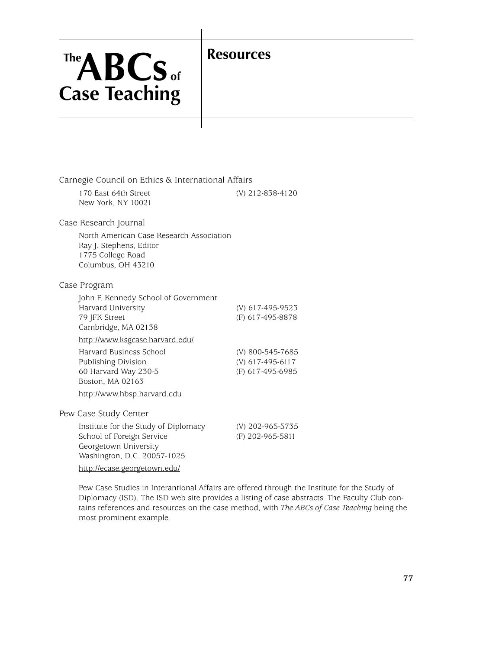# **Resources**

# **TheABCs of Case Teaching**

| Carnegie Council on Ethics & International Affairs                                                                                                        |                                                          |  |  |  |
|-----------------------------------------------------------------------------------------------------------------------------------------------------------|----------------------------------------------------------|--|--|--|
| 170 East 64th Street<br>New York, NY 10021                                                                                                                | (V) 212-838-4120                                         |  |  |  |
| Case Research Journal                                                                                                                                     |                                                          |  |  |  |
| North American Case Research Association<br>Ray J. Stephens, Editor<br>1775 College Road<br>Columbus, OH 43210                                            |                                                          |  |  |  |
| Case Program                                                                                                                                              |                                                          |  |  |  |
| John F. Kennedy School of Government<br>Harvard University<br>79 JFK Street<br>Cambridge, MA 02138                                                        | (V) 617-495-9523<br>(F) 617-495-8878                     |  |  |  |
| http://www.ksgcase.harvard.edu/                                                                                                                           |                                                          |  |  |  |
| Harvard Business School<br>Publishing Division<br>60 Harvard Way 230-5<br>Boston, MA 02163<br>http://www.hbsp.harvard.edu                                 | (V) 800-545-7685<br>(V) 617-495-6117<br>(F) 617-495-6985 |  |  |  |
| Pew Case Study Center                                                                                                                                     |                                                          |  |  |  |
| Institute for the Study of Diplomacy<br>School of Foreign Service<br>Georgetown University<br>Washington, D.C. 20057-1025<br>http://ecase.georgetown.edu/ | (V) 202-965-5735<br>(F) 202-965-5811                     |  |  |  |

Pew Case Studies in Interantional Affairs are offered through the Institute for the Study of Diplomacy (ISD). The ISD web site provides a listing of case abstracts. The Faculty Club contains references and resources on the case method, with *The ABCs of Case Teaching* being the most prominent example.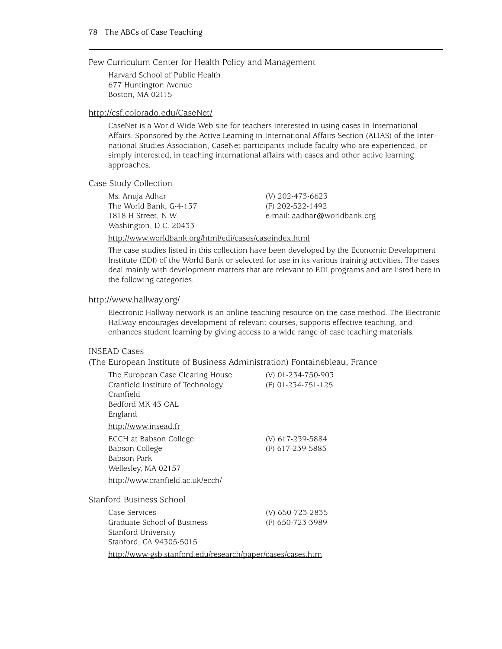Pew Curriculum Center for Health Policy and Management

Harvard School of Public Health 677 Huntington Avenue Boston, MA 02115

#### <http://csf.colorado.edu/CaseNet/>

CaseNet is a World Wide Web site for teachers interested in using cases in International Affairs. Sponsored by the Active Learning in International Affairs Section (ALIAS) of the International Studies Association, CaseNet participants include faculty who are experienced, or simply interested, in teaching international affairs with cases and other active learning approaches.

#### Case Study Collection

Ms. Anuja Adhar (V) 202-473-6623 The World Bank, G-4-137 (F) 202-522-1492 Washington, D.C. 20433

1818 H Street, N.W. e-mail: aadhar@worldbank.org

#### <http://www.worldbank.org/html/edi/cases/caseindex.html>

The case studies listed in this collection have been developed by the Economic Development Institute (EDI) of the World Bank or selected for use in its various training activities. The cases deal mainly with development matters that are relevant to EDI programs and are listed here in the following categories.

#### <http://www.hallway.org/>

Electronic Hallway network is an online teaching resource on the case method. The Electronic Hallway encourages development of relevant courses, supports effective teaching, and enhances student learning by giving access to a wide range of case teaching materials.

#### INSEAD Cases

#### (The European Institute of Business Administration) Fontainebleau, France

| The European Case Clearing House<br>Cranfield Institute of Technology | (V) 01-234-750-903<br>$(F)$ 01-234-751-125 |
|-----------------------------------------------------------------------|--------------------------------------------|
| Cranfield                                                             |                                            |
| Bedford MK 43 OAL                                                     |                                            |
| England                                                               |                                            |
| http://www.insead.fr                                                  |                                            |
| ECCH at Babson College                                                | (V) 617-239-5884                           |
| Babson College                                                        | (F) 617-239-5885                           |
| Babson Park                                                           |                                            |
| Wellesley, MA 02157                                                   |                                            |
| <u> http://www.cranfield.ac.uk/ecch/</u>                              |                                            |
| Stanford Business School                                              |                                            |
| Case Services                                                         | (V) 650-723-2835                           |
| Graduate School of Business                                           | (F) 650-723-3989                           |
| Stanford University                                                   |                                            |
| Stanford, CA 94305-5015                                               |                                            |
| http://www-gsb.stanford.edu/research/paper/cases/cases.htm            |                                            |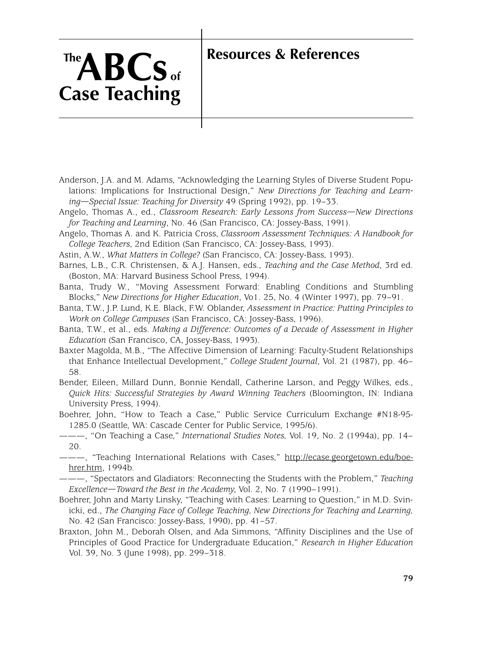# **Resources & References**

# **TheABCs of Case Teaching**

Anderson, J.A. and M. Adams, "Acknowledging the Learning Styles of Diverse Student Populations: Implications for Instructional Design," *New Directions for Teaching and Learning—Special Issue: Teaching for Diversity* 49 (Spring 1992), pp. 19–33.

Angelo, Thomas A., ed., *Classroom Research: Early Lessons from Success—New Directions for Teaching and Learning*, No. 46 (San Francisco, CA: Jossey-Bass, 1991).

Angelo, Thomas A. and K. Patricia Cross, *Classroom Assessment Techniques: A Handbook for College Teachers*, 2nd Edition (San Francisco, CA: Jossey-Bass, 1993).

Astin, A.W., *What Matters in College?* (San Francisco, CA: Jossey-Bass, 1993).

Barnes, L.B., C.R. Christensen, & A.J. Hansen, eds., *Teaching and the Case Method*, 3rd ed. (Boston, MA: Harvard Business School Press, 1994).

Banta, Trudy W., "Moving Assessment Forward: Enabling Conditions and Stumbling Blocks," *New Directions for Higher Education*, Vo1. 25, No. 4 (Winter 1997), pp. 79–91.

Banta, T.W., J.P. Lund, K.E. Black, F.W. Oblander, *Assessment in Practice: Putting Principles to Work on College Campuses* (San Francisco, CA: Jossey-Bass, 1996).

Banta, T.W., et al., eds. *Making a Difference: Outcomes of a Decade of Assessment in Higher Education* (San Francisco, CA, Jossey-Bass, 1993).

Baxter Magolda, M.B., "The Affective Dimension of Learning: Faculty-Student Relationships that Enhance Intellectual Development," *College Student Journal*, Vol. 21 (1987), pp. 46– 58.

Bender, Eileen, Millard Dunn, Bonnie Kendall, Catherine Larson, and Peggy Wilkes, eds., *Quick Hits: Successful Strategies by Award Winning Teachers* (Bloomington, IN: Indiana University Press, 1994).

Boehrer, John, "How to Teach a Case," Public Service Curriculum Exchange #N18-95- 1285.0 (Seattle, WA: Cascade Center for Public Service, 1995/6).

———, "On Teaching a Case," *International Studies Notes,* Vol. 19, No. 2 (1994a), pp. 14– 20.

———, "Teaching International Relations with Cases," [http://ecase.georgetown.edu/boe](http://www.georgetown.edu/sfs/programs/isd/files/cases/boehrer.htm)[hrer.htm,](http://www.georgetown.edu/sfs/programs/isd/files/cases/boehrer.htm) 1994b.

———, "Spectators and Gladiators: Reconnecting the Students with the Problem," *Teaching Excellence—Toward the Best in the Academy*, Vol. 2, No. 7 (1990–1991).

Boehrer, John and Marty Linsky, "Teaching with Cases: Learning to Question," in M.D. Svinicki, ed., *The Changing Face of College Teaching, New Directions for Teaching and Learning,* No. 42 (San Francisco: Jossey-Bass, 1990), pp. 41–57.

Braxton, John M., Deborah Olsen, and Ada Simmons, "Affinity Disciplines and the Use of Principles of Good Practice for Undergraduate Education," *Research in Higher Education* Vol. 39, No. 3 (June 1998), pp. 299–318.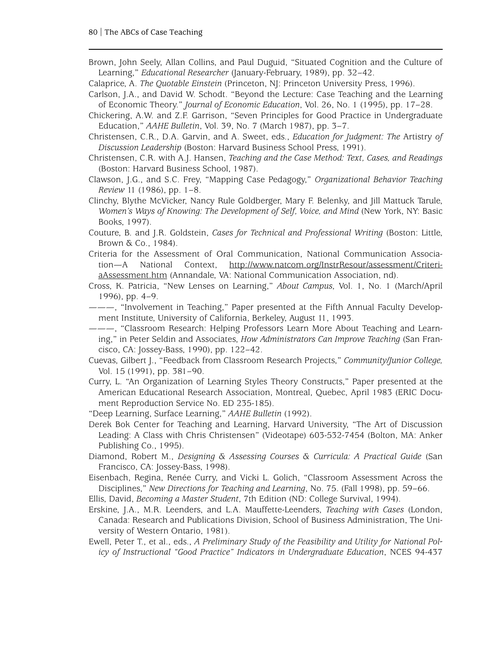Brown, John Seely, Allan Collins, and Paul Duguid, "Situated Cognition and the Culture of Learning," *Educational Researcher* (January-February, 1989), pp. 32–42.

Calaprice, A. *The Quotable Einstein* (Princeton, NJ: Princeton University Press, 1996).

- Carlson, J.A., and David W. Schodt. "Beyond the Lecture: Case Teaching and the Learning of Economic Theory." *Journal of Economic Education*, Vol. 26, No. 1 (1995), pp. 17–28.
- Chickering, A.W. and Z.F. Garrison, "Seven Principles for Good Practice in Undergraduate Education," *AAHE Bulletin*, Vol. 39, No. 7 (March 1987), pp. 3–7.
- Christensen, C.R., D.A. Garvin, and A. Sweet, eds., *Education for Judgment: The* Artistry *of Discussion Leadership* (Boston: Harvard Business School Press, 1991).
- Christensen, C.R. with A.J. Hansen, *Teaching and the Case Method: Text, Cases, and Readings* (Boston: Harvard Business School, 1987).
- Clawson, J.G., and S.C. Frey, "Mapping Case Pedagogy," *Organizational Behavior Teaching Review* 11 (1986), pp. 1–8.
- Clinchy, Blythe McVicker, Nancy Rule Goldberger, Mary F. Belenky, and Jill Mattuck Tarule, *Women's Ways of Knowing: The Development of Self, Voice, and Mind* (New York, NY: Basic Books, 1997).
- Couture, B. and J.R. Goldstein, *Cases for Technical and Professional Writing* (Boston: Little, Brown & Co., 1984).
- Criteria for the Assessment of Oral Communication, National Communication Association—A National Context, [http://www.natcom.org/InstrResour/assessment/Criteri](http://www.natcom.org/InstrResour/assessment/CriteriaAssessment.htm)[aAssessment.htm](http://www.natcom.org/InstrResour/assessment/CriteriaAssessment.htm) (Annandale, VA: National Communication Association, nd).

Cross, K. Patricia, "New Lenses on Learning," *About Campus*, Vol. 1, No. 1 (March/April 1996), pp. 4–9.

- ———, "Involvement in Teaching," Paper presented at the Fifth Annual Faculty Development Institute, University of California, Berkeley, August 11, 1993.
- ———, "Classroom Research: Helping Professors Learn More About Teaching and Learning," in Peter Seldin and Associates, *How Administrators Can Improve Teaching* (San Francisco, CA: Jossey-Bass, 1990), pp. 122–42.
- Cuevas, Gilbert J., "Feedback from Classroom Research Projects," *Community/Junior College,* Vol. 15 (1991), pp. 381–90.
- Curry, L. "An Organization of Learning Styles Theory Constructs," Paper presented at the American Educational Research Association, Montreal, Quebec, April 1983 (ERIC Document Reproduction Service No. ED 235-185).
- "Deep Learning, Surface Learning," *AAHE Bulletin* (1992).
- Derek Bok Center for Teaching and Learning, Harvard University, "The Art of Discussion Leading: A Class with Chris Christensen" (Videotape) 603-532-7454 (Bolton, MA: Anker Publishing Co., 1995).
- Diamond, Robert M., *Designing & Assessing Courses & Curricula: A Practical Guide* (San Francisco, CA: Jossey-Bass, 1998).
- Eisenbach, Regina, Renée Curry, and Vicki L. Golich, "Classroom Assessment Across the Disciplines," *New Directions for Teaching and Learning*, No. 75. (Fall 1998), pp. 59–66.
- Ellis, David, *Becoming a Master Student*, 7th Edition (ND: College Survival, 1994).
- Erskine, J.A., M.R. Leenders, and L.A. Mauffette-Leenders, *Teaching with Cases* (London, Canada: Research and Publications Division, School of Business Administration, The University of Western Ontario, 1981).
- Ewell, Peter T., et al., eds., *A Preliminary Study of the Feasibility and Utility for National Policy of Instructional "Good Practice" Indicators in Undergraduate Education*, NCES 94-437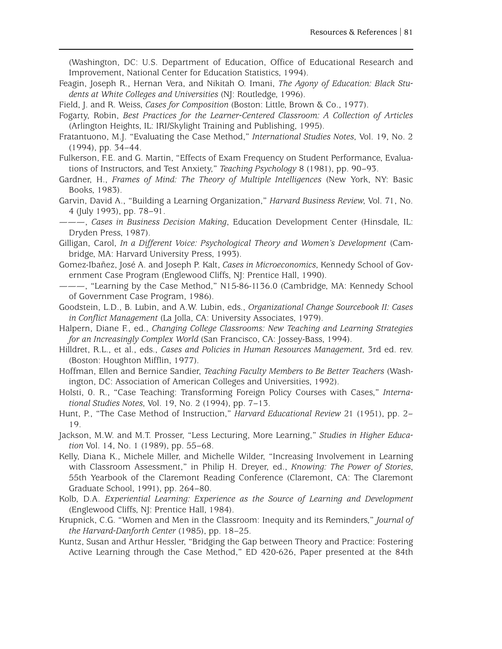(Washington, DC: U.S. Department of Education, Office of Educational Research and Improvement, National Center for Education Statistics, 1994).

- Feagin, Joseph R., Hernan Vera, and Nikitah O. Imani, *The Agony of Education: Black Students at White Colleges and Universities* (NJ: Routledge, 1996).
- Field, J. and R. Weiss, *Cases for Composition* (Boston: Little, Brown & Co., 1977).

Fogarty, Robin, *Best Practices for the Learner-Centered Classroom: A Collection of Articles* (Arlington Heights, IL: IRI/Skylight Training and Publishing, 1995).

Fratantuono, M.J. "Evaluating the Case Method," *International Studies Notes*, Vol. 19, No. 2 (1994), pp. 34–44.

Fulkerson, F.E. and G. Martin, "Effects of Exam Frequency on Student Performance, Evaluations of Instructors, and Test Anxiety," *Teaching Psychology* 8 (1981), pp. 90–93.

- Gardner, H., *Frames of Mind: The Theory of Multiple Intelligences* (New York, NY: Basic Books, 1983).
- Garvin, David A., "Building a Learning Organization," *Harvard Business Review*, Vol. 71, No. 4 (July 1993), pp. 78–91.
- ———, *Cases in Business Decision Making*, Education Development Center (Hinsdale, IL: Dryden Press, 1987).
- Gilligan, Carol, *In a Different Voice: Psychological Theory and Women's Development* (Cambridge, MA: Harvard University Press, 1993).
- Gomez-Ibañez, José A. and Joseph P. Kalt, *Cases in Microeconomics*, Kennedy School of Government Case Program (Englewood Cliffs, NJ: Prentice Hall, 1990).
- ———, "Learning by the Case Method," N15-86-1136.0 (Cambridge, MA: Kennedy School of Government Case Program, 1986).
- Goodstein, L.D., B. Lubin, and A.W. Lubin, eds., *Organizational Change Sourcebook II: Cases in Conflict Management* (La Jolla, CA: University Associates, 1979).
- Halpern, Diane F., ed., *Changing College Classrooms: New Teaching and Learning Strategies for an Increasingly Complex World* (San Francisco, CA: Jossey-Bass, 1994).
- Hilldret, R.L., et al., eds., *Cases and Policies in Human Resources Management,* 3rd ed. rev. (Boston: Houghton Mifflin, 1977).
- Hoffman, Ellen and Bernice Sandier, *Teaching Faculty Members to Be Better Teachers* (Washington, DC: Association of American Colleges and Universities, 1992).

Holsti, 0. R., "Case Teaching: Transforming Foreign Policy Courses with Cases," *International Studies Notes*, Vol. 19, No. 2 (1994), pp. 7–13.

- Hunt, P., "The Case Method of Instruction," *Harvard Educational Review* 21 (1951), pp. 2– 19.
- Jackson, M.W. and M.T. Prosser, "Less Lecturing, More Learning," *Studies in Higher Education* Vol. 14, No. 1 (1989), pp. 55–68.
- Kelly, Diana K., Michele Miller, and Michelle Wilder, "Increasing Involvement in Learning with Classroom Assessment," in Philip H. Dreyer, ed., *Knowing: The Power of Stories*, 55th Yearbook of the Claremont Reading Conference (Claremont, CA: The Claremont Graduate School, 1991), pp. 264–80.
- Kolb, D.A. *Experiential Learning: Experience as the Source of Learning and Development* (Englewood Cliffs, NJ: Prentice Hall, 1984).
- Krupnick, C.G. "Women and Men in the Classroom: Inequity and its Reminders," *Journal of the Harvard-Danforth Center* (1985), pp. 18–25.
- Kuntz, Susan and Arthur Hessler, "Bridging the Gap between Theory and Practice: Fostering Active Learning through the Case Method," ED 420-626, Paper presented at the 84th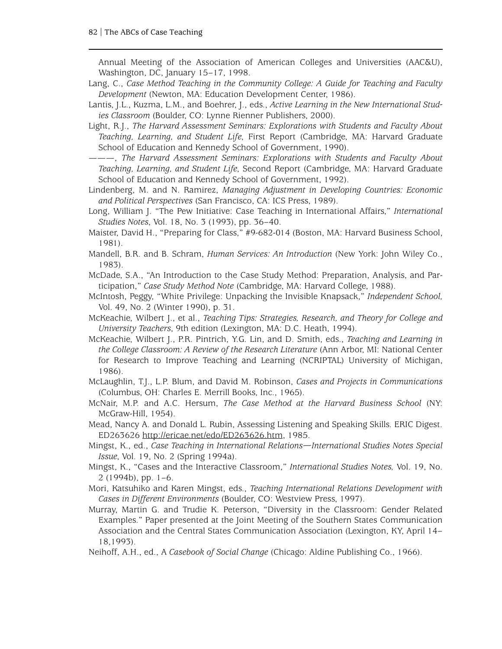Annual Meeting of the Association of American Colleges and Universities (AAC&U), Washington, DC, January 15–17, 1998.

- Lang, C., *Case Method Teaching in the Community College: A Guide for Teaching and Faculty Development* (Newton, MA: Education Development Center, 1986).
- Lantis, J.L., Kuzma, L.M., and Boehrer, J., eds., *Active Learning in the New International Studies Classroom* (Boulder, CO: Lynne Rienner Publishers, 2000).
- Light, R.J., *The Harvard Assessment Seminars: Explorations with Students and Faculty About Teaching, Learning, and Student Life*, First Report (Cambridge, MA: Harvard Graduate School of Education and Kennedy School of Government, 1990).
- ———, *The Harvard Assessment Seminars: Explorations with Students and Faculty About Teaching, Learning, and Student Life*, Second Report (Cambridge, MA: Harvard Graduate School of Education and Kennedy School of Government, 1992).
- Lindenberg, M. and N. Ramirez, *Managing Adjustment in Developing Countries: Economic and Political Perspectives* (San Francisco, CA: ICS Press, 1989).
- Long, William J. "The Pew Initiative: Case Teaching in International Affairs," *International Studies Notes*, Vol. 18, No. 3 (1993), pp. 36–40.
- Maister, David H., "Preparing for Class," #9-682-014 (Boston, MA: Harvard Business School, 1981).
- Mandell, B.R. and B. Schram, *Human Services: An Introduction* (New York: John Wiley Co., 1983).
- McDade, S.A., "An Introduction to the Case Study Method: Preparation, Analysis, and Participation," *Case Study Method Note* (Cambridge, MA: Harvard College, 1988).
- McIntosh, Peggy, "White Privilege: Unpacking the Invisible Knapsack," *Independent School,* Vol. 49, No. 2 (Winter 1990), p. 31.
- McKeachie, Wilbert J., et al., *Teaching Tips: Strategies, Research, and Theory for College and University Teachers*, 9th edition (Lexington, MA: D.C. Heath, 1994).
- McKeachie, Wilbert J., P.R. Pintrich, Y.G. Lin, and D. Smith, eds., *Teaching and Learning in the College Classroom: A Review of the Research Literature* (Ann Arbor, MI: National Center for Research to Improve Teaching and Learning (NCRIPTAL) University of Michigan, 1986).
- McLaughlin, T.J., L.P. Blum, and David M. Robinson, *Cases and Projects in Communications* (Columbus, OH: Charles E. Merrill Books, Inc., 1965).
- McNair, M.P. and A.C. Hersum, *The Case Method at the Harvard Business School* (NY: McGraw-Hill, 1954).
- Mead, Nancy A. and Donald L. Rubin, Assessing Listening and Speaking Skills. ERIC Digest. ED263626 [http://ericae.net/edo/ED263626.htm,](http://ericae.net/edo/ED263626.htm) 1985.
- Mingst, K., ed., *Case Teaching in International Relations—International Studies Notes Special Issue*, Vol. 19, No. 2 (Spring 1994a).
- Mingst, K., "Cases and the Interactive Classroom," *International Studies Notes,* Vol. 19, No. 2 (1994b), pp. 1–6.
- Mori, Katsuhiko and Karen Mingst, eds., *Teaching International Relations Development with Cases in Different Environments* (Boulder, CO: Westview Press, 1997).
- Murray, Martin G. and Trudie K. Peterson, "Diversity in the Classroom: Gender Related Examples." Paper presented at the Joint Meeting of the Southern States Communication Association and the Central States Communication Association (Lexington, KY, April 14– 18,1993).
- Neihoff, A.H., ed., A *Casebook of Social Change* (Chicago: Aldine Publishing Co., 1966).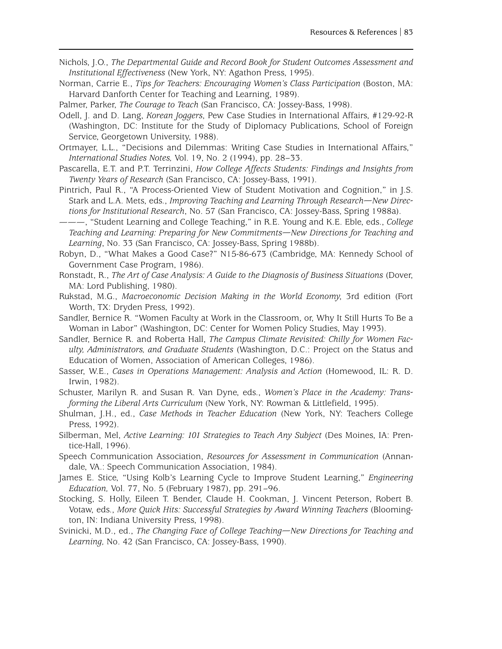- Nichols, J.O., *The Departmental Guide and Record Book for Student Outcomes Assessment and Institutional Effectiveness* (New York, NY: Agathon Press, 1995).
- Norman, Carrie E., *Tips for Teachers: Encouraging Women's Class Participation* (Boston, MA: Harvard Danforth Center for Teaching and Learning, 1989).

Palmer, Parker, *The Courage to Teach* (San Francisco, CA: Jossey-Bass, 1998).

- Odell, J. and D. Lang, *Korean Joggers*, Pew Case Studies in International Affairs, #129-92-R (Washington, DC: Institute for the Study of Diplomacy Publications, School of Foreign Service, Georgetown University, 1988).
- Ortmayer, L.L., "Decisions and Dilemmas: Writing Case Studies in International Affairs," *International Studies Notes,* Vol. 19, No. 2 (1994), pp. 28–33.
- Pascarella, E.T. and P.T. Terrinzini, *How College Affects Students: Findings and Insights from Twenty Years of Research* (San Francisco, CA: Jossey-Bass, 1991).
- Pintrich, Paul R., "A Process-Oriented View of Student Motivation and Cognition," in J.S. Stark and L.A. Mets, eds., *Improving Teaching and Learning Through Research—New Directions for Institutional Research*, No. 57 (San Francisco, CA: Jossey-Bass, Spring 1988a).
- ———, "Student Learning and College Teaching," in R.E. Young and K.E. Eble, eds., *College Teaching and Learning: Preparing for New Commitments—New Directions for Teaching and Learning*, No. 33 (San Francisco, CA: Jossey-Bass, Spring 1988b).
- Robyn, D., "What Makes a Good Case?" N15-86-673 (Cambridge, MA: Kennedy School of Government Case Program, 1986).
- Ronstadt, R., *The Art of Case Analysis: A Guide to the Diagnosis of Business Situations* (Dover, MA: Lord Publishing, 1980).
- Rukstad, M.G., *Macroeconomic Decision Making in the World Economy*, 3rd edition (Fort Worth, TX: Dryden Press, 1992).
- Sandler, Bernice R. "Women Faculty at Work in the Classroom, or, Why It Still Hurts To Be a Woman in Labor" (Washington, DC: Center for Women Policy Studies, May 1993).
- Sandler, Bernice R. and Roberta Hall, *The Campus Climate Revisited: Chilly for Women Faculty, Administrators, and Graduate Students* (Washington, D.C.: Project on the Status and Education of Women, Association of American Colleges, 1986).
- Sasser, W.E., *Cases in Operations Management: Analysis and Action* (Homewood, IL: R. D. Irwin, 1982).
- Schuster, Marilyn R. and Susan R. Van Dyne, eds., *Women's Place in the Academy: Transforming the Liberal Arts Curriculum* (New York, NY: Rowman & Littlefield, 1995).
- Shulman, J.H., ed., *Case Methods in Teacher Education* (New York, NY: Teachers College Press, 1992).
- Silberman, Mel, *Active Learning: 101 Strategies to Teach Any Subject* (Des Moines, IA: Prentice-Hall, 1996).
- Speech Communication Association, *Resources for Assessment in Communication* (Annandale, VA.: Speech Communication Association, 1984).
- James E. Stice, "Using Kolb's Learning Cycle to Improve Student Learning," *Engineering Education,* Vol. 77, No. 5 (February 1987), pp. 291–96.
- Stocking, S. Holly, Eileen T. Bender, Claude H. Cookman, J. Vincent Peterson, Robert B. Votaw, eds., *More Quick Hits: Successful Strategies by Award Winning Teachers* (Bloomington, IN: Indiana University Press, 1998).
- Svinicki, M.D., ed., *The Changing Face of College Teaching—New Directions for Teaching and Learning,* No. 42 (San Francisco, CA: Jossey-Bass, 1990).